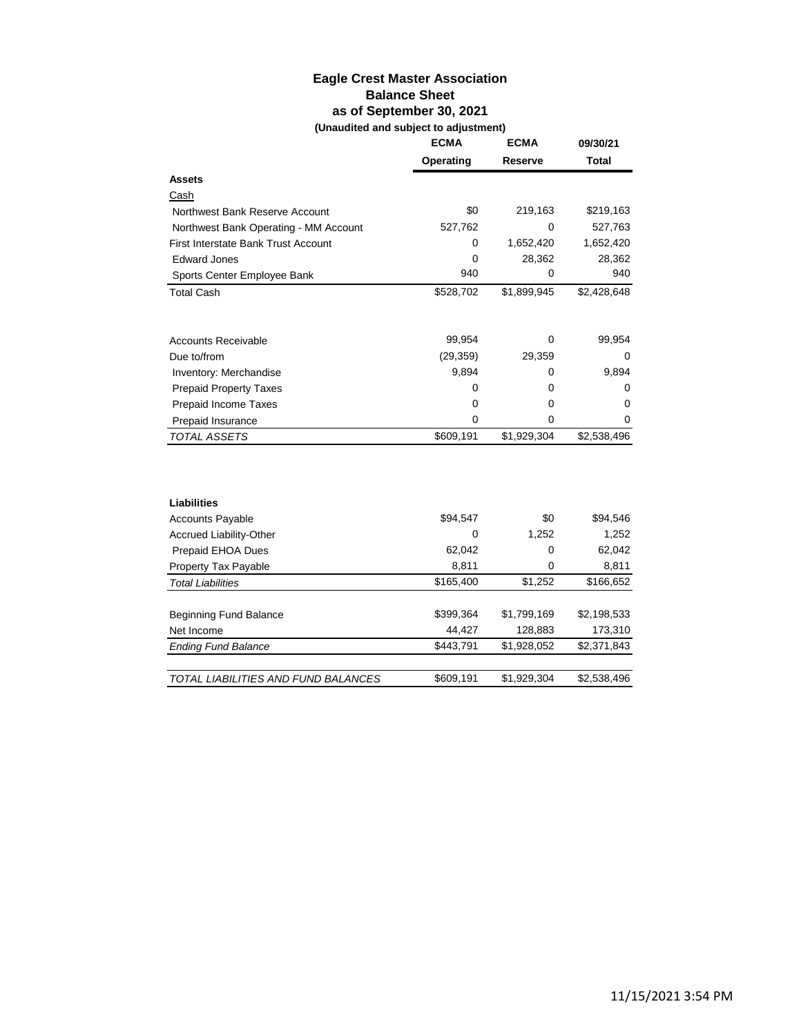# **Eagle Crest Master Association Balance Sheet as of September 30, 2021 (Unaudited and subject to adjustment)**

|                                            | <b>ECMA</b> | <b>ECMA</b> | 09/30/21     |
|--------------------------------------------|-------------|-------------|--------------|
|                                            | Operating   | Reserve     | <b>Total</b> |
| <b>Assets</b>                              |             |             |              |
| Cash                                       |             |             |              |
| Northwest Bank Reserve Account             | \$0         | 219,163     | \$219,163    |
| Northwest Bank Operating - MM Account      | 527,762     | 0           | 527,763      |
| <b>First Interstate Bank Trust Account</b> | 0           | 1,652,420   | 1,652,420    |
| <b>Edward Jones</b>                        | 0           | 28,362      | 28,362       |
| Sports Center Employee Bank                | 940         | 0           | 940          |
| <b>Total Cash</b>                          | \$528,702   | \$1,899,945 | \$2,428,648  |
|                                            |             |             |              |
| <b>Accounts Receivable</b>                 | 99,954      | 0           | 99,954       |
| Due to/from                                | (29, 359)   | 29,359      | 0            |
| Inventory: Merchandise                     | 9,894       | 0           | 9,894        |
| <b>Prepaid Property Taxes</b>              | 0           | 0           | 0            |
| Prepaid Income Taxes                       | 0           | 0           | 0            |
| Prepaid Insurance                          | 0           | 0           | 0            |
| <b>TOTAL ASSETS</b>                        | \$609,191   | \$1,929,304 | \$2,538,496  |
|                                            |             |             |              |
| <b>Liabilities</b>                         |             |             |              |
| <b>Accounts Payable</b>                    | \$94,547    | \$0         | \$94,546     |
| Accrued Liability-Other                    | 0           | 1,252       | 1,252        |
| Prepaid EHOA Dues                          | 62,042      | 0           | 62,042       |
| Property Tax Payable                       | 8,811       | 0           | 8,811        |
| <b>Total Liabilities</b>                   | \$165,400   | \$1,252     | \$166,652    |
|                                            |             |             |              |
| Beginning Fund Balance                     | \$399,364   | \$1,799,169 | \$2,198,533  |
| Net Income                                 | 44,427      | 128,883     | 173,310      |
| <b>Ending Fund Balance</b>                 | \$443,791   | \$1,928,052 | \$2,371,843  |
| TOTAL LIABILITIES AND FUND BALANCES        | \$609,191   | \$1,929,304 | \$2,538,496  |
|                                            |             |             |              |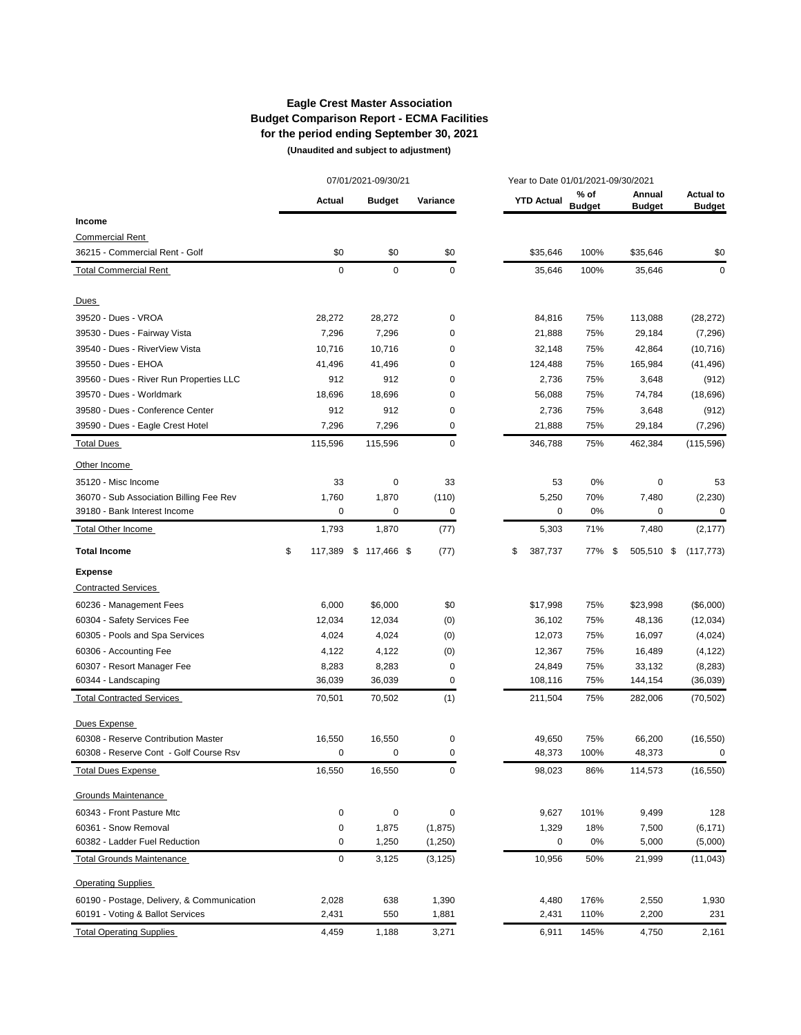# **Eagle Crest Master Association Budget Comparison Report - ECMA Facilities for the period ending September 30, 2021**

 **(Unaudited and subject to adjustment)** 

|                                            | 07/01/2021-09/30/21 |             |  | Year to Date 01/01/2021-09/30/2021 |          |    |                   |                       |    |                         |                                   |
|--------------------------------------------|---------------------|-------------|--|------------------------------------|----------|----|-------------------|-----------------------|----|-------------------------|-----------------------------------|
|                                            |                     | Actual      |  | <b>Budget</b>                      | Variance |    | <b>YTD Actual</b> | % of<br><b>Budget</b> |    | Annual<br><b>Budget</b> | <b>Actual to</b><br><b>Budget</b> |
| Income                                     |                     |             |  |                                    |          |    |                   |                       |    |                         |                                   |
| <b>Commercial Rent</b>                     |                     |             |  |                                    |          |    |                   |                       |    |                         |                                   |
| 36215 - Commercial Rent - Golf             |                     | \$0         |  | \$0                                | \$0      |    | \$35,646          | 100%                  |    | \$35,646                | \$0                               |
| <b>Total Commercial Rent</b>               |                     | $\mathbf 0$ |  | 0                                  | 0        |    | 35,646            | 100%                  |    | 35,646                  | 0                                 |
| Dues                                       |                     |             |  |                                    |          |    |                   |                       |    |                         |                                   |
| 39520 - Dues - VROA                        |                     | 28,272      |  | 28,272                             | 0        |    | 84,816            | 75%                   |    | 113,088                 | (28, 272)                         |
| 39530 - Dues - Fairway Vista               |                     | 7,296       |  | 7,296                              | 0        |    | 21,888            | 75%                   |    | 29,184                  | (7,296)                           |
| 39540 - Dues - RiverView Vista             |                     | 10,716      |  | 10,716                             | 0        |    | 32,148            | 75%                   |    | 42,864                  | (10, 716)                         |
| 39550 - Dues - EHOA                        |                     | 41,496      |  | 41,496                             | 0        |    | 124,488           | 75%                   |    | 165,984                 | (41, 496)                         |
| 39560 - Dues - River Run Properties LLC    |                     | 912         |  | 912                                | 0        |    | 2,736             | 75%                   |    | 3,648                   | (912)                             |
| 39570 - Dues - Worldmark                   |                     | 18,696      |  | 18,696                             | 0        |    | 56,088            | 75%                   |    | 74,784                  | (18,696)                          |
| 39580 - Dues - Conference Center           |                     | 912         |  | 912                                | 0        |    | 2,736             | 75%                   |    | 3,648                   | (912)                             |
| 39590 - Dues - Eagle Crest Hotel           |                     | 7,296       |  | 7,296                              | 0        |    | 21,888            | 75%                   |    | 29,184                  | (7, 296)                          |
| <b>Total Dues</b>                          |                     | 115,596     |  | 115,596                            | 0        |    | 346,788           | 75%                   |    | 462,384                 | (115, 596)                        |
| Other Income                               |                     |             |  |                                    |          |    |                   |                       |    |                         |                                   |
| 35120 - Misc Income                        |                     | 33          |  | 0                                  | 33       |    | 53                | 0%                    |    | 0                       | 53                                |
| 36070 - Sub Association Billing Fee Rev    |                     | 1,760       |  | 1,870                              | (110)    |    | 5,250             | 70%                   |    | 7,480                   | (2,230)                           |
| 39180 - Bank Interest Income               |                     | $\mathbf 0$ |  | 0                                  | 0        |    | 0                 | 0%                    |    | 0                       | 0                                 |
| <b>Total Other Income</b>                  |                     | 1,793       |  | 1,870                              | (77)     |    | 5,303             | 71%                   |    | 7,480                   | (2, 177)                          |
| <b>Total Income</b>                        | \$                  | 117,389     |  | $$117,466$ \$                      | (77)     | \$ | 387,737           | 77%                   | \$ | 505,510                 | \$<br>(117, 773)                  |
| <b>Expense</b>                             |                     |             |  |                                    |          |    |                   |                       |    |                         |                                   |
| <b>Contracted Services</b>                 |                     |             |  |                                    |          |    |                   |                       |    |                         |                                   |
| 60236 - Management Fees                    |                     | 6,000       |  | \$6,000                            | \$0      |    | \$17,998          | 75%                   |    | \$23,998                | (\$6,000)                         |
| 60304 - Safety Services Fee                |                     | 12,034      |  | 12,034                             | (0)      |    | 36,102            | 75%                   |    | 48,136                  | (12,034)                          |
| 60305 - Pools and Spa Services             |                     | 4,024       |  | 4,024                              | (0)      |    | 12,073            | 75%                   |    | 16,097                  | (4,024)                           |
| 60306 - Accounting Fee                     |                     | 4,122       |  | 4,122                              | (0)      |    | 12,367            | 75%                   |    | 16,489                  | (4, 122)                          |
| 60307 - Resort Manager Fee                 |                     | 8,283       |  | 8,283                              | 0        |    | 24,849            | 75%                   |    | 33,132                  | (8, 283)                          |
| 60344 - Landscaping                        |                     | 36,039      |  | 36,039                             | 0        |    | 108,116           | 75%                   |    | 144,154                 | (36,039)                          |
| <b>Total Contracted Services</b>           |                     | 70,501      |  | 70,502                             | (1)      |    | 211,504           | 75%                   |    | 282,006                 | (70, 502)                         |
| Dues Expense                               |                     |             |  |                                    |          |    |                   |                       |    |                         |                                   |
| 60308 - Reserve Contribution Master        |                     | 16,550      |  | 16,550                             | 0        |    | 49,650            | 75%                   |    | 66,200                  | (16, 550)                         |
| 60308 - Reserve Cont - Golf Course Rsv     |                     | 0           |  | 0                                  | 0        |    | 48,373            | 100%                  |    | 48,373                  | 0                                 |
| <b>Total Dues Expense</b>                  |                     | 16,550      |  | 16,550                             | 0        |    | 98,023            | 86%                   |    | 114,573                 | (16, 550)                         |
| Grounds Maintenance                        |                     |             |  |                                    |          |    |                   |                       |    |                         |                                   |
| 60343 - Front Pasture Mtc                  |                     | 0           |  | 0                                  | 0        |    | 9,627             | 101%                  |    | 9,499                   | 128                               |
| 60361 - Snow Removal                       |                     | 0           |  | 1,875                              | (1, 875) |    | 1,329             | 18%                   |    | 7,500                   | (6, 171)                          |
| 60382 - Ladder Fuel Reduction              |                     | 0           |  | 1,250                              | (1,250)  |    | 0                 | 0%                    |    | 5,000                   | (5,000)                           |
| <b>Total Grounds Maintenance</b>           |                     | $\pmb{0}$   |  | 3,125                              | (3, 125) |    | 10,956            | 50%                   |    | 21,999                  | (11, 043)                         |
| <b>Operating Supplies</b>                  |                     |             |  |                                    |          |    |                   |                       |    |                         |                                   |
| 60190 - Postage, Delivery, & Communication |                     | 2,028       |  | 638                                | 1,390    |    | 4,480             | 176%                  |    | 2,550                   | 1,930                             |
| 60191 - Voting & Ballot Services           |                     | 2,431       |  | 550                                | 1,881    |    | 2,431             | 110%                  |    | 2,200                   | 231                               |
| <b>Total Operating Supplies</b>            |                     | 4,459       |  | 1,188                              | 3,271    |    | 6,911             | 145%                  |    | 4,750                   | 2,161                             |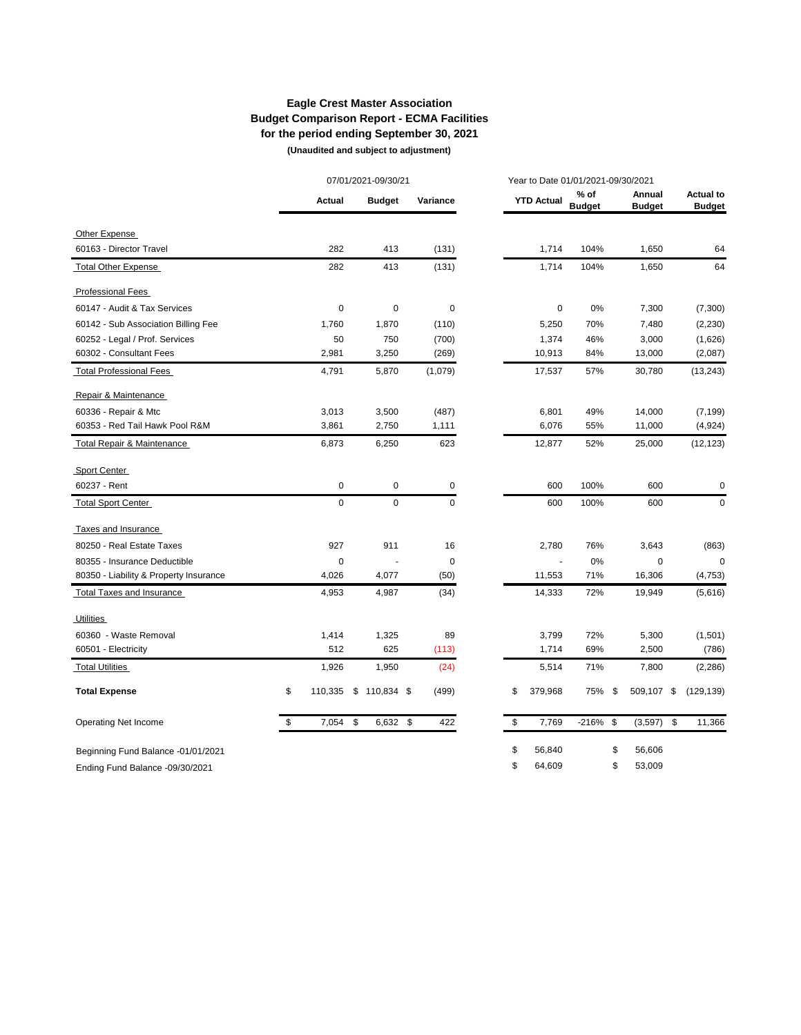# **Eagle Crest Master Association Budget Comparison Report - ECMA Facilities for the period ending September 30, 2021**

 **(Unaudited and subject to adjustment)** 

|                                        | 07/01/2021-09/30/21 |             |    |               |           | Year to Date 01/01/2021-09/30/2021 |                         |      |                         |      |                                   |
|----------------------------------------|---------------------|-------------|----|---------------|-----------|------------------------------------|-------------------------|------|-------------------------|------|-----------------------------------|
|                                        |                     | Actual      |    | <b>Budget</b> | Variance  | <b>YTD Actual</b>                  | $%$ of<br><b>Budget</b> |      | Annual<br><b>Budget</b> |      | <b>Actual to</b><br><b>Budget</b> |
| Other Expense                          |                     |             |    |               |           |                                    |                         |      |                         |      |                                   |
| 60163 - Director Travel                |                     | 282         |    | 413           | (131)     | 1,714                              | 104%                    |      | 1,650                   |      | 64                                |
| <b>Total Other Expense</b>             |                     | 282         |    | 413           | (131)     | 1,714                              | 104%                    |      | 1,650                   |      | 64                                |
| <b>Professional Fees</b>               |                     |             |    |               |           |                                    |                         |      |                         |      |                                   |
| 60147 - Audit & Tax Services           |                     | $\mathbf 0$ |    | 0             | $\pmb{0}$ | 0                                  | 0%                      |      | 7,300                   |      | (7,300)                           |
| 60142 - Sub Association Billing Fee    |                     | 1,760       |    | 1,870         | (110)     | 5,250                              | 70%                     |      | 7,480                   |      | (2, 230)                          |
| 60252 - Legal / Prof. Services         |                     | 50          |    | 750           | (700)     | 1,374                              | 46%                     |      | 3,000                   |      | (1,626)                           |
| 60302 - Consultant Fees                |                     | 2,981       |    | 3,250         | (269)     | 10,913                             | 84%                     |      | 13,000                  |      | (2,087)                           |
| <b>Total Professional Fees</b>         |                     | 4,791       |    | 5,870         | (1,079)   | 17,537                             | 57%                     |      | 30,780                  |      | (13, 243)                         |
| Repair & Maintenance                   |                     |             |    |               |           |                                    |                         |      |                         |      |                                   |
| 60336 - Repair & Mtc                   |                     | 3,013       |    | 3,500         | (487)     | 6,801                              | 49%                     |      | 14,000                  |      | (7, 199)                          |
| 60353 - Red Tail Hawk Pool R&M         |                     | 3,861       |    | 2,750         | 1,111     | 6,076                              | 55%                     |      | 11,000                  |      | (4,924)                           |
| Total Repair & Maintenance             |                     | 6,873       |    | 6,250         | 623       | 12,877                             | 52%                     |      | 25,000                  |      | (12, 123)                         |
| Sport Center                           |                     |             |    |               |           |                                    |                         |      |                         |      |                                   |
| 60237 - Rent                           |                     | $\pmb{0}$   |    | 0             | 0         | 600                                | 100%                    |      | 600                     |      | 0                                 |
| <b>Total Sport Center</b>              |                     | $\mathbf 0$ |    | 0             | 0         | 600                                | 100%                    |      | 600                     |      | 0                                 |
| Taxes and Insurance                    |                     |             |    |               |           |                                    |                         |      |                         |      |                                   |
| 80250 - Real Estate Taxes              |                     | 927         |    | 911           | 16        | 2,780                              | 76%                     |      | 3,643                   |      | (863)                             |
| 80355 - Insurance Deductible           |                     | $\mathbf 0$ |    |               | 0         |                                    | 0%                      |      | 0                       |      | $\mathbf 0$                       |
| 80350 - Liability & Property Insurance |                     | 4,026       |    | 4,077         | (50)      | 11,553                             | 71%                     |      | 16,306                  |      | (4, 753)                          |
| <b>Total Taxes and Insurance</b>       |                     | 4,953       |    | 4,987         | (34)      | 14,333                             | 72%                     |      | 19,949                  |      | (5,616)                           |
| <b>Utilities</b>                       |                     |             |    |               |           |                                    |                         |      |                         |      |                                   |
| 60360 - Waste Removal                  |                     | 1,414       |    | 1,325         | 89        | 3,799                              | 72%                     |      | 5,300                   |      | (1,501)                           |
| 60501 - Electricity                    |                     | 512         |    | 625           | (113)     | 1,714                              | 69%                     |      | 2,500                   |      | (786)                             |
| <b>Total Utilities</b>                 |                     | 1,926       |    | 1,950         | (24)      | 5,514                              | 71%                     |      | 7,800                   |      | (2, 286)                          |
| <b>Total Expense</b>                   | \$                  | 110,335     |    | $$110,834$ \$ | (499)     | \$<br>379,968                      | 75%                     | - \$ | 509,107                 | \$   | (129, 139)                        |
| Operating Net Income                   | \$                  | 7,054       | \$ | 6,632 \$      | 422       | \$<br>7,769                        | $-216\%$ \$             |      | (3, 597)                | - \$ | 11,366                            |
| Beginning Fund Balance -01/01/2021     |                     |             |    |               |           | \$<br>56,840                       |                         | \$   | 56,606                  |      |                                   |
| Ending Fund Balance -09/30/2021        |                     |             |    |               |           | \$<br>64,609                       |                         | \$   | 53,009                  |      |                                   |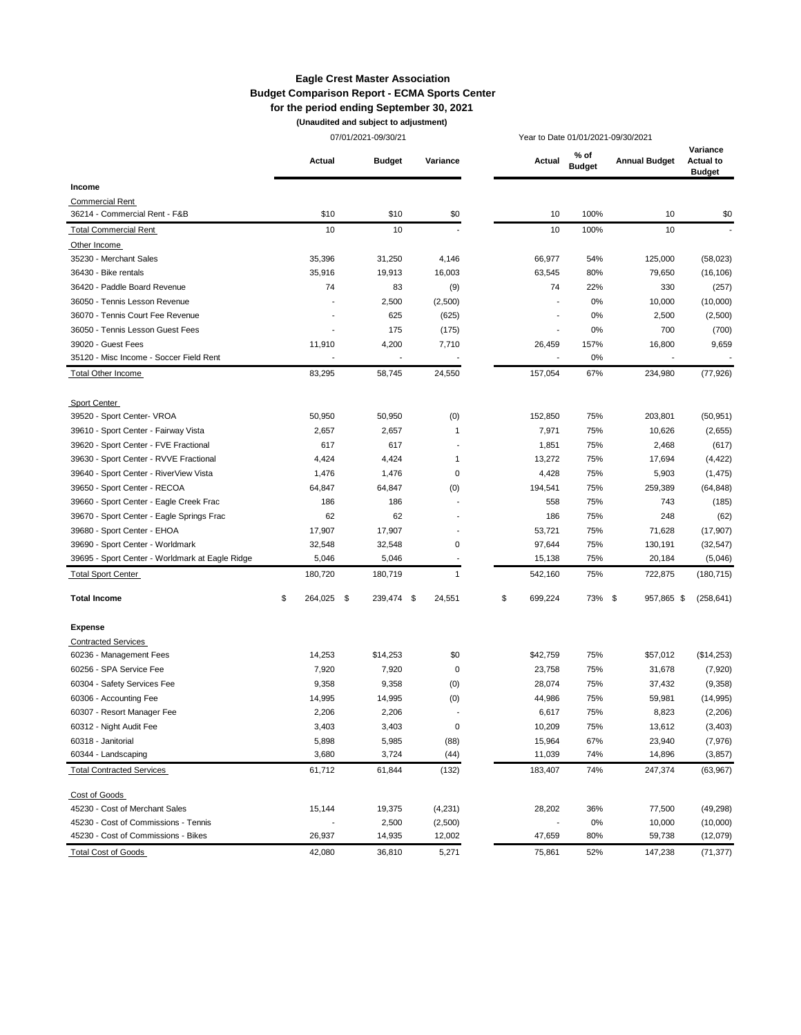#### **Eagle Crest Master Association Budget Comparison Report - ECMA Sports Center for the period ending September 30, 2021**

**(Unaudited and subject to adjustment)**

|                                                 |               | 07/01/2021-09/30/21 |                |               | Year to Date 01/01/2021-09/30/2021 |                      |                                               |  |
|-------------------------------------------------|---------------|---------------------|----------------|---------------|------------------------------------|----------------------|-----------------------------------------------|--|
|                                                 | Actual        | <b>Budget</b>       | Variance       | Actual        | % of<br><b>Budget</b>              | <b>Annual Budget</b> | Variance<br><b>Actual to</b><br><b>Budget</b> |  |
| Income                                          |               |                     |                |               |                                    |                      |                                               |  |
| <b>Commercial Rent</b>                          |               |                     |                |               |                                    |                      |                                               |  |
| 36214 - Commercial Rent - F&B                   | \$10          | \$10                | \$0            | 10            | 100%                               | 10                   | \$0                                           |  |
| <b>Total Commercial Rent</b>                    | 10            | 10                  |                | 10            | 100%                               | 10                   |                                               |  |
| Other Income                                    |               |                     |                |               |                                    |                      |                                               |  |
| 35230 - Merchant Sales                          | 35,396        | 31,250              | 4,146          | 66,977        | 54%                                | 125,000              | (58,023)                                      |  |
| 36430 - Bike rentals                            | 35,916        | 19,913              | 16,003         | 63,545        | 80%                                | 79,650               | (16, 106)                                     |  |
| 36420 - Paddle Board Revenue                    | 74            | 83                  | (9)            | 74            | 22%                                | 330                  | (257)                                         |  |
| 36050 - Tennis Lesson Revenue                   |               | 2,500               | (2,500)        |               | 0%                                 | 10,000               | (10,000)                                      |  |
| 36070 - Tennis Court Fee Revenue                |               | 625                 | (625)          |               | 0%                                 | 2,500                | (2,500)                                       |  |
| 36050 - Tennis Lesson Guest Fees                |               | 175                 | (175)          |               | 0%                                 | 700                  | (700)                                         |  |
| 39020 - Guest Fees                              | 11,910        | 4,200               | 7,710          | 26,459        | 157%                               | 16,800               | 9,659                                         |  |
| 35120 - Misc Income - Soccer Field Rent         |               |                     |                |               | 0%                                 |                      |                                               |  |
| Total Other Income                              | 83,295        | 58,745              | 24,550         | 157,054       | 67%                                | 234,980              | (77, 926)                                     |  |
| Sport Center                                    |               |                     |                |               |                                    |                      |                                               |  |
| 39520 - Sport Center- VROA                      | 50,950        | 50,950              | (0)            | 152,850       | 75%                                | 203,801              | (50, 951)                                     |  |
| 39610 - Sport Center - Fairway Vista            | 2,657         | 2,657               | 1              | 7,971         | 75%                                | 10,626               | (2,655)                                       |  |
| 39620 - Sport Center - FVE Fractional           | 617           | 617                 |                | 1,851         | 75%                                | 2,468                | (617)                                         |  |
| 39630 - Sport Center - RVVE Fractional          | 4,424         | 4,424               | 1              | 13,272        | 75%                                | 17,694               | (4, 422)                                      |  |
| 39640 - Sport Center - RiverView Vista          | 1,476         | 1,476               | 0              | 4,428         | 75%                                | 5,903                | (1, 475)                                      |  |
| 39650 - Sport Center - RECOA                    | 64,847        | 64,847              | (0)            | 194,541       | 75%                                | 259,389              | (64, 848)                                     |  |
| 39660 - Sport Center - Eagle Creek Frac         | 186           | 186                 | $\overline{a}$ | 558           | 75%                                | 743                  | (185)                                         |  |
| 39670 - Sport Center - Eagle Springs Frac       | 62            | 62                  |                | 186           | 75%                                | 248                  | (62)                                          |  |
| 39680 - Sport Center - EHOA                     | 17,907        | 17,907              |                | 53,721        | 75%                                | 71,628               | (17, 907)                                     |  |
| 39690 - Sport Center - Worldmark                | 32,548        | 32,548              | 0              | 97,644        | 75%                                | 130,191              | (32, 547)                                     |  |
| 39695 - Sport Center - Worldmark at Eagle Ridge | 5,046         | 5,046               |                | 15,138        | 75%                                | 20,184               | (5,046)                                       |  |
| <b>Total Sport Center</b>                       | 180,720       | 180,719             | $\mathbf{1}$   | 542,160       | 75%                                | 722,875              | (180, 715)                                    |  |
| <b>Total Income</b>                             | \$<br>264,025 | \$<br>239,474 \$    | 24,551         | \$<br>699,224 | 73%                                | \$<br>957,865 \$     | (258, 641)                                    |  |
| <b>Expense</b>                                  |               |                     |                |               |                                    |                      |                                               |  |
| <b>Contracted Services</b>                      |               |                     |                |               |                                    |                      |                                               |  |
| 60236 - Management Fees                         | 14,253        | \$14,253            | \$0            | \$42,759      | 75%                                | \$57,012             | (\$14,253)                                    |  |
| 60256 - SPA Service Fee                         | 7,920         | 7,920               | 0              | 23,758        | 75%                                | 31,678               | (7,920)                                       |  |
| 60304 - Safety Services Fee                     | 9,358         | 9,358               | (0)            | 28,074        | 75%                                | 37,432               | (9,358)                                       |  |
| 60306 - Accounting Fee                          | 14,995        | 14,995              | (0)            | 44,986        | 75%                                | 59,981               | (14, 995)                                     |  |
| 60307 - Resort Manager Fee                      | 2,206         | 2,206               |                | 6,617         | 75%                                | 8,823                | (2,206)                                       |  |
| 60312 - Night Audit Fee                         | 3,403         | 3,403               | 0              | 10,209        | 75%                                | 13,612               | (3, 403)                                      |  |
| 60318 - Janitorial                              | 5,898         | 5,985               | (88)           | 15,964        | 67%                                | 23,940               | (7,976)                                       |  |
| 60344 - Landscaping                             | 3,680         | 3,724               | (44)           | 11,039        | 74%                                | 14,896               | (3, 857)                                      |  |
| <b>Total Contracted Services</b>                | 61,712        | 61,844              | (132)          | 183,407       | 74%                                | 247,374              | (63, 967)                                     |  |
| Cost of Goods                                   |               |                     |                |               |                                    |                      |                                               |  |
| 45230 - Cost of Merchant Sales                  | 15,144        | 19,375              | (4,231)        | 28,202        | 36%                                | 77,500               | (49, 298)                                     |  |
| 45230 - Cost of Commissions - Tennis            |               | 2,500               | (2,500)        |               | 0%                                 | 10,000               | (10,000)                                      |  |
| 45230 - Cost of Commissions - Bikes             | 26,937        | 14,935              | 12,002         | 47,659        | 80%                                | 59,738               | (12,079)                                      |  |
| <b>Total Cost of Goods</b>                      | 42,080        | 36,810              | 5,271          | 75,861        | 52%                                | 147,238              | (71, 377)                                     |  |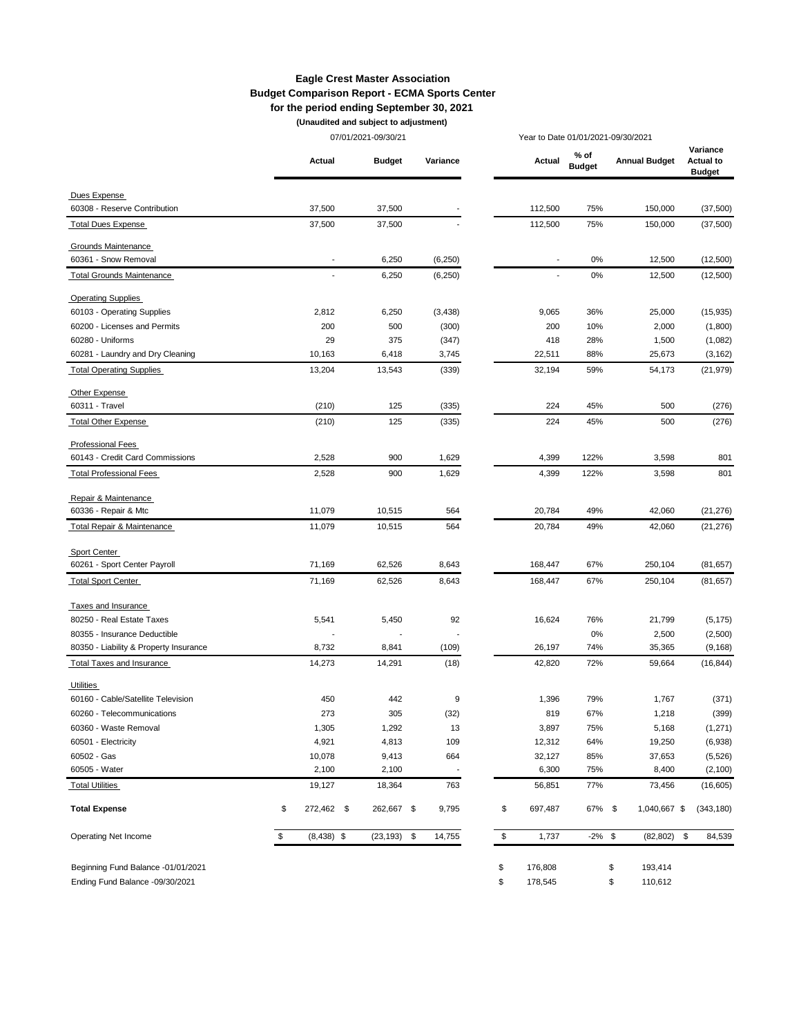#### **Eagle Crest Master Association Budget Comparison Report - ECMA Sports Center for the period ending September 30, 2021**

**(Unaudited and subject to adjustment)**

|                                        |                    | 07/01/2021-09/30/21 |          | Year to Date 01/01/2021-09/30/2021 |                       |                      |                                               |
|----------------------------------------|--------------------|---------------------|----------|------------------------------------|-----------------------|----------------------|-----------------------------------------------|
|                                        | Actual             | <b>Budget</b>       | Variance | Actual                             | % of<br><b>Budget</b> | <b>Annual Budget</b> | Variance<br><b>Actual to</b><br><b>Budget</b> |
| Dues Expense                           |                    |                     |          |                                    |                       |                      |                                               |
| 60308 - Reserve Contribution           | 37,500             | 37,500              |          | 112,500                            | 75%                   | 150,000              | (37,500)                                      |
| <b>Total Dues Expense</b>              | 37,500             | 37,500              |          | 112,500                            | 75%                   | 150,000              | (37,500)                                      |
| Grounds Maintenance                    |                    |                     |          |                                    |                       |                      |                                               |
| 60361 - Snow Removal                   |                    | 6,250               | (6, 250) |                                    | 0%                    | 12,500               | (12,500)                                      |
| <b>Total Grounds Maintenance</b>       | ٠                  | 6,250               | (6, 250) | $\overline{\phantom{a}}$           | 0%                    | 12,500               | (12,500)                                      |
| <b>Operating Supplies</b>              |                    |                     |          |                                    |                       |                      |                                               |
| 60103 - Operating Supplies             | 2,812              | 6,250               | (3, 438) | 9,065                              | 36%                   | 25,000               | (15, 935)                                     |
| 60200 - Licenses and Permits           | 200                | 500                 | (300)    | 200                                | 10%                   | 2,000                | (1,800)                                       |
| 60280 - Uniforms                       | 29                 | 375                 | (347)    | 418                                | 28%                   | 1,500                | (1,082)                                       |
| 60281 - Laundry and Dry Cleaning       | 10,163             | 6,418               | 3,745    | 22,511                             | 88%                   | 25,673               | (3, 162)                                      |
| <b>Total Operating Supplies</b>        | 13,204             | 13,543              | (339)    | 32,194                             | 59%                   | 54,173               | (21, 979)                                     |
| Other Expense                          |                    |                     |          |                                    |                       |                      |                                               |
| 60311 - Travel                         | (210)              | 125                 | (335)    | 224                                | 45%                   | 500                  | (276)                                         |
| <b>Total Other Expense</b>             | (210)              | 125                 | (335)    | 224                                | 45%                   | 500                  | (276)                                         |
| <b>Professional Fees</b>               |                    |                     |          |                                    |                       |                      |                                               |
| 60143 - Credit Card Commissions        | 2,528              | 900                 | 1,629    | 4,399                              | 122%                  | 3,598                | 801                                           |
| <b>Total Professional Fees</b>         | 2,528              | 900                 | 1,629    | 4,399                              | 122%                  | 3,598                | 801                                           |
| Repair & Maintenance                   |                    |                     |          |                                    |                       |                      |                                               |
| 60336 - Repair & Mtc                   | 11,079             | 10,515              | 564      | 20,784                             | 49%                   | 42,060               | (21, 276)                                     |
| Total Repair & Maintenance             | 11,079             | 10,515              | 564      | 20,784                             | 49%                   | 42,060               | (21, 276)                                     |
| Sport Center                           |                    |                     |          |                                    |                       |                      |                                               |
| 60261 - Sport Center Payroll           | 71,169             | 62,526              | 8,643    | 168,447                            | 67%                   | 250,104              | (81, 657)                                     |
| <b>Total Sport Center</b>              | 71,169             | 62,526              | 8,643    | 168,447                            | 67%                   | 250,104              | (81, 657)                                     |
| Taxes and Insurance                    |                    |                     |          |                                    |                       |                      |                                               |
| 80250 - Real Estate Taxes              | 5,541              | 5,450               | 92       | 16,624                             | 76%                   | 21,799               | (5, 175)                                      |
| 80355 - Insurance Deductible           |                    |                     |          |                                    | 0%                    | 2,500                | (2,500)                                       |
| 80350 - Liability & Property Insurance | 8,732              | 8,841               | (109)    | 26,197                             | 74%                   | 35,365               | (9, 168)                                      |
| <b>Total Taxes and Insurance</b>       | 14,273             | 14,291              | (18)     | 42,820                             | 72%                   | 59,664               | (16, 844)                                     |
| Utilities                              |                    |                     |          |                                    |                       |                      |                                               |
| 60160 - Cable/Satellite Television     | 450                | 442                 | 9        | 1,396                              | 79%                   | 1,767                | (371)                                         |
| 60260 - Telecommunications             | 273                | 305                 | (32)     | 819                                | 67%                   | 1,218                | (399)                                         |
| 60360 - Waste Removal                  | 1,305              | 1,292               | 13       | 3,897                              | 75%                   | 5,168                | (1, 271)                                      |
| 60501 - Electricity                    | 4,921              | 4,813               | 109      | 12,312                             | 64%                   | 19,250               | (6,938)                                       |
| 60502 - Gas                            | 10,078             | 9,413               | 664      | 32,127                             | 85%                   | 37,653               | (5, 526)                                      |
| 60505 - Water                          | 2,100              | 2,100               |          | 6,300                              | 75%                   | 8,400                | (2, 100)                                      |
| <b>Total Utilities</b>                 | 19,127             | 18,364              | 763      | 56,851                             | 77%                   | 73,456               | (16, 605)                                     |
| <b>Total Expense</b>                   | \$<br>272,462 \$   | 262,667 \$          | 9,795    | \$<br>697,487                      | 67% \$                | 1,040,667 \$         | (343, 180)                                    |
| Operating Net Income                   | \$<br>$(8,438)$ \$ | $(23, 193)$ \$      | 14,755   | \$<br>1,737                        | $-2\%$ \$             | (82, 802)            | \$<br>84,539                                  |
|                                        |                    |                     |          |                                    |                       |                      |                                               |
| Beginning Fund Balance -01/01/2021     |                    |                     |          | \$<br>176,808                      |                       | \$<br>193,414        |                                               |

Ending Fund Balance -09/30/2021 \$ 178,545 \$ 110,612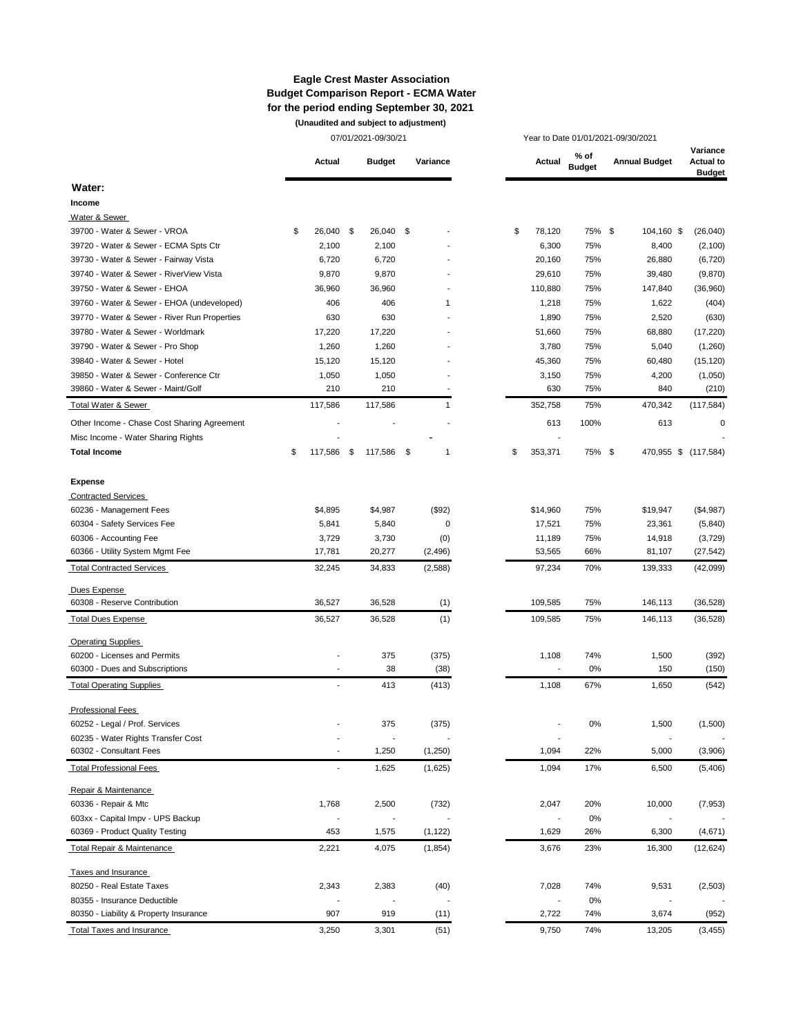#### **Eagle Crest Master Association Budget Comparison Report - ECMA Water for the period ending September 30, 2021 (Unaudited and subject to adjustment)**

|                                              | 07/01/2021-09/30/21 |                          |      |                          |     | Year to Date 01/01/2021-09/30/2021 |  |    |                |                       |  |                      |                                               |
|----------------------------------------------|---------------------|--------------------------|------|--------------------------|-----|------------------------------------|--|----|----------------|-----------------------|--|----------------------|-----------------------------------------------|
|                                              |                     | Actual                   |      | <b>Budget</b>            |     | Variance                           |  |    | Actual         | % of<br><b>Budget</b> |  | <b>Annual Budget</b> | Variance<br><b>Actual to</b><br><b>Budget</b> |
| Water:                                       |                     |                          |      |                          |     |                                    |  |    |                |                       |  |                      |                                               |
| Income                                       |                     |                          |      |                          |     |                                    |  |    |                |                       |  |                      |                                               |
| Water & Sewer                                |                     |                          |      |                          |     |                                    |  |    |                |                       |  |                      |                                               |
| 39700 - Water & Sewer - VROA                 | \$                  | 26,040                   | - \$ | 26,040                   | \$  |                                    |  | \$ | 78,120         | 75% \$                |  | 104,160 \$           | (26, 040)                                     |
| 39720 - Water & Sewer - ECMA Spts Ctr        |                     | 2,100                    |      | 2,100                    |     |                                    |  |    | 6,300          | 75%                   |  | 8,400                | (2, 100)                                      |
| 39730 - Water & Sewer - Fairway Vista        |                     | 6,720                    |      | 6,720                    |     |                                    |  |    | 20,160         | 75%                   |  | 26,880               | (6, 720)                                      |
| 39740 - Water & Sewer - RiverView Vista      |                     | 9,870                    |      | 9,870                    |     |                                    |  |    | 29,610         | 75%                   |  | 39,480               | (9,870)                                       |
| 39750 - Water & Sewer - EHOA                 |                     | 36,960                   |      | 36,960                   |     |                                    |  |    | 110,880        | 75%                   |  | 147,840              | (36,960)                                      |
| 39760 - Water & Sewer - EHOA (undeveloped)   |                     | 406                      |      | 406                      |     | 1                                  |  |    | 1,218          | 75%                   |  | 1,622                | (404)                                         |
| 39770 - Water & Sewer - River Run Properties |                     | 630                      |      | 630                      |     |                                    |  |    | 1,890          | 75%                   |  | 2,520                | (630)                                         |
| 39780 - Water & Sewer - Worldmark            |                     | 17,220                   |      | 17,220                   |     |                                    |  |    | 51,660         | 75%                   |  | 68,880               | (17, 220)                                     |
| 39790 - Water & Sewer - Pro Shop             |                     | 1,260                    |      | 1,260                    |     |                                    |  |    | 3,780          | 75%                   |  | 5,040                | (1,260)                                       |
| 39840 - Water & Sewer - Hotel                |                     | 15,120                   |      | 15,120                   |     |                                    |  |    | 45,360         | 75%                   |  | 60,480               | (15, 120)                                     |
| 39850 - Water & Sewer - Conference Ctr       |                     | 1,050                    |      | 1,050                    |     |                                    |  |    | 3,150          | 75%                   |  | 4,200                | (1,050)                                       |
| 39860 - Water & Sewer - Maint/Golf           |                     | 210                      |      | 210                      |     |                                    |  |    | 630            | 75%                   |  | 840                  | (210)                                         |
| Total Water & Sewer                          |                     | 117,586                  |      | 117,586                  |     | 1                                  |  |    | 352,758        | 75%                   |  | 470,342              | (117, 584)                                    |
| Other Income - Chase Cost Sharing Agreement  |                     |                          |      |                          |     |                                    |  |    | 613            | 100%                  |  | 613                  | 0                                             |
| Misc Income - Water Sharing Rights           |                     |                          |      |                          |     |                                    |  |    |                |                       |  |                      |                                               |
| <b>Total Income</b>                          | \$                  | 117,586                  | \$   | 117,586                  | -\$ | 1                                  |  | \$ | 353,371        | 75% \$                |  | 470,955 \$ (117,584) |                                               |
|                                              |                     |                          |      |                          |     |                                    |  |    |                |                       |  |                      |                                               |
| <b>Expense</b>                               |                     |                          |      |                          |     |                                    |  |    |                |                       |  |                      |                                               |
| <b>Contracted Services</b>                   |                     |                          |      |                          |     |                                    |  |    |                |                       |  |                      |                                               |
| 60236 - Management Fees                      |                     | \$4,895                  |      | \$4,987                  |     | (\$92)                             |  |    | \$14,960       | 75%                   |  | \$19,947             | (\$4,987)                                     |
| 60304 - Safety Services Fee                  |                     | 5,841                    |      | 5,840                    |     | 0                                  |  |    | 17,521         | 75%                   |  | 23,361               | (5, 840)                                      |
| 60306 - Accounting Fee                       |                     | 3,729                    |      | 3,730                    |     | (0)                                |  |    | 11,189         | 75%                   |  | 14,918               | (3, 729)                                      |
| 60366 - Utility System Mgmt Fee              |                     | 17,781                   |      | 20,277                   |     | (2, 496)                           |  |    | 53,565         | 66%                   |  | 81,107               | (27, 542)                                     |
| <b>Total Contracted Services</b>             |                     | 32,245                   |      | 34,833                   |     | (2,588)                            |  |    | 97,234         | 70%                   |  | 139,333              | (42,099)                                      |
| Dues Expense                                 |                     |                          |      |                          |     |                                    |  |    |                |                       |  |                      |                                               |
| 60308 - Reserve Contribution                 |                     | 36,527                   |      | 36,528                   |     | (1)                                |  |    | 109,585        | 75%                   |  | 146,113              | (36, 528)                                     |
| <b>Total Dues Expense</b>                    |                     | 36,527                   |      | 36,528                   |     | (1)                                |  |    | 109,585        | 75%                   |  | 146,113              | (36, 528)                                     |
| <b>Operating Supplies</b>                    |                     |                          |      |                          |     |                                    |  |    |                |                       |  |                      |                                               |
| 60200 - Licenses and Permits                 |                     |                          |      | 375                      |     | (375)                              |  |    | 1,108          | 74%                   |  | 1,500                | (392)                                         |
| 60300 - Dues and Subscriptions               |                     |                          |      | 38                       |     | (38)                               |  |    |                | 0%                    |  | 150                  | (150)                                         |
| <b>Total Operating Supplies</b>              |                     |                          |      | 413                      |     | (413)                              |  |    | 1,108          | 67%                   |  | 1,650                | (542)                                         |
| <b>Professional Fees</b>                     |                     |                          |      |                          |     |                                    |  |    |                |                       |  |                      |                                               |
| 60252 - Legal / Prof. Services               |                     |                          |      | 375                      |     | (375)                              |  |    |                | 0%                    |  | 1,500                | (1,500)                                       |
| 60235 - Water Rights Transfer Cost           |                     |                          |      |                          |     |                                    |  |    | $\overline{a}$ |                       |  |                      |                                               |
| 60302 - Consultant Fees                      |                     | $\overline{a}$           |      | 1,250                    |     | (1,250)                            |  |    | 1,094          | 22%                   |  | 5,000                | (3,906)                                       |
| <b>Total Professional Fees</b>               |                     | $\overline{\phantom{a}}$ |      | 1,625                    |     | (1,625)                            |  |    | 1,094          | 17%                   |  | 6,500                | (5,406)                                       |
| Repair & Maintenance                         |                     |                          |      |                          |     |                                    |  |    |                |                       |  |                      |                                               |
| 60336 - Repair & Mtc                         |                     | 1,768                    |      | 2,500                    |     | (732)                              |  |    | 2,047          | 20%                   |  | 10,000               | (7, 953)                                      |
| 603xx - Capital Impv - UPS Backup            |                     | $\overline{\phantom{a}}$ |      | $\overline{\phantom{a}}$ |     |                                    |  |    | $\overline{a}$ | 0%                    |  |                      |                                               |
| 60369 - Product Quality Testing              |                     | 453                      |      | 1,575                    |     | (1, 122)                           |  |    | 1,629          | 26%                   |  | 6,300                | (4,671)                                       |
| Total Repair & Maintenance                   |                     | 2,221                    |      | 4,075                    |     | (1, 854)                           |  |    | 3,676          | 23%                   |  | 16,300               | (12, 624)                                     |
|                                              |                     |                          |      |                          |     |                                    |  |    |                |                       |  |                      |                                               |
| Taxes and Insurance                          |                     |                          |      |                          |     |                                    |  |    |                |                       |  |                      |                                               |
| 80250 - Real Estate Taxes                    |                     | 2,343                    |      | 2,383                    |     | (40)                               |  |    | 7,028          | 74%                   |  | 9,531                | (2, 503)                                      |
| 80355 - Insurance Deductible                 |                     |                          |      |                          |     |                                    |  |    |                | 0%                    |  |                      |                                               |
| 80350 - Liability & Property Insurance       |                     | 907                      |      | 919                      |     | (11)                               |  |    | 2,722          | 74%                   |  | 3,674                | (952)                                         |
| Total Taxes and Insurance                    |                     | 3,250                    |      | 3,301                    |     | (51)                               |  |    | 9,750          | 74%                   |  | 13,205               | (3, 455)                                      |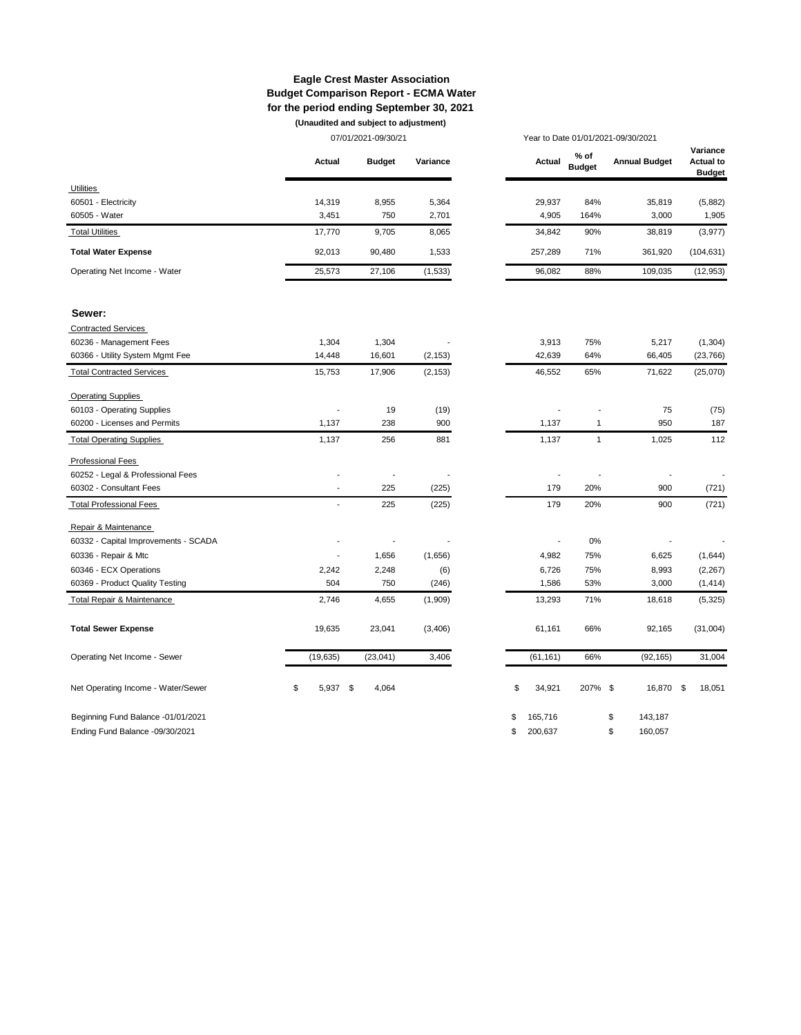#### **Eagle Crest Master Association Budget Comparison Report - ECMA Water for the period ending September 30, 2021 (Unaudited and subject to adjustment)**

|                                       |                          | 07/01/2021-09/30/21 |          |                | Year to Date 01/01/2021-09/30/2021 |                      |                                               |  |
|---------------------------------------|--------------------------|---------------------|----------|----------------|------------------------------------|----------------------|-----------------------------------------------|--|
|                                       | Actual                   | <b>Budget</b>       | Variance | Actual         | % of<br><b>Budget</b>              | <b>Annual Budget</b> | Variance<br><b>Actual to</b><br><b>Budget</b> |  |
| Utilities                             |                          |                     |          |                |                                    |                      |                                               |  |
| 60501 - Electricity                   | 14,319                   | 8,955               | 5,364    | 29,937         | 84%                                | 35,819               | (5,882)                                       |  |
| 60505 - Water                         | 3,451                    | 750                 | 2,701    | 4,905          | 164%                               | 3,000                | 1,905                                         |  |
| <b>Total Utilities</b>                | 17,770                   | 9,705               | 8,065    | 34,842         | 90%                                | 38,819               | (3, 977)                                      |  |
| <b>Total Water Expense</b>            | 92,013                   | 90,480              | 1,533    | 257,289        | 71%                                | 361,920              | (104, 631)                                    |  |
| Operating Net Income - Water          | 25,573                   | 27,106              | (1,533)  | 96,082         | 88%                                | 109,035              | (12, 953)                                     |  |
| Sewer:                                |                          |                     |          |                |                                    |                      |                                               |  |
| <b>Contracted Services</b>            |                          |                     |          |                |                                    |                      |                                               |  |
| 60236 - Management Fees               | 1,304                    | 1,304               |          | 3,913          | 75%                                | 5,217                | (1, 304)                                      |  |
| 60366 - Utility System Mgmt Fee       | 14,448                   | 16,601              | (2, 153) | 42,639         | 64%                                | 66,405               | (23, 766)                                     |  |
| <b>Total Contracted Services</b>      | 15,753                   | 17,906              | (2, 153) | 46,552         | 65%                                | 71,622               | (25,070)                                      |  |
| <b>Operating Supplies</b>             |                          |                     |          |                |                                    |                      |                                               |  |
| 60103 - Operating Supplies            | $\overline{a}$           | 19                  | (19)     |                |                                    | 75                   | (75)                                          |  |
| 60200 - Licenses and Permits          | 1,137                    | 238                 | 900      | 1,137          | $\mathbf{1}$                       | 950                  | 187                                           |  |
| <b>Total Operating Supplies</b>       | 1,137                    | 256                 | 881      | 1,137          | $\mathbf{1}$                       | 1,025                | 112                                           |  |
| <b>Professional Fees</b>              |                          |                     |          |                |                                    |                      |                                               |  |
| 60252 - Legal & Professional Fees     | $\overline{\phantom{a}}$ |                     |          |                |                                    | $\frac{1}{2}$        |                                               |  |
| 60302 - Consultant Fees               | $\overline{a}$           | 225                 | (225)    | 179            | 20%                                | 900                  | (721)                                         |  |
| <b>Total Professional Fees</b>        | $\overline{\phantom{a}}$ | 225                 | (225)    | 179            | 20%                                | 900                  | (721)                                         |  |
| Repair & Maintenance                  |                          |                     |          |                |                                    |                      |                                               |  |
| 60332 - Capital Improvements - SCADA  |                          | $\overline{a}$      |          | $\overline{a}$ | 0%                                 | $\overline{a}$       |                                               |  |
| 60336 - Repair & Mtc                  | Ĭ.                       | 1,656               | (1,656)  | 4,982          | 75%                                | 6,625                | (1,644)                                       |  |
| 60346 - ECX Operations                | 2,242                    | 2,248               | (6)      | 6,726          | 75%                                | 8,993                | (2, 267)                                      |  |
| 60369 - Product Quality Testing       | 504                      | 750                 | (246)    | 1,586          | 53%                                | 3,000                | (1, 414)                                      |  |
| <b>Total Repair &amp; Maintenance</b> | 2,746                    | 4,655               | (1,909)  | 13,293         | 71%                                | 18,618               | (5, 325)                                      |  |
| <b>Total Sewer Expense</b>            | 19,635                   | 23,041              | (3,406)  | 61,161         | 66%                                | 92,165               | (31,004)                                      |  |
| Operating Net Income - Sewer          | (19, 635)                | (23, 041)           | 3,406    | (61, 161)      | 66%                                | (92, 165)            | 31,004                                        |  |
| Net Operating Income - Water/Sewer    | \$<br>5,937 \$           | 4,064               |          | \$<br>34,921   | 207% \$                            | 16,870               | - \$<br>18,051                                |  |
| Beginning Fund Balance -01/01/2021    |                          |                     |          | \$<br>165,716  |                                    | \$<br>143,187        |                                               |  |

Ending Fund Balance -09/30/2021 \$ 200,637 \$ 160,057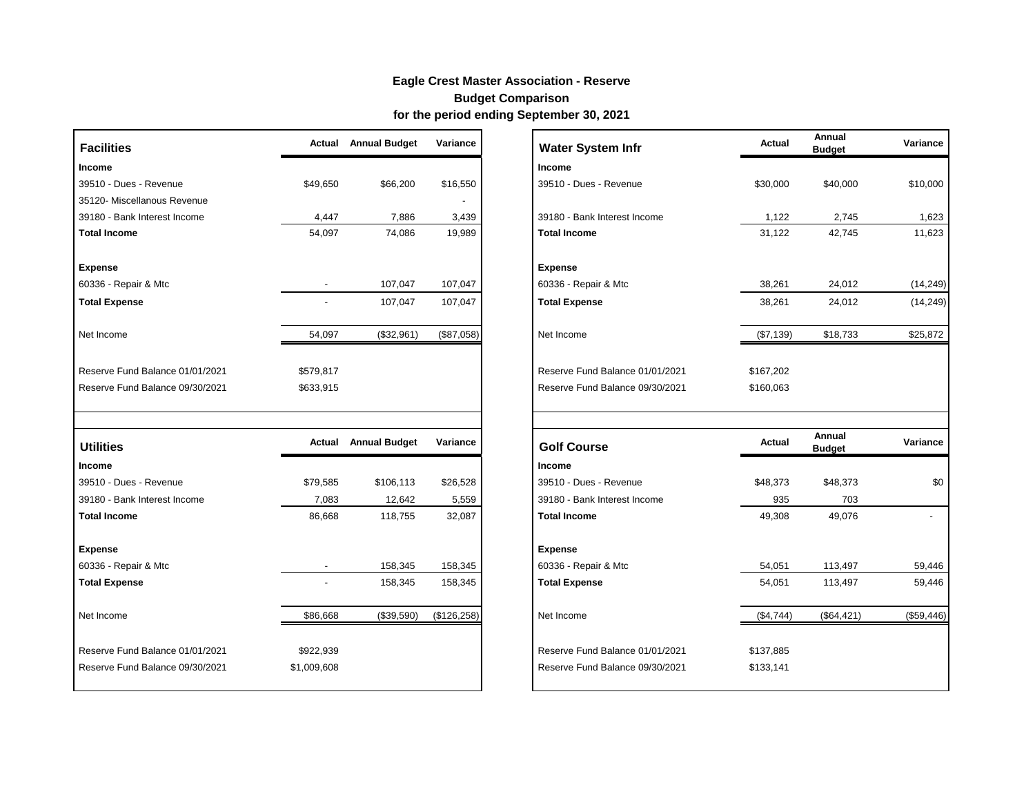# **Eagle Crest Master Association - Reserve**

# **Budget Comparison**

**for the period ending September 30, 2021**

| <b>Facilities</b>                | Actual                   | <b>Annual Budget</b> | Variance     | <b>Water System Infr</b>        | Actual    | Annual<br><b>Budget</b> | Variance  |
|----------------------------------|--------------------------|----------------------|--------------|---------------------------------|-----------|-------------------------|-----------|
| Income                           |                          |                      |              | Income                          |           |                         |           |
| 39510 - Dues - Revenue           | \$49,650                 | \$66,200             | \$16,550     | 39510 - Dues - Revenue          | \$30,000  | \$40,000                | \$10,000  |
| 35120- Miscellanous Revenue      |                          |                      |              |                                 |           |                         |           |
| 39180 - Bank Interest Income     | 4,447                    | 7,886                | 3,439        | 39180 - Bank Interest Income    | 1,122     | 2,745                   | 1,623     |
| <b>Total Income</b>              | 54,097                   | 74,086               | 19,989       | <b>Total Income</b>             | 31,122    | 42,745                  | 11,623    |
| <b>Expense</b>                   |                          |                      |              | <b>Expense</b>                  |           |                         |           |
| 60336 - Repair & Mtc             |                          | 107,047              | 107,047      | 60336 - Repair & Mtc            | 38,261    | 24,012                  | (14, 249) |
| <b>Total Expense</b>             | $\overline{\phantom{a}}$ | 107,047              | 107,047      | <b>Total Expense</b>            | 38,261    | 24,012                  | (14, 249) |
| Net Income                       | 54,097                   | (\$32,961)           | (\$87,058)   | Net Income                      | (\$7,139) | \$18,733                | \$25,872  |
| Reserve Fund Balance 01/01/2021  | \$579,817                |                      |              | Reserve Fund Balance 01/01/2021 | \$167,202 |                         |           |
| Reserve Fund Balance 09/30/2021  | \$633,915                |                      |              | Reserve Fund Balance 09/30/2021 | \$160,063 |                         |           |
| <b>Utilities</b>                 | Actual                   | <b>Annual Budget</b> | Variance     | <b>Golf Course</b>              | Actual    | Annual<br><b>Budget</b> | Variance  |
|                                  |                          |                      |              | <b>Income</b>                   |           |                         |           |
| Income<br>39510 - Dues - Revenue | \$79,585                 | \$106,113            | \$26,528     | 39510 - Dues - Revenue          | \$48,373  | \$48,373                | \$0       |
| 39180 - Bank Interest Income     | 7,083                    | 12,642               | 5,559        | 39180 - Bank Interest Income    | 935       | 703                     |           |
| <b>Total Income</b>              | 86,668                   | 118,755              | 32,087       | <b>Total Income</b>             | 49,308    | 49,076                  |           |
| <b>Expense</b>                   |                          |                      |              | <b>Expense</b>                  |           |                         |           |
| 60336 - Repair & Mtc             |                          | 158,345              | 158,345      | 60336 - Repair & Mtc            | 54,051    | 113,497                 | 59,446    |
| <b>Total Expense</b>             |                          | 158,345              | 158,345      | <b>Total Expense</b>            | 54,051    | 113,497                 | 59,446    |
| Net Income                       | \$86,668                 | (\$39,590)           | (\$126, 258) | Net Income                      | (\$4,744) | (\$64, 421)             | (\$59,446 |
| Reserve Fund Balance 01/01/2021  | \$922,939                |                      |              | Reserve Fund Balance 01/01/2021 | \$137,885 |                         |           |
| Reserve Fund Balance 09/30/2021  | \$1,009,608              |                      |              | Reserve Fund Balance 09/30/2021 | \$133,141 |                         |           |

| <b>Facilities</b>               |                          | <b>Actual</b> Annual Budget | Variance     | <b>Water System Infr</b>        | <b>Actual</b> | Annual<br><b>Budget</b> | Variance   |
|---------------------------------|--------------------------|-----------------------------|--------------|---------------------------------|---------------|-------------------------|------------|
| Income                          |                          |                             |              | <b>Income</b>                   |               |                         |            |
| 39510 - Dues - Revenue          | \$49,650                 | \$66,200                    | \$16,550     | 39510 - Dues - Revenue          | \$30,000      | \$40,000                | \$10,000   |
| 35120- Miscellanous Revenue     |                          |                             |              |                                 |               |                         |            |
| 39180 - Bank Interest Income    | 4,447                    | 7,886                       | 3,439        | 39180 - Bank Interest Income    | 1,122         | 2,745                   | 1,623      |
| <b>Total Income</b>             | 54,097                   | 74,086                      | 19,989       | <b>Total Income</b>             | 31,122        | 42,745                  | 11,623     |
| Expense                         |                          |                             |              | <b>Expense</b>                  |               |                         |            |
| 60336 - Repair & Mtc            |                          | 107,047                     | 107,047      | 60336 - Repair & Mtc            | 38,261        | 24,012                  | (14, 249)  |
| <b>Total Expense</b>            |                          | 107,047                     | 107,047      | <b>Total Expense</b>            | 38,261        | 24,012                  | (14, 249)  |
| Net Income                      | 54,097                   | (\$32,961)                  | (\$87,058)   | Net Income                      | (\$7,139)     | \$18,733                | \$25,872   |
| Reserve Fund Balance 01/01/2021 | \$579,817                |                             |              | Reserve Fund Balance 01/01/2021 | \$167,202     |                         |            |
| Reserve Fund Balance 09/30/2021 | \$633,915                |                             |              | Reserve Fund Balance 09/30/2021 | \$160,063     |                         |            |
|                                 |                          |                             |              |                                 |               |                         |            |
| <b>Utilities</b>                |                          | <b>Actual</b> Annual Budget | Variance     | <b>Golf Course</b>              | Actual        | Annual<br><b>Budget</b> | Variance   |
| Income                          |                          |                             |              | <b>Income</b>                   |               |                         |            |
| 39510 - Dues - Revenue          | \$79,585                 | \$106,113                   | \$26,528     | 39510 - Dues - Revenue          | \$48,373      | \$48,373                | \$0        |
| 39180 - Bank Interest Income    | 7,083                    | 12,642                      | 5,559        | 39180 - Bank Interest Income    | 935           | 703                     |            |
| <b>Total Income</b>             | 86,668                   | 118,755                     | 32,087       | <b>Total Income</b>             | 49,308        | 49,076                  |            |
| Expense                         |                          |                             |              | <b>Expense</b>                  |               |                         |            |
| 60336 - Repair & Mtc            | $\overline{\phantom{a}}$ | 158,345                     | 158,345      | 60336 - Repair & Mtc            | 54,051        | 113,497                 | 59,446     |
| <b>Total Expense</b>            |                          | 158,345                     | 158,345      | <b>Total Expense</b>            | 54,051        | 113,497                 | 59,446     |
| Net Income                      | \$86,668                 | (\$39,590)                  | (\$126, 258) | Net Income                      | (\$4,744)     | (\$64, 421)             | (\$59,446) |
| Reserve Fund Balance 01/01/2021 | \$922,939                |                             |              | Reserve Fund Balance 01/01/2021 | \$137,885     |                         |            |
| Reserve Fund Balance 09/30/2021 | \$1,009,608              |                             |              | Reserve Fund Balance 09/30/2021 | \$133,141     |                         |            |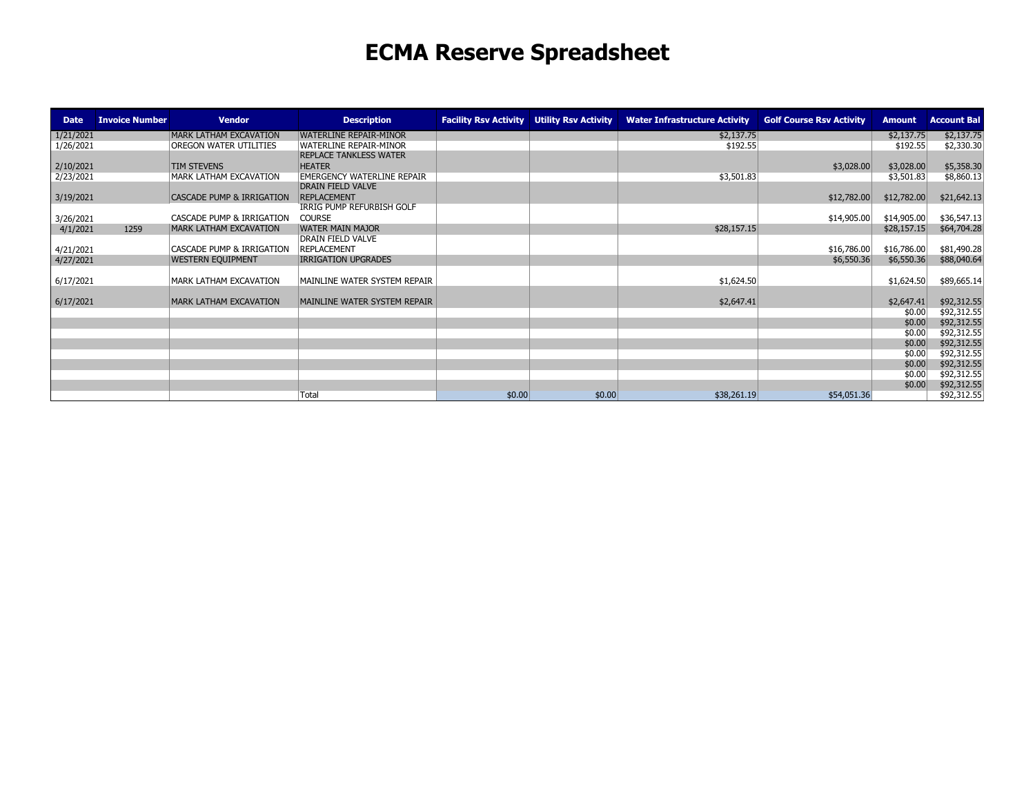# **ECMA Reserve Spreadsheet**

| <b>Date</b> | <b>Invoice Number</b> | <b>Vendor</b>                        | <b>Description</b>                | <b>Facility Rsv Activity</b> | <b>Utility Rsv Activity</b> | <b>Water Infrastructure Activity</b> | <b>Golf Course Rsv Activity</b> | <b>Amount</b>    | <b>Account Bal</b>         |
|-------------|-----------------------|--------------------------------------|-----------------------------------|------------------------------|-----------------------------|--------------------------------------|---------------------------------|------------------|----------------------------|
| 1/21/2021   |                       | MARK LATHAM EXCAVATION               | <b>WATERLINE REPAIR-MINOR</b>     |                              |                             | \$2,137.75                           |                                 | \$2,137.75       | \$2,137.75                 |
| 1/26/2021   |                       | OREGON WATER UTILITIES               | <b>WATERLINE REPAIR-MINOR</b>     |                              |                             | \$192.55                             |                                 | \$192.55         | \$2,330.30                 |
|             |                       |                                      | <b>REPLACE TANKLESS WATER</b>     |                              |                             |                                      |                                 |                  |                            |
| 2/10/2021   |                       | <b>TIM STEVENS</b>                   | <b>HEATER</b>                     |                              |                             |                                      | \$3,028.00                      | \$3,028.00       | \$5,358.30                 |
| 2/23/2021   |                       | MARK LATHAM EXCAVATION               | <b>EMERGENCY WATERLINE REPAIR</b> |                              |                             | \$3,501.83                           |                                 | \$3,501.83       | \$8,860.13                 |
|             |                       |                                      | <b>DRAIN FIELD VALVE</b>          |                              |                             |                                      |                                 |                  |                            |
| 3/19/2021   |                       | <b>CASCADE PUMP &amp; IRRIGATION</b> | <b>REPLACEMENT</b>                |                              |                             |                                      | \$12,782.00                     | \$12,782.00      | \$21,642.13                |
|             |                       |                                      | IRRIG PUMP REFURBISH GOLF         |                              |                             |                                      |                                 |                  |                            |
| 3/26/2021   |                       | CASCADE PUMP & IRRIGATION            | <b>COURSE</b>                     |                              |                             |                                      | \$14,905.00                     | \$14,905.00      | \$36,547.13                |
| 4/1/2021    | 1259                  | MARK LATHAM EXCAVATION               | <b>WATER MAIN MAJOR</b>           |                              |                             | \$28,157.15                          |                                 | \$28,157.15      | \$64,704.28                |
|             |                       |                                      | <b>DRAIN FIELD VALVE</b>          |                              |                             |                                      |                                 |                  |                            |
| 4/21/2021   |                       | CASCADE PUMP & IRRIGATION            | <b>REPLACEMENT</b>                |                              |                             |                                      | \$16,786.00                     | \$16,786.00      | \$81,490.28                |
| 4/27/2021   |                       | <b>WESTERN EQUIPMENT</b>             | IRRIGATION UPGRADES               |                              |                             |                                      | \$6,550.36                      | \$6,550.36       | \$88,040.64                |
|             |                       |                                      |                                   |                              |                             |                                      |                                 |                  |                            |
| 6/17/2021   |                       | MARK LATHAM EXCAVATION               | MAINLINE WATER SYSTEM REPAIR      |                              |                             | \$1,624.50                           |                                 | \$1,624.50       | \$89,665.14                |
|             |                       |                                      |                                   |                              |                             |                                      |                                 |                  |                            |
| 6/17/2021   |                       | MARK LATHAM EXCAVATION               | MAINLINE WATER SYSTEM REPAIR      |                              |                             | \$2,647.41                           |                                 | \$2,647.41       | \$92,312.55                |
|             |                       |                                      |                                   |                              |                             |                                      |                                 | \$0.00<br>\$0.00 | \$92,312.55<br>\$92,312.55 |
|             |                       |                                      |                                   |                              |                             |                                      |                                 | \$0.00           |                            |
|             |                       |                                      |                                   |                              |                             |                                      |                                 | \$0.00           | \$92,312.55<br>\$92,312.55 |
|             |                       |                                      |                                   |                              |                             |                                      |                                 | \$0.00           | \$92,312.55                |
|             |                       |                                      |                                   |                              |                             |                                      |                                 | \$0.00           | \$92,312.55                |
|             |                       |                                      |                                   |                              |                             |                                      |                                 | \$0.00           | \$92,312.55                |
|             |                       |                                      |                                   |                              |                             |                                      |                                 | \$0.00           | \$92,312.55                |
|             |                       |                                      | Total                             | \$0.00                       | \$0.00                      | \$38,261.19                          | \$54,051.36                     |                  | \$92,312.55                |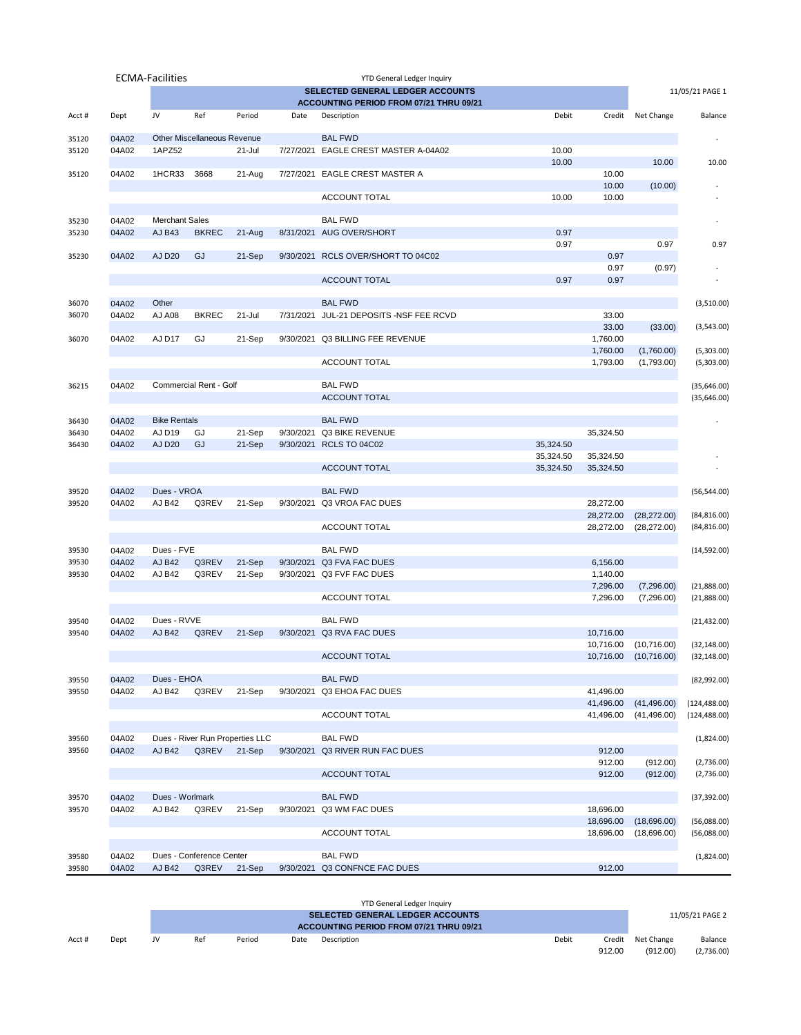|                |                | <b>ECMA-Facilities</b> |                             |                                 |           | YTD General Ledger Inquiry              |                        |                        |                            |                            |
|----------------|----------------|------------------------|-----------------------------|---------------------------------|-----------|-----------------------------------------|------------------------|------------------------|----------------------------|----------------------------|
|                |                |                        |                             |                                 |           | SELECTED GENERAL LEDGER ACCOUNTS        |                        |                        |                            | 11/05/21 PAGE 1            |
|                |                |                        |                             |                                 |           | ACCOUNTING PERIOD FROM 07/21 THRU 09/21 |                        |                        |                            |                            |
| Acct#          | Dept           | JV                     | Ref                         | Period                          | Date      | Description                             | Debit                  |                        | Credit Net Change          | Balance                    |
| 35120          | 04A02          |                        | Other Miscellaneous Revenue |                                 |           | <b>BAL FWD</b>                          |                        |                        |                            |                            |
| 35120          | 04A02          | 1APZ52                 |                             | 21-Jul                          |           | 7/27/2021 EAGLE CREST MASTER A-04A02    | 10.00                  |                        |                            |                            |
|                |                |                        |                             |                                 |           |                                         | 10.00                  | 10.00                  | 10.00                      | 10.00                      |
| 35120          | 04A02          | 1HCR33                 | 3668                        | 21-Aug                          |           | 7/27/2021 EAGLE CREST MASTER A          |                        | 10.00                  | (10.00)                    |                            |
|                |                |                        |                             |                                 |           | <b>ACCOUNT TOTAL</b>                    | 10.00                  | 10.00                  |                            |                            |
|                |                |                        |                             |                                 |           |                                         |                        |                        |                            |                            |
| 35230          | 04A02          | <b>Merchant Sales</b>  |                             |                                 |           | <b>BAL FWD</b>                          |                        |                        |                            |                            |
| 35230          | 04A02          | <b>AJ B43</b>          | <b>BKREC</b>                | 21-Aug                          |           | 8/31/2021 AUG OVER/SHORT                | 0.97                   |                        |                            |                            |
|                |                |                        |                             |                                 |           |                                         | 0.97                   |                        | 0.97                       | 0.97                       |
| 35230          | 04A02          | <b>AJ D20</b>          | GJ                          | 21-Sep                          |           | 9/30/2021 RCLS OVER/SHORT TO 04C02      |                        | 0.97<br>0.97           |                            |                            |
|                |                |                        |                             |                                 |           | <b>ACCOUNT TOTAL</b>                    | 0.97                   | 0.97                   | (0.97)                     |                            |
|                |                |                        |                             |                                 |           |                                         |                        |                        |                            |                            |
| 36070          | 04A02          | Other                  |                             |                                 |           | <b>BAL FWD</b>                          |                        |                        |                            | (3,510.00)                 |
| 36070          | 04A02          | <b>AJ A08</b>          | <b>BKREC</b>                | 21-Jul                          |           | 7/31/2021 JUL-21 DEPOSITS -NSF FEE RCVD |                        | 33.00                  |                            |                            |
|                |                |                        |                             |                                 |           |                                         |                        | 33.00                  | (33.00)                    | (3,543.00)                 |
| 36070          | 04A02          | AJ D17                 | GJ                          | 21-Sep                          |           | 9/30/2021 Q3 BILLING FEE REVENUE        |                        | 1,760.00               |                            |                            |
|                |                |                        |                             |                                 |           |                                         |                        | 1,760.00               | (1,760.00)                 | (5,303.00)                 |
|                |                |                        |                             |                                 |           | <b>ACCOUNT TOTAL</b>                    |                        | 1,793.00               | (1,793.00)                 | (5,303.00)                 |
| 36215          | 04A02          |                        | Commercial Rent - Golf      |                                 |           | <b>BAL FWD</b>                          |                        |                        |                            | (35,646.00)                |
|                |                |                        |                             |                                 |           | <b>ACCOUNT TOTAL</b>                    |                        |                        |                            | (35,646.00)                |
|                |                |                        |                             |                                 |           |                                         |                        |                        |                            |                            |
| 36430          | 04A02          | <b>Bike Rentals</b>    |                             |                                 |           | <b>BAL FWD</b>                          |                        |                        |                            |                            |
| 36430          | 04A02          | AJ D19                 | GJ                          | 21-Sep                          | 9/30/2021 | <b>Q3 BIKE REVENUE</b>                  |                        | 35,324.50              |                            |                            |
| 36430          | 04A02          | <b>AJ D20</b>          | GJ                          | 21-Sep                          |           | 9/30/2021 RCLS TO 04C02                 | 35,324.50              |                        |                            |                            |
|                |                |                        |                             |                                 |           | <b>ACCOUNT TOTAL</b>                    | 35,324.50<br>35,324.50 | 35,324.50<br>35,324.50 |                            |                            |
|                |                |                        |                             |                                 |           |                                         |                        |                        |                            |                            |
| 39520          | 04A02          | Dues - VROA            |                             |                                 |           | <b>BAL FWD</b>                          |                        |                        |                            | (56, 544.00)               |
| 39520          | 04A02          | <b>AJ B42</b>          | Q3REV                       | 21-Sep                          |           | 9/30/2021 Q3 VROA FAC DUES              |                        | 28,272.00              |                            |                            |
|                |                |                        |                             |                                 |           |                                         |                        | 28,272.00              | (28, 272.00)               | (84, 816.00)               |
|                |                |                        |                             |                                 |           | ACCOUNT TOTAL                           |                        | 28,272.00              | (28, 272.00)               | (84, 816.00)               |
|                |                | Dues - FVE             |                             |                                 |           | <b>BAL FWD</b>                          |                        |                        |                            |                            |
| 39530<br>39530 | 04A02<br>04A02 | <b>AJ B42</b>          | Q3REV                       | 21-Sep                          |           | 9/30/2021 Q3 FVA FAC DUES               |                        | 6,156.00               |                            | (14,592.00)                |
| 39530          | 04A02          | AJ B42                 | Q3REV                       | 21-Sep                          |           | 9/30/2021 Q3 FVF FAC DUES               |                        | 1,140.00               |                            |                            |
|                |                |                        |                             |                                 |           |                                         |                        | 7,296.00               | (7,296.00)                 | (21,888.00)                |
|                |                |                        |                             |                                 |           | <b>ACCOUNT TOTAL</b>                    |                        | 7,296.00               | (7,296.00)                 | (21,888.00)                |
|                |                |                        |                             |                                 |           |                                         |                        |                        |                            |                            |
| 39540          | 04A02          | Dues - RVVE            |                             |                                 |           | <b>BAL FWD</b>                          |                        |                        |                            | (21, 432.00)               |
| 39540          | 04A02          | <b>AJ B42</b>          | Q3REV                       | 21-Sep                          |           | 9/30/2021 Q3 RVA FAC DUES               |                        | 10,716.00              | 10,716.00 (10,716.00)      | (32, 148.00)               |
|                |                |                        |                             |                                 |           | <b>ACCOUNT TOTAL</b>                    |                        |                        | 10,716.00 (10,716.00)      | (32, 148.00)               |
|                |                |                        |                             |                                 |           |                                         |                        |                        |                            |                            |
| 39550          | 04A02          | Dues - EHOA            |                             |                                 |           | <b>BAL FWD</b>                          |                        |                        |                            | (82,992.00)                |
| 39550          | 04A02          | <b>AJ B42</b>          | Q3REV                       | 21-Sep                          |           | 9/30/2021 Q3 EHOA FAC DUES              |                        | 41,496.00              |                            |                            |
|                |                |                        |                             |                                 |           |                                         |                        | 41,496.00              | (41, 496.00)               | (124, 488.00)              |
|                |                |                        |                             |                                 |           | <b>ACCOUNT TOTAL</b>                    |                        | 41,496.00              | (41, 496.00)               | (124,488.00)               |
| 39560          | 04A02          |                        |                             | Dues - River Run Properties LLC |           | <b>BAL FWD</b>                          |                        |                        |                            | (1,824.00)                 |
| 39560          | 04A02          | <b>AJ B42</b>          | Q3REV                       | 21-Sep                          |           | 9/30/2021 Q3 RIVER RUN FAC DUES         |                        | 912.00                 |                            |                            |
|                |                |                        |                             |                                 |           |                                         |                        | 912.00                 | (912.00)                   | (2,736.00)                 |
|                |                |                        |                             |                                 |           | <b>ACCOUNT TOTAL</b>                    |                        | 912.00                 | (912.00)                   | (2,736.00)                 |
|                |                |                        |                             |                                 |           |                                         |                        |                        |                            |                            |
| 39570          | 04A02          | Dues - Worlmark        |                             |                                 |           | <b>BAL FWD</b>                          |                        |                        |                            | (37, 392.00)               |
| 39570          | 04A02          | <b>AJ B42</b>          | Q3REV                       | 21-Sep                          |           | 9/30/2021 Q3 WM FAC DUES                |                        | 18,696.00              |                            |                            |
|                |                |                        |                             |                                 |           | ACCOUNT TOTAL                           |                        | 18,696.00<br>18,696.00 | (18,696.00)<br>(18,696.00) | (56,088.00)<br>(56,088.00) |
|                |                |                        |                             |                                 |           |                                         |                        |                        |                            |                            |
| 39580          | 04A02          |                        | Dues - Conference Center    |                                 |           | <b>BAL FWD</b>                          |                        |                        |                            | (1,824.00)                 |
| 39580          | 04A02          | <b>AJ B42</b>          | Q3REV                       | 21-Sep                          |           | 9/30/2021 Q3 CONFNCE FAC DUES           |                        | 912.00                 |                            |                            |
|                |                |                        |                             |                                 |           |                                         |                        |                        |                            |                            |

|       |      |    |     |        |                 | YTD General Ledger Inquiry |       |        |            |            |
|-------|------|----|-----|--------|-----------------|----------------------------|-------|--------|------------|------------|
|       |      |    |     |        | 11/05/21 PAGE 2 |                            |       |        |            |            |
|       |      |    |     |        |                 |                            |       |        |            |            |
| Acct# | Dept | JV | Ref | Period | Date            | Description                | Debit | Credit | Net Change | Balance    |
|       |      |    |     |        |                 |                            |       | 912.00 | (912.00)   | (2,736.00) |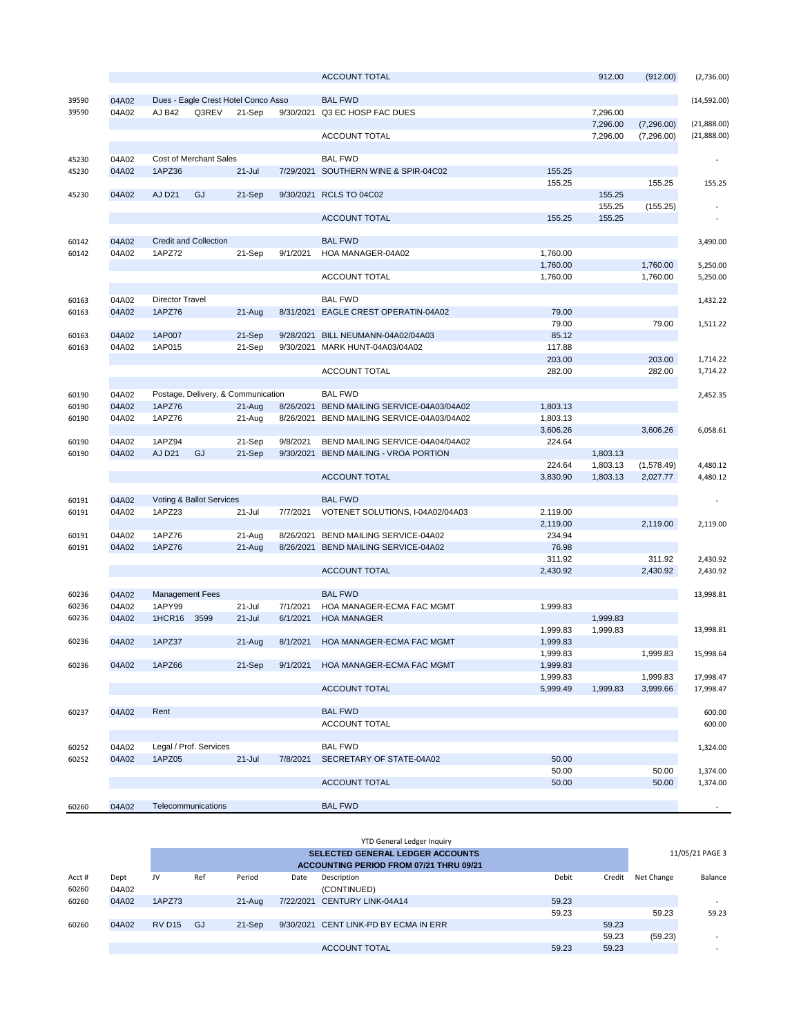|       |       |                        |                              |                                     |           | <b>ACCOUNT TOTAL</b>               |          | 912.00   | (912.00)   | (2,736.00)   |
|-------|-------|------------------------|------------------------------|-------------------------------------|-----------|------------------------------------|----------|----------|------------|--------------|
| 39590 | 04A02 |                        |                              | Dues - Eagle Crest Hotel Conco Asso |           | <b>BAL FWD</b>                     |          |          |            | (14, 592.00) |
| 39590 | 04A02 | <b>AJ B42</b>          | Q3REV                        | 21-Sep                              | 9/30/2021 | Q3 EC HOSP FAC DUES                |          | 7,296.00 |            |              |
|       |       |                        |                              |                                     |           |                                    |          | 7,296.00 | (7,296.00) | (21,888.00)  |
|       |       |                        |                              |                                     |           | ACCOUNT TOTAL                      |          | 7,296.00 | (7,296.00) | (21,888.00)  |
|       |       |                        |                              |                                     |           |                                    |          |          |            |              |
| 45230 | 04A02 |                        | Cost of Merchant Sales       |                                     |           | <b>BAL FWD</b>                     |          |          |            |              |
| 45230 | 04A02 | 1APZ36                 |                              | $21 -$ Jul                          | 7/29/2021 | SOUTHERN WINE & SPIR-04C02         | 155.25   |          |            |              |
|       |       |                        |                              |                                     |           |                                    | 155.25   |          | 155.25     | 155.25       |
| 45230 | 04A02 | <b>AJ D21</b>          | GJ                           | 21-Sep                              | 9/30/2021 | <b>RCLS TO 04C02</b>               |          | 155.25   |            |              |
|       |       |                        |                              |                                     |           |                                    |          | 155.25   | (155.25)   |              |
|       |       |                        |                              |                                     |           | <b>ACCOUNT TOTAL</b>               | 155.25   | 155.25   |            |              |
|       |       |                        |                              |                                     |           |                                    |          |          |            |              |
| 60142 | 04A02 |                        | <b>Credit and Collection</b> |                                     |           | <b>BAL FWD</b>                     |          |          |            | 3,490.00     |
| 60142 | 04A02 | 1APZ72                 |                              | 21-Sep                              | 9/1/2021  | HOA MANAGER-04A02                  | 1,760.00 |          |            |              |
|       |       |                        |                              |                                     |           |                                    | 1,760.00 |          | 1,760.00   | 5,250.00     |
|       |       |                        |                              |                                     |           | ACCOUNT TOTAL                      | 1,760.00 |          | 1,760.00   | 5,250.00     |
|       |       |                        |                              |                                     |           |                                    |          |          |            |              |
| 60163 | 04A02 | Director Travel        |                              |                                     |           | <b>BAL FWD</b>                     |          |          |            | 1,432.22     |
| 60163 | 04A02 | 1APZ76                 |                              | $21-Aug$                            | 8/31/2021 | EAGLE CREST OPERATIN-04A02         | 79.00    |          |            |              |
|       |       |                        |                              |                                     |           |                                    | 79.00    |          | 79.00      | 1,511.22     |
| 60163 | 04A02 | 1AP007                 |                              | 21-Sep                              | 9/28/2021 | BILL NEUMANN-04A02/04A03           | 85.12    |          |            |              |
| 60163 | 04A02 | 1AP015                 |                              | 21-Sep                              | 9/30/2021 | MARK HUNT-04A03/04A02              | 117.88   |          |            |              |
|       |       |                        |                              |                                     |           |                                    | 203.00   |          | 203.00     | 1,714.22     |
|       |       |                        |                              |                                     |           | ACCOUNT TOTAL                      | 282.00   |          | 282.00     | 1,714.22     |
|       |       |                        |                              |                                     |           |                                    |          |          |            |              |
| 60190 | 04A02 |                        |                              | Postage, Delivery, & Communication  |           | <b>BAL FWD</b>                     |          |          |            | 2,452.35     |
| 60190 | 04A02 | 1APZ76                 |                              | $21-Aug$                            | 8/26/2021 | BEND MAILING SERVICE-04A03/04A02   | 1,803.13 |          |            |              |
| 60190 | 04A02 | 1APZ76                 |                              | 21-Aug                              | 8/26/2021 | BEND MAILING SERVICE-04A03/04A02   | 1,803.13 |          |            |              |
|       |       |                        |                              |                                     |           |                                    | 3,606.26 |          | 3,606.26   | 6,058.61     |
| 60190 | 04A02 | 1APZ94                 |                              | 21-Sep                              | 9/8/2021  | BEND MAILING SERVICE-04A04/04A02   | 224.64   |          |            |              |
| 60190 | 04A02 | <b>AJ D21</b>          | GJ                           | 21-Sep                              | 9/30/2021 | <b>BEND MAILING - VROA PORTION</b> |          | 1,803.13 |            |              |
|       |       |                        |                              |                                     |           |                                    | 224.64   | 1,803.13 | (1,578.49) | 4,480.12     |
|       |       |                        |                              |                                     |           | <b>ACCOUNT TOTAL</b>               | 3,830.90 | 1,803.13 | 2,027.77   | 4,480.12     |
|       |       |                        |                              |                                     |           |                                    |          |          |            |              |
| 60191 | 04A02 |                        | Voting & Ballot Services     |                                     |           | <b>BAL FWD</b>                     |          |          |            |              |
| 60191 | 04A02 | 1APZ23                 |                              | 21-Jul                              | 7/7/2021  | VOTENET SOLUTIONS, I-04A02/04A03   | 2,119.00 |          |            |              |
|       |       |                        |                              |                                     |           |                                    | 2,119.00 |          | 2,119.00   | 2,119.00     |
| 60191 | 04A02 | 1APZ76                 |                              | 21-Aug                              | 8/26/2021 | BEND MAILING SERVICE-04A02         | 234.94   |          |            |              |
| 60191 | 04A02 | 1APZ76                 |                              | $21-Aug$                            | 8/26/2021 | BEND MAILING SERVICE-04A02         | 76.98    |          |            |              |
|       |       |                        |                              |                                     |           |                                    | 311.92   |          | 311.92     | 2,430.92     |
|       |       |                        |                              |                                     |           | <b>ACCOUNT TOTAL</b>               | 2,430.92 |          | 2,430.92   | 2,430.92     |
|       |       |                        |                              |                                     |           |                                    |          |          |            |              |
| 60236 | 04A02 | <b>Management Fees</b> |                              |                                     |           | <b>BAL FWD</b>                     |          |          |            | 13,998.81    |
| 60236 | 04A02 | 1APY99                 |                              | $21 -$ Jul                          | 7/1/2021  | HOA MANAGER-ECMA FAC MGMT          | 1,999.83 |          |            |              |
| 60236 | 04A02 | <b>1HCR16</b>          | 3599                         | $21 -$ Jul                          | 6/1/2021  | <b>HOA MANAGER</b>                 |          | 1,999.83 |            |              |
|       |       |                        |                              |                                     |           |                                    | 1,999.83 | 1,999.83 |            | 13,998.81    |
| 60236 | 04A02 | 1APZ37                 |                              | 21-Aug                              | 8/1/2021  | HOA MANAGER-ECMA FAC MGMT          | 1,999.83 |          |            |              |
|       |       |                        |                              |                                     |           |                                    | 1,999.83 |          | 1,999.83   | 15,998.64    |
| 60236 | 04A02 | 1APZ66                 |                              | 21-Sep                              | 9/1/2021  | HOA MANAGER-ECMA FAC MGMT          | 1,999.83 |          |            |              |
|       |       |                        |                              |                                     |           |                                    | 1,999.83 |          | 1,999.83   | 17,998.47    |
|       |       |                        |                              |                                     |           | <b>ACCOUNT TOTAL</b>               | 5,999.49 | 1,999.83 | 3,999.66   | 17,998.47    |
|       |       |                        |                              |                                     |           |                                    |          |          |            |              |
| 60237 | 04A02 | Rent                   |                              |                                     |           | <b>BAL FWD</b>                     |          |          |            | 600.00       |
|       |       |                        |                              |                                     |           | ACCOUNT TOTAL                      |          |          |            | 600.00       |
|       |       |                        |                              |                                     |           |                                    |          |          |            |              |
|       |       |                        |                              |                                     |           | <b>BAL FWD</b>                     |          |          |            |              |
| 60252 | 04A02 | 1APZ05                 | Legal / Prof. Services       | $21 -$ Jul                          |           | SECRETARY OF STATE-04A02           | 50.00    |          |            | 1,324.00     |
| 60252 | 04A02 |                        |                              |                                     | 7/8/2021  |                                    |          |          |            |              |
|       |       |                        |                              |                                     |           |                                    | 50.00    |          | 50.00      | 1,374.00     |
|       |       |                        |                              |                                     |           | <b>ACCOUNT TOTAL</b>               | 50.00    |          | 50.00      | 1,374.00     |
|       | 04A02 |                        | Telecommunications           |                                     |           | <b>BAL FWD</b>                     |          |          |            |              |
| 60260 |       |                        |                              |                                     |           |                                    |          |          |            |              |

|        |       |               |     |            |           | <b>SELECTED GENERAL LEDGER ACCOUNTS</b>        |                        |            | 11/05/21 PAGE 3          |
|--------|-------|---------------|-----|------------|-----------|------------------------------------------------|------------------------|------------|--------------------------|
|        |       |               |     |            |           | <b>ACCOUNTING PERIOD FROM 07/21 THRU 09/21</b> |                        |            |                          |
| Acct # | Dept  | JV            | Ref | Period     | Date      | Description                                    | <b>Debit</b><br>Credit | Net Change | Balance                  |
| 60260  | 04A02 |               |     |            |           | (CONTINUED)                                    |                        |            |                          |
| 60260  | 04A02 | 1APZ73        |     | $21 - Aug$ | 7/22/2021 | CENTURY LINK-04A14                             | 59.23                  |            | $\overline{\phantom{a}}$ |
|        |       |               |     |            |           |                                                | 59.23                  | 59.23      | 59.23                    |
| 60260  | 04A02 | <b>RV D15</b> | GJ  | 21-Sep     |           | 9/30/2021 CENT LINK-PD BY ECMA IN ERR          | 59.23                  |            |                          |
|        |       |               |     |            |           |                                                | 59.23                  | (59.23)    | $\overline{\phantom{a}}$ |
|        |       |               |     |            |           | <b>ACCOUNT TOTAL</b>                           | 59.23<br>59.23         |            | $\overline{\phantom{a}}$ |
|        |       |               |     |            |           |                                                |                        |            |                          |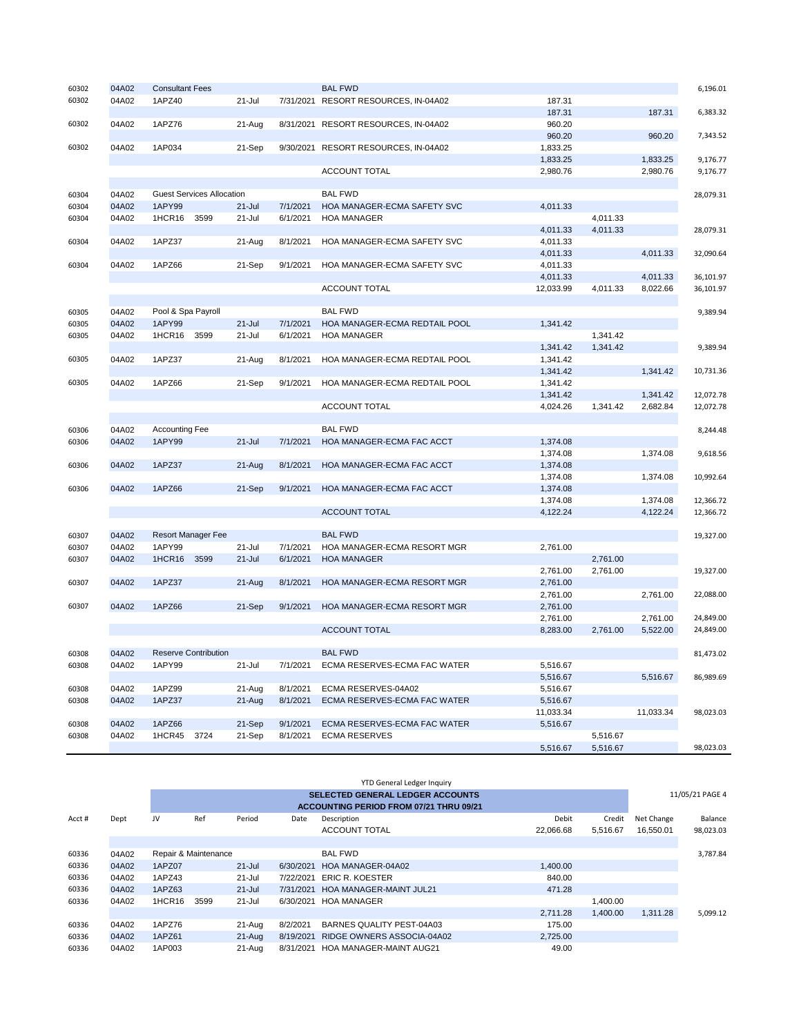| 60302 | 04A02 | <b>Consultant Fees</b>           |            |           | <b>BAL FWD</b>                       |           |          |           | 6,196.01  |
|-------|-------|----------------------------------|------------|-----------|--------------------------------------|-----------|----------|-----------|-----------|
| 60302 | 04A02 | 1APZ40                           | 21-Jul     |           | 7/31/2021 RESORT RESOURCES, IN-04A02 | 187.31    |          |           |           |
|       |       |                                  |            |           |                                      | 187.31    |          | 187.31    | 6,383.32  |
| 60302 | 04A02 | 1APZ76                           | 21-Aug     | 8/31/2021 | RESORT RESOURCES, IN-04A02           | 960.20    |          |           |           |
|       |       |                                  |            |           |                                      | 960.20    |          | 960.20    | 7,343.52  |
| 60302 | 04A02 | 1AP034                           | 21-Sep     | 9/30/2021 | RESORT RESOURCES, IN-04A02           | 1,833.25  |          |           |           |
|       |       |                                  |            |           |                                      | 1,833.25  |          | 1,833.25  | 9,176.77  |
|       |       |                                  |            |           | ACCOUNT TOTAL                        | 2,980.76  |          | 2,980.76  | 9,176.77  |
|       |       |                                  |            |           |                                      |           |          |           |           |
| 60304 | 04A02 | <b>Guest Services Allocation</b> |            |           | <b>BAL FWD</b>                       |           |          |           | 28,079.31 |
| 60304 | 04A02 | 1APY99                           | $21 -$ Jul | 7/1/2021  | HOA MANAGER-ECMA SAFETY SVC          | 4,011.33  |          |           |           |
| 60304 | 04A02 | 1HCR16<br>3599                   | 21-Jul     | 6/1/2021  | <b>HOA MANAGER</b>                   |           | 4,011.33 |           |           |
|       |       |                                  |            |           |                                      | 4,011.33  | 4,011.33 |           | 28,079.31 |
| 60304 | 04A02 | 1APZ37                           | 21-Aug     | 8/1/2021  | HOA MANAGER-ECMA SAFETY SVC          | 4,011.33  |          |           |           |
|       |       |                                  |            |           |                                      | 4,011.33  |          | 4,011.33  | 32,090.64 |
| 60304 | 04A02 | 1APZ66                           | 21-Sep     | 9/1/2021  | HOA MANAGER-ECMA SAFETY SVC          | 4,011.33  |          |           |           |
|       |       |                                  |            |           |                                      | 4,011.33  |          | 4,011.33  | 36,101.97 |
|       |       |                                  |            |           | ACCOUNT TOTAL                        | 12,033.99 | 4,011.33 | 8,022.66  | 36,101.97 |
|       |       |                                  |            |           |                                      |           |          |           |           |
| 60305 | 04A02 | Pool & Spa Payroll               |            |           | <b>BAL FWD</b>                       |           |          |           | 9,389.94  |
| 60305 | 04A02 | <b>1APY99</b>                    | $21 -$ Jul | 7/1/2021  | HOA MANAGER-ECMA REDTAIL POOL        | 1.341.42  |          |           |           |
| 60305 | 04A02 | 1HCR16<br>3599                   | $21 -$ Jul | 6/1/2021  | <b>HOA MANAGER</b>                   |           | 1,341.42 |           |           |
|       |       |                                  |            |           |                                      | 1,341.42  | 1,341.42 |           | 9,389.94  |
| 60305 | 04A02 | 1APZ37                           | 21-Aug     | 8/1/2021  | HOA MANAGER-ECMA REDTAIL POOL        | 1,341.42  |          |           |           |
|       |       |                                  |            |           |                                      | 1,341.42  |          | 1.341.42  | 10,731.36 |
| 60305 | 04A02 | 1APZ66                           | 21-Sep     | 9/1/2021  | HOA MANAGER-ECMA REDTAIL POOL        | 1,341.42  |          |           |           |
|       |       |                                  |            |           |                                      | 1,341.42  |          | 1,341.42  | 12,072.78 |
|       |       |                                  |            |           | ACCOUNT TOTAL                        | 4,024.26  | 1,341.42 | 2,682.84  | 12,072.78 |
|       |       |                                  |            |           |                                      |           |          |           |           |
| 60306 | 04A02 | <b>Accounting Fee</b>            |            |           | <b>BAL FWD</b>                       |           |          |           | 8,244.48  |
| 60306 | 04A02 | <b>1APY99</b>                    | 21-Jul     | 7/1/2021  | HOA MANAGER-ECMA FAC ACCT            | 1,374.08  |          |           |           |
|       |       |                                  |            |           |                                      | 1,374.08  |          | 1,374.08  | 9,618.56  |
| 60306 | 04A02 | <b>1APZ37</b>                    | 21-Aug     | 8/1/2021  | <b>HOA MANAGER-ECMA FAC ACCT</b>     | 1,374.08  |          |           |           |
|       |       |                                  |            |           |                                      | 1,374.08  |          | 1,374.08  | 10,992.64 |
| 60306 | 04A02 | 1APZ66                           | 21-Sep     | 9/1/2021  | HOA MANAGER-ECMA FAC ACCT            | 1,374.08  |          |           |           |
|       |       |                                  |            |           |                                      | 1,374.08  |          | 1,374.08  | 12,366.72 |
|       |       |                                  |            |           | <b>ACCOUNT TOTAL</b>                 | 4,122.24  |          | 4,122.24  | 12,366.72 |
|       |       |                                  |            |           |                                      |           |          |           |           |
| 60307 | 04A02 | <b>Resort Manager Fee</b>        |            |           | <b>BAL FWD</b>                       |           |          |           | 19,327.00 |
| 60307 | 04A02 | 1APY99                           | $21 -$ Jul | 7/1/2021  | HOA MANAGER-ECMA RESORT MGR          | 2,761.00  |          |           |           |
| 60307 | 04A02 | 1HCR16<br>3599                   | $21 -$ Jul | 6/1/2021  | <b>HOA MANAGER</b>                   |           | 2,761.00 |           |           |
|       |       |                                  |            |           |                                      | 2,761.00  | 2,761.00 |           | 19,327.00 |
| 60307 | 04A02 | 1APZ37                           | 21-Aug     | 8/1/2021  | HOA MANAGER-ECMA RESORT MGR          | 2,761.00  |          |           |           |
|       |       |                                  |            |           |                                      | 2,761.00  |          | 2,761.00  | 22,088.00 |
| 60307 | 04A02 | 1APZ66                           | 21-Sep     | 9/1/2021  | HOA MANAGER-ECMA RESORT MGR          | 2,761.00  |          |           |           |
|       |       |                                  |            |           |                                      | 2,761.00  |          | 2,761.00  | 24,849.00 |
|       |       |                                  |            |           | <b>ACCOUNT TOTAL</b>                 | 8,283.00  | 2,761.00 | 5,522.00  | 24,849.00 |
|       |       |                                  |            |           |                                      |           |          |           |           |
| 60308 | 04A02 | <b>Reserve Contribution</b>      |            |           | <b>BAL FWD</b>                       |           |          |           | 81,473.02 |
| 60308 | 04A02 | 1APY99                           | $21 -$ Jul | 7/1/2021  | ECMA RESERVES-ECMA FAC WATER         | 5,516.67  |          |           |           |
|       |       |                                  |            |           |                                      | 5,516.67  |          | 5,516.67  | 86,989.69 |
| 60308 | 04A02 | 1APZ99                           | 21-Aug     | 8/1/2021  | ECMA RESERVES-04A02                  | 5,516.67  |          |           |           |
| 60308 | 04A02 | 1APZ37                           | 21-Aug     | 8/1/2021  | ECMA RESERVES-ECMA FAC WATER         | 5,516.67  |          |           |           |
|       |       |                                  |            |           |                                      | 11,033.34 |          | 11,033.34 | 98,023.03 |
| 60308 | 04A02 | 1APZ66                           | 21-Sep     | 9/1/2021  | ECMA RESERVES-ECMA FAC WATER         | 5,516.67  |          |           |           |
| 60308 | 04A02 | 1HCR45<br>3724                   | 21-Sep     | 8/1/2021  | <b>ECMA RESERVES</b>                 |           | 5,516.67 |           |           |
|       |       |                                  |            |           |                                      | 5.516.67  | 5.516.67 |           | 98.023.03 |

| <b>YTD General Ledger Inquiry</b> |       |        |                      |            |           |                                                |           |          |            |                 |
|-----------------------------------|-------|--------|----------------------|------------|-----------|------------------------------------------------|-----------|----------|------------|-----------------|
|                                   |       |        |                      |            |           | <b>SELECTED GENERAL LEDGER ACCOUNTS</b>        |           |          |            | 11/05/21 PAGE 4 |
|                                   |       |        |                      |            |           | <b>ACCOUNTING PERIOD FROM 07/21 THRU 09/21</b> |           |          |            |                 |
| Acct #                            | Dept  | JV     | Ref                  | Period     | Date      | Description                                    | Debit     | Credit   | Net Change | Balance         |
|                                   |       |        |                      |            |           | <b>ACCOUNT TOTAL</b>                           | 22.066.68 | 5,516.67 | 16.550.01  | 98,023.03       |
|                                   |       |        |                      |            |           |                                                |           |          |            |                 |
| 60336                             | 04A02 |        | Repair & Maintenance |            |           | <b>BAL FWD</b>                                 |           |          |            | 3,787.84        |
| 60336                             | 04A02 | 1APZ07 |                      | $21 -$ Jul | 6/30/2021 | HOA MANAGER-04A02                              | 1,400.00  |          |            |                 |
| 60336                             | 04A02 | 1APZ43 |                      | 21-Jul     | 7/22/2021 | ERIC R. KOESTER                                | 840.00    |          |            |                 |
| 60336                             | 04A02 | 1APZ63 |                      | $21 -$ Jul | 7/31/2021 | HOA MANAGER-MAINT JUL21                        | 471.28    |          |            |                 |
| 60336                             | 04A02 | 1HCR16 | 3599                 | 21-Jul     | 6/30/2021 | <b>HOA MANAGER</b>                             |           | 1,400.00 |            |                 |
|                                   |       |        |                      |            |           |                                                | 2.711.28  | 1,400.00 | 1,311.28   | 5,099.12        |
| 60336                             | 04A02 | 1APZ76 |                      | 21-Aug     | 8/2/2021  | BARNES QUALITY PEST-04A03                      | 175.00    |          |            |                 |
| 60336                             | 04A02 | 1APZ61 |                      | $21 - Aug$ | 8/19/2021 | RIDGE OWNERS ASSOCIA-04A02                     | 2,725.00  |          |            |                 |
| 60336                             | 04A02 | 1AP003 |                      | 21-Aug     | 8/31/2021 | <b>HOA MANAGER-MAINT AUG21</b>                 | 49.00     |          |            |                 |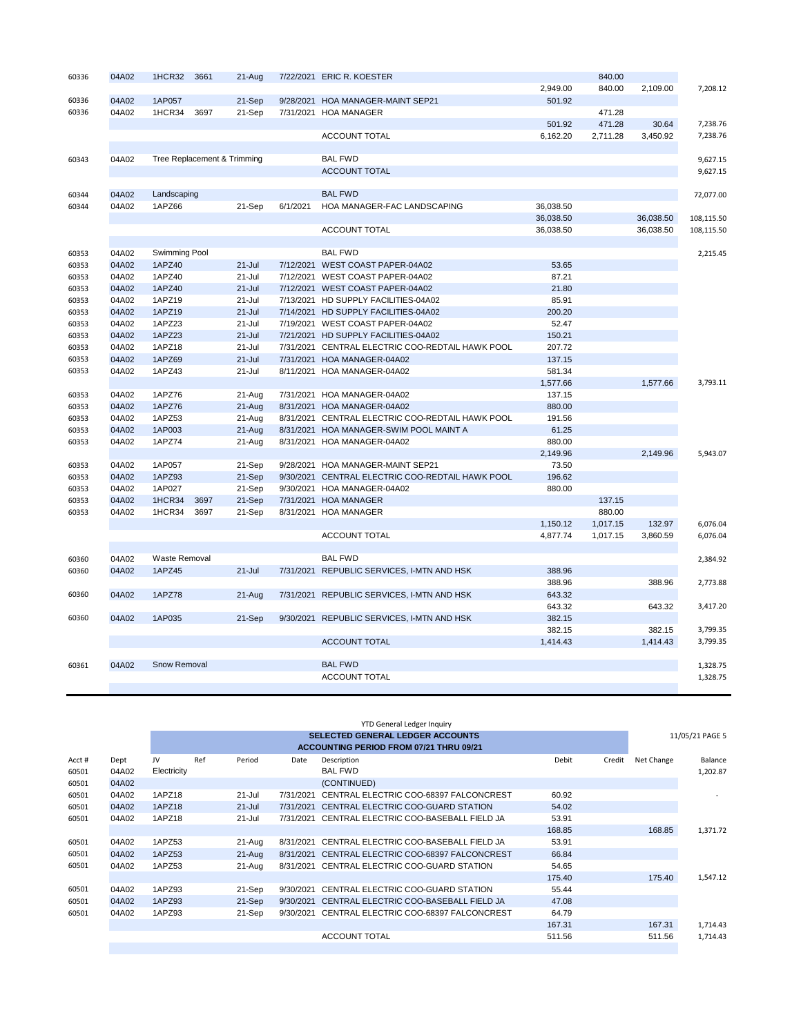| 60336 | 04A02 | 1HCR32        | 3661 | 21-Aug                      |           | 7/22/2021 ERIC R. KOESTER                  |           | 840.00   |           |            |
|-------|-------|---------------|------|-----------------------------|-----------|--------------------------------------------|-----------|----------|-----------|------------|
|       |       |               |      |                             |           |                                            | 2,949.00  | 840.00   | 2,109.00  | 7,208.12   |
| 60336 | 04A02 | 1AP057        |      | 21-Sep                      | 9/28/2021 | <b>HOA MANAGER-MAINT SEP21</b>             | 501.92    |          |           |            |
| 60336 | 04A02 | 1HCR34        | 3697 | 21-Sep                      | 7/31/2021 | <b>HOA MANAGER</b>                         |           | 471.28   |           |            |
|       |       |               |      |                             |           |                                            | 501.92    | 471.28   | 30.64     | 7,238.76   |
|       |       |               |      |                             |           | <b>ACCOUNT TOTAL</b>                       | 6.162.20  | 2,711.28 | 3,450.92  | 7,238.76   |
|       |       |               |      |                             |           |                                            |           |          |           |            |
| 60343 | 04A02 |               |      | Tree Replacement & Trimming |           | <b>BAL FWD</b>                             |           |          |           | 9,627.15   |
|       |       |               |      |                             |           | <b>ACCOUNT TOTAL</b>                       |           |          |           | 9,627.15   |
|       |       |               |      |                             |           |                                            |           |          |           |            |
| 60344 | 04A02 | Landscaping   |      |                             |           | <b>BAL FWD</b>                             |           |          |           | 72,077.00  |
| 60344 | 04A02 | 1APZ66        |      | 21-Sep                      | 6/1/2021  | HOA MANAGER-FAC LANDSCAPING                | 36,038.50 |          |           |            |
|       |       |               |      |                             |           |                                            | 36,038.50 |          | 36,038.50 | 108,115.50 |
|       |       |               |      |                             |           | <b>ACCOUNT TOTAL</b>                       | 36,038.50 |          | 36,038.50 | 108,115.50 |
|       |       |               |      |                             |           |                                            |           |          |           |            |
| 60353 | 04A02 | Swimming Pool |      |                             |           | <b>BAL FWD</b>                             |           |          |           | 2.215.45   |
| 60353 | 04A02 | 1APZ40        |      | $21 -$ Jul                  | 7/12/2021 | WEST COAST PAPER-04A02                     | 53.65     |          |           |            |
| 60353 | 04A02 | 1APZ40        |      | $21 -$ Jul                  | 7/12/2021 | WEST COAST PAPER-04A02                     | 87.21     |          |           |            |
| 60353 | 04A02 | 1APZ40        |      | $21 -$ Jul                  |           | 7/12/2021 WEST COAST PAPER-04A02           | 21.80     |          |           |            |
| 60353 | 04A02 | 1APZ19        |      | $21 -$ Jul                  | 7/13/2021 | HD SUPPLY FACILITIES-04A02                 | 85.91     |          |           |            |
| 60353 | 04A02 | 1APZ19        |      | $21 -$ Jul                  | 7/14/2021 | HD SUPPLY FACILITIES-04A02                 | 200.20    |          |           |            |
| 60353 | 04A02 | 1APZ23        |      | $21 -$ Jul                  |           | 7/19/2021 WEST COAST PAPER-04A02           | 52.47     |          |           |            |
| 60353 | 04A02 | 1APZ23        |      | $21 -$ Jul                  | 7/21/2021 | HD SUPPLY FACILITIES-04A02                 | 150.21    |          |           |            |
| 60353 | 04A02 | 1APZ18        |      | $21 -$ Jul                  | 7/31/2021 | CENTRAL ELECTRIC COO-REDTAIL HAWK POOL     | 207.72    |          |           |            |
| 60353 | 04A02 | 1APZ69        |      | $21 -$ Jul                  | 7/31/2021 | HOA MANAGER-04A02                          | 137.15    |          |           |            |
| 60353 | 04A02 | 1APZ43        |      | $21 -$ Jul                  | 8/11/2021 | HOA MANAGER-04A02                          | 581.34    |          |           |            |
|       |       |               |      |                             |           |                                            | 1,577.66  |          | 1,577.66  | 3,793.11   |
| 60353 | 04A02 | 1APZ76        |      | 21-Aug                      | 7/31/2021 | HOA MANAGER-04A02                          | 137.15    |          |           |            |
| 60353 | 04A02 | 1APZ76        |      | $21-Aug$                    | 8/31/2021 | HOA MANAGER-04A02                          | 880.00    |          |           |            |
| 60353 | 04A02 | 1APZ53        |      | 21-Aug                      | 8/31/2021 | CENTRAL ELECTRIC COO-REDTAIL HAWK POOL     | 191.56    |          |           |            |
| 60353 | 04A02 | 1AP003        |      | 21-Aug                      | 8/31/2021 | HOA MANAGER-SWIM POOL MAINT A              | 61.25     |          |           |            |
| 60353 | 04A02 | 1APZ74        |      | 21-Aug                      | 8/31/2021 | HOA MANAGER-04A02                          | 880.00    |          |           |            |
|       |       |               |      |                             |           |                                            | 2,149.96  |          | 2,149.96  | 5,943.07   |
| 60353 | 04A02 | 1AP057        |      | 21-Sep                      | 9/28/2021 | HOA MANAGER-MAINT SEP21                    | 73.50     |          |           |            |
| 60353 | 04A02 | 1APZ93        |      | 21-Sep                      | 9/30/2021 | CENTRAL ELECTRIC COO-REDTAIL HAWK POOL     | 196.62    |          |           |            |
| 60353 | 04A02 | 1AP027        |      | 21-Sep                      | 9/30/2021 | HOA MANAGER-04A02                          | 880.00    |          |           |            |
| 60353 | 04A02 | 1HCR34        | 3697 | 21-Sep                      | 7/31/2021 | <b>HOA MANAGER</b>                         |           | 137.15   |           |            |
| 60353 | 04A02 | 1HCR34        | 3697 | 21-Sep                      | 8/31/2021 | <b>HOA MANAGER</b>                         |           | 880.00   |           |            |
|       |       |               |      |                             |           |                                            | 1,150.12  | 1,017.15 | 132.97    | 6,076.04   |
|       |       |               |      |                             |           | <b>ACCOUNT TOTAL</b>                       | 4,877.74  | 1,017.15 | 3,860.59  | 6,076.04   |
|       |       |               |      |                             |           |                                            |           |          |           |            |
| 60360 | 04A02 | Waste Removal |      |                             |           | <b>BAL FWD</b>                             |           |          |           | 2,384.92   |
| 60360 | 04A02 | 1APZ45        |      | $21 -$ Jul                  | 7/31/2021 | REPUBLIC SERVICES, I-MTN AND HSK           | 388.96    |          |           |            |
|       |       |               |      |                             |           |                                            | 388.96    |          | 388.96    | 2,773.88   |
| 60360 | 04A02 | <b>1APZ78</b> |      | $21-Aug$                    |           | 7/31/2021 REPUBLIC SERVICES, I-MTN AND HSK | 643.32    |          |           |            |
|       |       |               |      |                             |           |                                            | 643.32    |          | 643.32    | 3,417.20   |
| 60360 | 04A02 | 1AP035        |      | 21-Sep                      | 9/30/2021 | REPUBLIC SERVICES, I-MTN AND HSK           | 382.15    |          |           |            |
|       |       |               |      |                             |           |                                            | 382.15    |          | 382.15    | 3,799.35   |
|       |       |               |      |                             |           | <b>ACCOUNT TOTAL</b>                       | 1,414.43  |          | 1,414.43  | 3,799.35   |
|       |       |               |      |                             |           |                                            |           |          |           |            |
| 60361 | 04A02 | Snow Removal  |      |                             |           | <b>BAL FWD</b>                             |           |          |           | 1,328.75   |
|       |       |               |      |                             |           | <b>ACCOUNT TOTAL</b>                       |           |          |           | 1,328.75   |
|       |       |               |      |                             |           |                                            |           |          |           |            |

|        |       |             |     |            |           | <b>YTD General Ledger Inquiry</b>              |                 |            |                 |
|--------|-------|-------------|-----|------------|-----------|------------------------------------------------|-----------------|------------|-----------------|
|        |       |             |     |            |           | <b>SELECTED GENERAL LEDGER ACCOUNTS</b>        |                 |            | 11/05/21 PAGE 5 |
|        |       |             |     |            |           | <b>ACCOUNTING PERIOD FROM 07/21 THRU 09/21</b> |                 |            |                 |
| Acct # | Dept  | <b>IV</b>   | Ref | Period     | Date      | Description                                    | Debit<br>Credit | Net Change | Balance         |
| 60501  | 04A02 | Electricity |     |            |           | <b>BAL FWD</b>                                 |                 |            | 1,202.87        |
| 60501  | 04A02 |             |     |            |           | (CONTINUED)                                    |                 |            |                 |
| 60501  | 04A02 | 1APZ18      |     | 21-Jul     | 7/31/2021 | CENTRAL ELECTRIC COO-68397 FALCONCREST         | 60.92           |            |                 |
| 60501  | 04A02 | 1APZ18      |     | $21 -$ Jul | 7/31/2021 | CENTRAL ELECTRIC COO-GUARD STATION             | 54.02           |            |                 |
| 60501  | 04A02 | 1APZ18      |     | $21 -$ Jul | 7/31/2021 | CENTRAL ELECTRIC COO-BASEBALL FIELD JA         | 53.91           |            |                 |
|        |       |             |     |            |           |                                                | 168.85          | 168.85     | 1,371.72        |
| 60501  | 04A02 | 1APZ53      |     | 21-Aug     | 8/31/2021 | CENTRAL ELECTRIC COO-BASEBALL FIELD JA         | 53.91           |            |                 |
| 60501  | 04A02 | 1APZ53      |     | $21 - Aug$ | 8/31/2021 | CENTRAL ELECTRIC COO-68397 FALCONCREST         | 66.84           |            |                 |
| 60501  | 04A02 | 1APZ53      |     | 21-Aug     | 8/31/2021 | CENTRAL ELECTRIC COO-GUARD STATION             | 54.65           |            |                 |
|        |       |             |     |            |           |                                                | 175.40          | 175.40     | 1,547.12        |
| 60501  | 04A02 | 1APZ93      |     | 21-Sep     | 9/30/2021 | CENTRAL ELECTRIC COO-GUARD STATION             | 55.44           |            |                 |
| 60501  | 04A02 | 1APZ93      |     | 21-Sep     | 9/30/2021 | CENTRAL ELECTRIC COO-BASEBALL FIELD JA         | 47.08           |            |                 |
| 60501  | 04A02 | 1APZ93      |     | 21-Sep     | 9/30/2021 | CENTRAL ELECTRIC COO-68397 FALCONCREST         | 64.79           |            |                 |
|        |       |             |     |            |           |                                                | 167.31          | 167.31     | 1,714.43        |
|        |       |             |     |            |           | <b>ACCOUNT TOTAL</b>                           | 511.56          | 511.56     | 1,714.43        |
|        |       |             |     |            |           |                                                |                 |            |                 |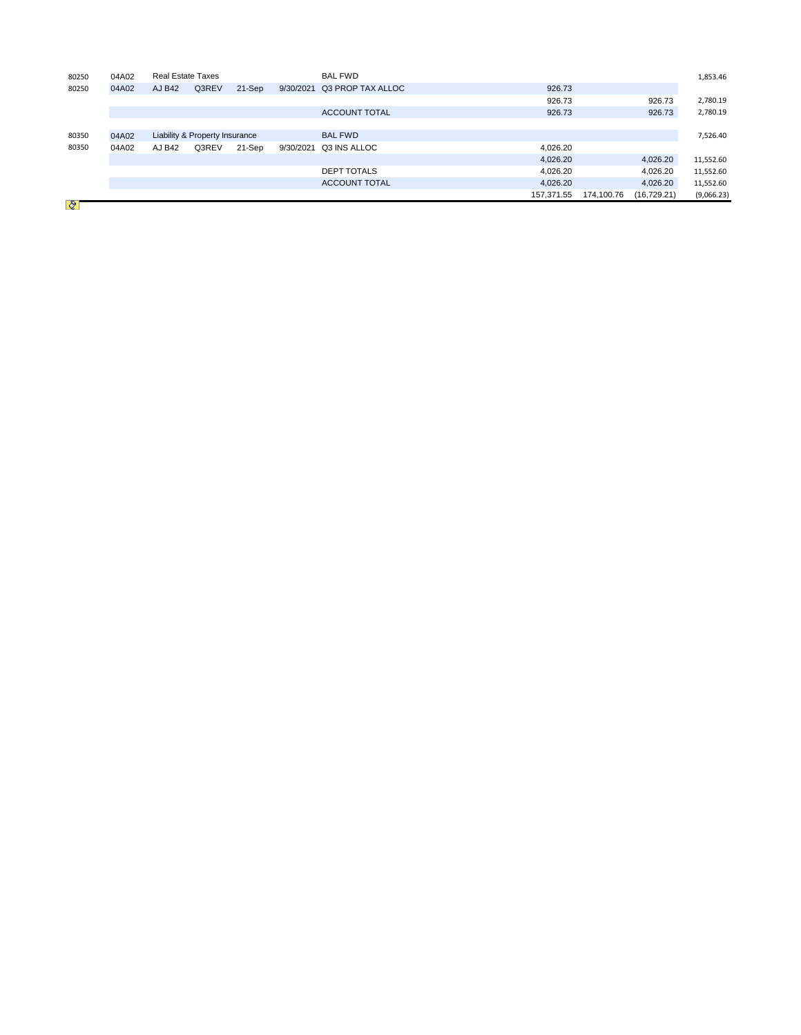| 80250          | 04A02 | <b>Real Estate Taxes</b> |                                |        |           | <b>BAL FWD</b>       |            |            |              |            |
|----------------|-------|--------------------------|--------------------------------|--------|-----------|----------------------|------------|------------|--------------|------------|
| 80250          | 04A02 | AJ B42                   | Q3REV                          | 21-Sep | 9/30/2021 | Q3 PROP TAX ALLOC    | 926.73     |            |              |            |
|                |       |                          |                                |        |           |                      | 926.73     |            | 926.73       | 2,780.19   |
|                |       |                          |                                |        |           | <b>ACCOUNT TOTAL</b> | 926.73     |            | 926.73       | 2,780.19   |
|                |       |                          |                                |        |           |                      |            |            |              |            |
| 80350          | 04A02 |                          | Liability & Property Insurance |        |           | <b>BAL FWD</b>       |            |            |              | 7,526.40   |
| 80350          | 04A02 | AJ B42                   | Q3REV                          | 21-Sep | 9/30/2021 | Q3 INS ALLOC         | 4,026.20   |            |              |            |
|                |       |                          |                                |        |           |                      | 4,026.20   |            | 4,026.20     | 11,552.60  |
|                |       |                          |                                |        |           | <b>DEPT TOTALS</b>   | 4,026.20   |            | 4,026.20     | 11,552.60  |
|                |       |                          |                                |        |           | <b>ACCOUNT TOTAL</b> | 4,026.20   |            | 4,026.20     | 11,552.60  |
| <b>BOY 780</b> |       |                          |                                |        |           |                      | 157,371.55 | 174,100.76 | (16, 729.21) | (9,066.23) |

 $\bigotimes$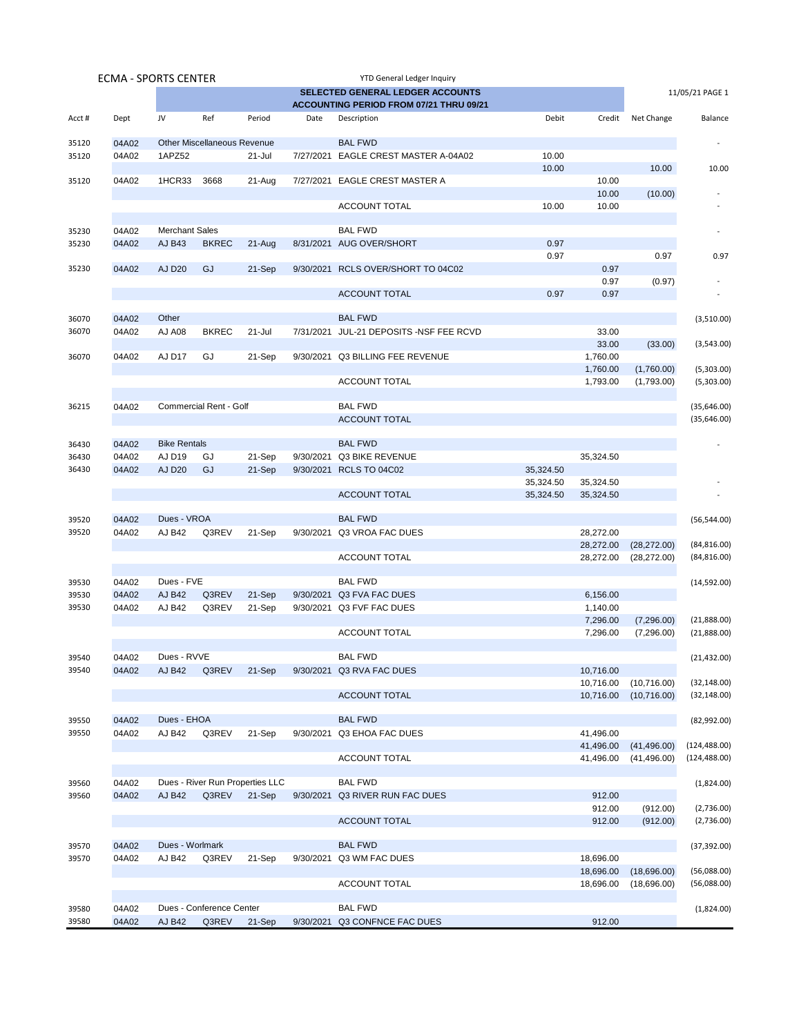| <b>ECMA - SPORTS CENTER</b> |       |                       |                                    |                                 |           | YTD General Ledger Inquiry              |           |           |              |                             |
|-----------------------------|-------|-----------------------|------------------------------------|---------------------------------|-----------|-----------------------------------------|-----------|-----------|--------------|-----------------------------|
|                             |       |                       |                                    |                                 |           | <b>SELECTED GENERAL LEDGER ACCOUNTS</b> |           |           |              | 11/05/21 PAGE 1             |
|                             |       |                       |                                    |                                 |           | ACCOUNTING PERIOD FROM 07/21 THRU 09/21 |           |           |              |                             |
| Acct#                       | Dept  | JV                    | Ref                                | Period                          | Date      | Description                             | Debit     | Credit    | Net Change   | Balance                     |
| 35120                       | 04A02 |                       | <b>Other Miscellaneous Revenue</b> |                                 |           | <b>BAL FWD</b>                          |           |           |              |                             |
| 35120                       | 04A02 | 1APZ52                |                                    | 21-Jul                          |           | 7/27/2021 EAGLE CREST MASTER A-04A02    | 10.00     |           |              |                             |
|                             |       |                       |                                    |                                 |           |                                         | 10.00     |           | 10.00        | 10.00                       |
| 35120                       | 04A02 | 1HCR33                | 3668                               | 21-Aug                          | 7/27/2021 | EAGLE CREST MASTER A                    |           | 10.00     |              |                             |
|                             |       |                       |                                    |                                 |           |                                         |           | 10.00     | (10.00)      |                             |
|                             |       |                       |                                    |                                 |           | <b>ACCOUNT TOTAL</b>                    | 10.00     | 10.00     |              |                             |
|                             |       |                       |                                    |                                 |           |                                         |           |           |              |                             |
| 35230                       | 04A02 | <b>Merchant Sales</b> |                                    |                                 |           | <b>BAL FWD</b>                          |           |           |              |                             |
| 35230                       | 04A02 | <b>AJ B43</b>         | <b>BKREC</b>                       | $21-Aug$                        |           | 8/31/2021 AUG OVER/SHORT                | 0.97      |           |              |                             |
|                             |       |                       |                                    |                                 |           |                                         | 0.97      |           | 0.97         | 0.97                        |
| 35230                       | 04A02 | <b>AJ D20</b>         | GJ                                 | 21-Sep                          |           | 9/30/2021 RCLS OVER/SHORT TO 04C02      |           | 0.97      |              |                             |
|                             |       |                       |                                    |                                 |           |                                         |           | 0.97      | (0.97)       |                             |
|                             |       |                       |                                    |                                 |           | <b>ACCOUNT TOTAL</b>                    | 0.97      | 0.97      |              |                             |
|                             |       |                       |                                    |                                 |           |                                         |           |           |              |                             |
| 36070                       | 04A02 | Other                 |                                    |                                 |           | <b>BAL FWD</b>                          |           |           |              | (3,510.00)                  |
| 36070                       | 04A02 | <b>AJ A08</b>         | <b>BKREC</b>                       | 21-Jul                          | 7/31/2021 | JUL-21 DEPOSITS -NSF FEE RCVD           |           | 33.00     |              |                             |
|                             |       |                       |                                    |                                 |           |                                         |           | 33.00     | (33.00)      | (3,543.00)                  |
| 36070                       | 04A02 | AJ D17                | GJ                                 | 21-Sep                          | 9/30/2021 | <b>Q3 BILLING FEE REVENUE</b>           |           | 1,760.00  |              |                             |
|                             |       |                       |                                    |                                 |           |                                         |           | 1,760.00  | (1,760.00)   | (5,303.00)                  |
|                             |       |                       |                                    |                                 |           | <b>ACCOUNT TOTAL</b>                    |           | 1,793.00  | (1,793.00)   | (5,303.00)                  |
|                             | 04A02 |                       | Commercial Rent - Golf             |                                 |           | <b>BAL FWD</b>                          |           |           |              |                             |
| 36215                       |       |                       |                                    |                                 |           | <b>ACCOUNT TOTAL</b>                    |           |           |              | (35,646.00)<br>(35, 646.00) |
|                             |       |                       |                                    |                                 |           |                                         |           |           |              |                             |
| 36430                       | 04A02 | <b>Bike Rentals</b>   |                                    |                                 |           | <b>BAL FWD</b>                          |           |           |              |                             |
| 36430                       | 04A02 | AJ D19                | GJ                                 | 21-Sep                          | 9/30/2021 | Q3 BIKE REVENUE                         |           | 35,324.50 |              |                             |
| 36430                       | 04A02 | <b>AJ D20</b>         | GJ                                 | 21-Sep                          | 9/30/2021 | <b>RCLS TO 04C02</b>                    | 35,324.50 |           |              |                             |
|                             |       |                       |                                    |                                 |           |                                         | 35,324.50 | 35,324.50 |              |                             |
|                             |       |                       |                                    |                                 |           | <b>ACCOUNT TOTAL</b>                    | 35,324.50 | 35,324.50 |              |                             |
|                             |       |                       |                                    |                                 |           |                                         |           |           |              |                             |
| 39520                       | 04A02 | Dues - VROA           |                                    |                                 |           | <b>BAL FWD</b>                          |           |           |              | (56, 544.00)                |
| 39520                       | 04A02 | <b>AJ B42</b>         | Q3REV                              | 21-Sep                          |           | 9/30/2021 Q3 VROA FAC DUES              |           | 28,272.00 |              |                             |
|                             |       |                       |                                    |                                 |           |                                         |           | 28,272.00 | (28, 272.00) | (84, 816.00)                |
|                             |       |                       |                                    |                                 |           | <b>ACCOUNT TOTAL</b>                    |           | 28,272.00 | (28, 272.00) | (84, 816.00)                |
|                             |       |                       |                                    |                                 |           |                                         |           |           |              |                             |
| 39530                       | 04A02 | Dues - FVE            |                                    |                                 |           | <b>BAL FWD</b>                          |           |           |              | (14, 592.00)                |
| 39530                       | 04A02 | <b>AJ B42</b>         | Q3REV                              | 21-Sep                          |           | 9/30/2021 Q3 FVA FAC DUES               |           | 6,156.00  |              |                             |
| 39530                       | 04A02 | AJ B42                | Q3REV                              | 21-Sep                          |           | 9/30/2021 Q3 FVF FAC DUES               |           | 1,140.00  |              |                             |
|                             |       |                       |                                    |                                 |           |                                         |           | 7,296.00  | (7,296.00)   | (21,888.00)                 |
|                             |       |                       |                                    |                                 |           | <b>ACCOUNT TOTAL</b>                    |           | 7,296.00  | (7,296.00)   | (21,888.00)                 |
|                             |       |                       |                                    |                                 |           |                                         |           |           |              |                             |
| 39540                       | 04A02 | Dues - RVVE           |                                    |                                 |           | <b>BAL FWD</b>                          |           |           |              | (21, 432.00)                |
| 39540                       | 04A02 | <b>AJ B42</b>         | Q3REV                              | 21-Sep                          |           | 9/30/2021 Q3 RVA FAC DUES               |           | 10,716.00 |              |                             |
|                             |       |                       |                                    |                                 |           |                                         |           | 10,716.00 | (10,716.00)  | (32, 148.00)                |
|                             |       |                       |                                    |                                 |           | <b>ACCOUNT TOTAL</b>                    |           | 10,716.00 | (10,716.00)  | (32, 148.00)                |
|                             |       |                       |                                    |                                 |           |                                         |           |           |              |                             |
| 39550                       | 04A02 | Dues - EHOA           |                                    |                                 |           | <b>BAL FWD</b>                          |           |           |              | (82,992.00)                 |
| 39550                       | 04A02 | AJ B42                | Q3REV                              | 21-Sep                          |           | 9/30/2021 Q3 EHOA FAC DUES              |           | 41,496.00 |              |                             |
|                             |       |                       |                                    |                                 |           |                                         |           | 41,496.00 | (41, 496.00) | (124, 488.00)               |
|                             |       |                       |                                    |                                 |           | <b>ACCOUNT TOTAL</b>                    |           | 41,496.00 | (41, 496.00) | (124, 488.00)               |
| 39560                       | 04A02 |                       |                                    | Dues - River Run Properties LLC |           | <b>BAL FWD</b>                          |           |           |              | (1,824.00)                  |
| 39560                       | 04A02 | <b>AJ B42</b>         | Q3REV                              | 21-Sep                          |           | 9/30/2021 Q3 RIVER RUN FAC DUES         |           | 912.00    |              |                             |
|                             |       |                       |                                    |                                 |           |                                         |           | 912.00    | (912.00)     | (2,736.00)                  |
|                             |       |                       |                                    |                                 |           | <b>ACCOUNT TOTAL</b>                    |           | 912.00    | (912.00)     | (2,736.00)                  |
|                             |       |                       |                                    |                                 |           |                                         |           |           |              |                             |
| 39570                       | 04A02 | Dues - Worlmark       |                                    |                                 |           | <b>BAL FWD</b>                          |           |           |              | (37, 392.00)                |
| 39570                       | 04A02 | AJ B42                | Q3REV                              | 21-Sep                          |           | 9/30/2021 Q3 WM FAC DUES                |           | 18,696.00 |              |                             |
|                             |       |                       |                                    |                                 |           |                                         |           | 18,696.00 | (18,696.00)  | (56,088.00)                 |
|                             |       |                       |                                    |                                 |           | <b>ACCOUNT TOTAL</b>                    |           | 18,696.00 | (18,696.00)  | (56,088.00)                 |
|                             |       |                       |                                    |                                 |           |                                         |           |           |              |                             |
| 39580                       | 04A02 |                       | Dues - Conference Center           |                                 |           | <b>BAL FWD</b>                          |           |           |              | (1,824.00)                  |
| 39580                       | 04A02 | <b>AJ B42</b>         | Q3REV                              | 21-Sep                          |           | 9/30/2021 Q3 CONFNCE FAC DUES           |           | 912.00    |              |                             |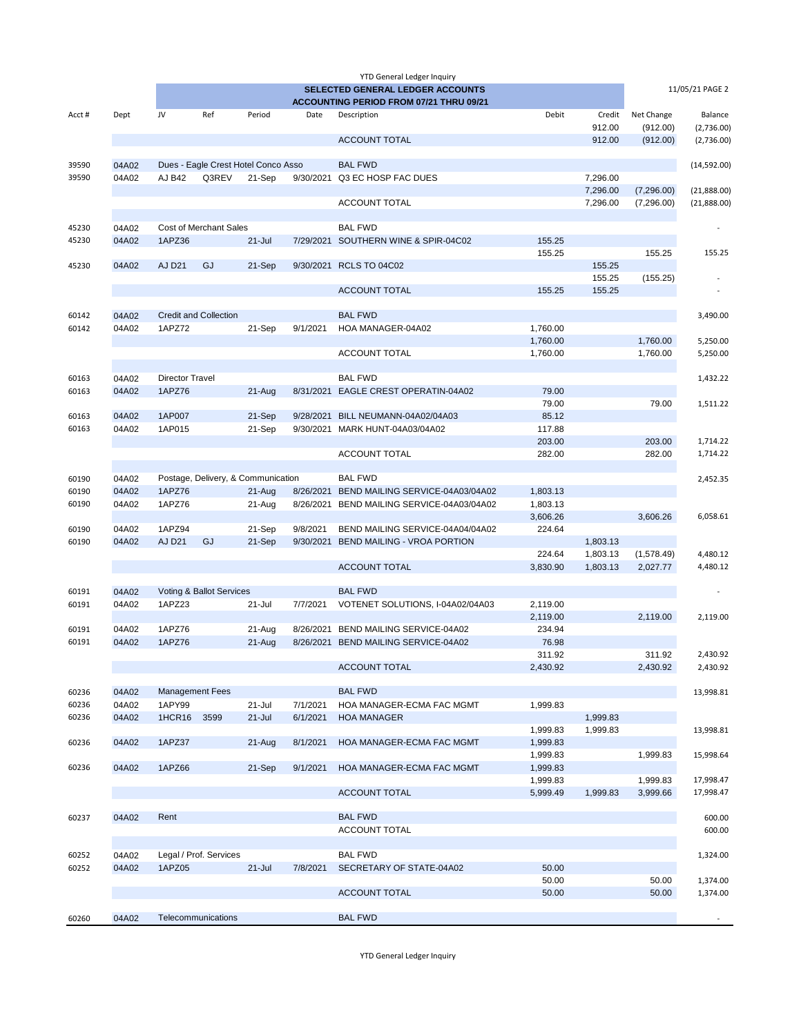|                |                |                        |                                     |            |           | <b>YTD General Ledger Inquiry</b>                                                  |                      |                      |            |                 |
|----------------|----------------|------------------------|-------------------------------------|------------|-----------|------------------------------------------------------------------------------------|----------------------|----------------------|------------|-----------------|
|                |                |                        |                                     |            |           | <b>SELECTED GENERAL LEDGER ACCOUNTS</b><br>ACCOUNTING PERIOD FROM 07/21 THRU 09/21 |                      |                      |            | 11/05/21 PAGE 2 |
| Acct#          | Dept           | JV                     | Ref                                 | Period     | Date      | Description                                                                        | Debit                | Credit               | Net Change | Balance         |
|                |                |                        |                                     |            |           |                                                                                    |                      | 912.00               | (912.00)   | (2,736.00)      |
|                |                |                        |                                     |            |           | <b>ACCOUNT TOTAL</b>                                                               |                      | 912.00               | (912.00)   | (2,736.00)      |
| 39590          | 04A02          |                        | Dues - Eagle Crest Hotel Conco Asso |            |           | <b>BAL FWD</b>                                                                     |                      |                      |            | (14,592.00)     |
| 39590          | 04A02          | AJ B42                 | Q3REV                               | 21-Sep     | 9/30/2021 | Q3 EC HOSP FAC DUES                                                                |                      | 7,296.00             |            |                 |
|                |                |                        |                                     |            |           |                                                                                    |                      | 7,296.00             | (7,296.00) | (21,888.00)     |
|                |                |                        |                                     |            |           | <b>ACCOUNT TOTAL</b>                                                               |                      | 7,296.00             | (7,296.00) | (21,888.00)     |
|                |                |                        |                                     |            |           | <b>BAL FWD</b>                                                                     |                      |                      |            |                 |
| 45230<br>45230 | 04A02<br>04A02 | 1APZ36                 | <b>Cost of Merchant Sales</b>       | $21 -$ Jul |           | 7/29/2021 SOUTHERN WINE & SPIR-04C02                                               | 155.25               |                      |            |                 |
|                |                |                        |                                     |            |           |                                                                                    | 155.25               |                      | 155.25     | 155.25          |
| 45230          | 04A02          | <b>AJ D21</b>          | GJ                                  | 21-Sep     |           | 9/30/2021 RCLS TO 04C02                                                            |                      | 155.25               |            |                 |
|                |                |                        |                                     |            |           |                                                                                    |                      | 155.25               | (155.25)   |                 |
|                |                |                        |                                     |            |           | <b>ACCOUNT TOTAL</b>                                                               | 155.25               | 155.25               |            |                 |
|                |                |                        |                                     |            |           |                                                                                    |                      |                      |            |                 |
| 60142          | 04A02          |                        | <b>Credit and Collection</b>        |            |           | <b>BAL FWD</b>                                                                     |                      |                      |            | 3,490.00        |
| 60142          | 04A02          | 1APZ72                 |                                     | 21-Sep     | 9/1/2021  | HOA MANAGER-04A02                                                                  | 1,760.00             |                      |            |                 |
|                |                |                        |                                     |            |           |                                                                                    | 1,760.00             |                      | 1,760.00   | 5,250.00        |
|                |                |                        |                                     |            |           | <b>ACCOUNT TOTAL</b>                                                               | 1,760.00             |                      | 1,760.00   | 5,250.00        |
| 60163          | 04A02          | <b>Director Travel</b> |                                     |            |           | <b>BAL FWD</b>                                                                     |                      |                      |            | 1,432.22        |
| 60163          | 04A02          | 1APZ76                 |                                     | 21-Aug     |           | 8/31/2021 EAGLE CREST OPERATIN-04A02                                               | 79.00                |                      |            |                 |
|                |                |                        |                                     |            |           |                                                                                    | 79.00                |                      | 79.00      | 1,511.22        |
| 60163          | 04A02          | 1AP007                 |                                     | 21-Sep     | 9/28/2021 | BILL NEUMANN-04A02/04A03                                                           | 85.12                |                      |            |                 |
| 60163          | 04A02          | 1AP015                 |                                     | 21-Sep     |           | 9/30/2021 MARK HUNT-04A03/04A02                                                    | 117.88               |                      |            |                 |
|                |                |                        |                                     |            |           |                                                                                    | 203.00               |                      | 203.00     | 1,714.22        |
|                |                |                        |                                     |            |           | <b>ACCOUNT TOTAL</b>                                                               | 282.00               |                      | 282.00     | 1,714.22        |
|                |                |                        |                                     |            |           |                                                                                    |                      |                      |            |                 |
| 60190          | 04A02          |                        | Postage, Delivery, & Communication  |            |           | <b>BAL FWD</b>                                                                     |                      |                      |            | 2,452.35        |
| 60190          | 04A02          | 1APZ76                 |                                     | 21-Aug     | 8/26/2021 | BEND MAILING SERVICE-04A03/04A02                                                   | 1,803.13             |                      |            |                 |
| 60190          | 04A02          | 1APZ76                 |                                     | 21-Aug     | 8/26/2021 | BEND MAILING SERVICE-04A03/04A02                                                   | 1,803.13             |                      |            |                 |
|                |                |                        |                                     |            |           |                                                                                    | 3,606.26             |                      | 3,606.26   | 6,058.61        |
| 60190          | 04A02          | 1APZ94                 |                                     | 21-Sep     | 9/8/2021  | BEND MAILING SERVICE-04A04/04A02                                                   | 224.64               |                      |            |                 |
| 60190          | 04A02          | <b>AJ D21</b>          | GJ                                  | 21-Sep     | 9/30/2021 | <b>BEND MAILING - VROA PORTION</b>                                                 |                      | 1,803.13             |            |                 |
|                |                |                        |                                     |            |           |                                                                                    | 224.64               | 1,803.13             | (1,578.49) | 4,480.12        |
|                |                |                        |                                     |            |           | <b>ACCOUNT TOTAL</b>                                                               | 3,830.90             | 1,803.13             | 2,027.77   | 4,480.12        |
| 60191          | 04A02          |                        | Voting & Ballot Services            |            |           | <b>BAL FWD</b>                                                                     |                      |                      |            |                 |
| 60191          | 04A02          | 1APZ23                 |                                     | $21 -$ Jul | 7/7/2021  | VOTENET SOLUTIONS, I-04A02/04A03                                                   | 2,119.00             |                      |            |                 |
|                |                |                        |                                     |            |           |                                                                                    | 2,119.00             |                      | 2,119.00   | 2,119.00        |
| 60191          | 04A02          | 1APZ76                 |                                     | 21-Aug     | 8/26/2021 | BEND MAILING SERVICE-04A02                                                         | 234.94               |                      |            |                 |
| 60191          | 04A02          | 1APZ76                 |                                     | 21-Aug     |           | 8/26/2021 BEND MAILING SERVICE-04A02                                               | 76.98                |                      |            |                 |
|                |                |                        |                                     |            |           |                                                                                    | 311.92               |                      | 311.92     | 2,430.92        |
|                |                |                        |                                     |            |           | <b>ACCOUNT TOTAL</b>                                                               | 2,430.92             |                      | 2,430.92   | 2,430.92        |
|                |                |                        |                                     |            |           |                                                                                    |                      |                      |            |                 |
| 60236          | 04A02          | <b>Management Fees</b> |                                     |            |           | <b>BAL FWD</b>                                                                     |                      |                      |            | 13,998.81       |
| 60236          | 04A02          | 1APY99                 |                                     | 21-Jul     | 7/1/2021  | HOA MANAGER-ECMA FAC MGMT                                                          | 1,999.83             |                      |            |                 |
| 60236          | 04A02          | 1HCR16                 | 3599                                | $21 -$ Jul | 6/1/2021  | <b>HOA MANAGER</b>                                                                 |                      | 1,999.83<br>1,999.83 |            | 13,998.81       |
| 60236          | 04A02          | 1APZ37                 |                                     | 21-Aug     | 8/1/2021  | HOA MANAGER-ECMA FAC MGMT                                                          | 1,999.83<br>1,999.83 |                      |            |                 |
|                |                |                        |                                     |            |           |                                                                                    | 1,999.83             |                      | 1,999.83   | 15,998.64       |
| 60236          | 04A02          | 1APZ66                 |                                     | 21-Sep     | 9/1/2021  | HOA MANAGER-ECMA FAC MGMT                                                          | 1,999.83             |                      |            |                 |
|                |                |                        |                                     |            |           |                                                                                    | 1,999.83             |                      | 1,999.83   | 17,998.47       |
|                |                |                        |                                     |            |           | <b>ACCOUNT TOTAL</b>                                                               | 5,999.49             | 1,999.83             | 3,999.66   | 17,998.47       |
|                |                |                        |                                     |            |           |                                                                                    |                      |                      |            |                 |
| 60237          | 04A02          | Rent                   |                                     |            |           | <b>BAL FWD</b>                                                                     |                      |                      |            | 600.00          |
|                |                |                        |                                     |            |           | <b>ACCOUNT TOTAL</b>                                                               |                      |                      |            | 600.00          |
|                |                |                        |                                     |            |           |                                                                                    |                      |                      |            |                 |
| 60252          | 04A02          |                        | Legal / Prof. Services              |            |           | <b>BAL FWD</b>                                                                     |                      |                      |            | 1,324.00        |
| 60252          | 04A02          | 1APZ05                 |                                     | $21 -$ Jul | 7/8/2021  | SECRETARY OF STATE-04A02                                                           | 50.00                |                      |            |                 |
|                |                |                        |                                     |            |           |                                                                                    | 50.00                |                      | 50.00      | 1,374.00        |
|                |                |                        |                                     |            |           | <b>ACCOUNT TOTAL</b>                                                               | 50.00                |                      | 50.00      | 1,374.00        |
| 60260          | 04A02          |                        | Telecommunications                  |            |           | <b>BAL FWD</b>                                                                     |                      |                      |            |                 |
|                |                |                        |                                     |            |           |                                                                                    |                      |                      |            |                 |

YTD General Ledger Inquiry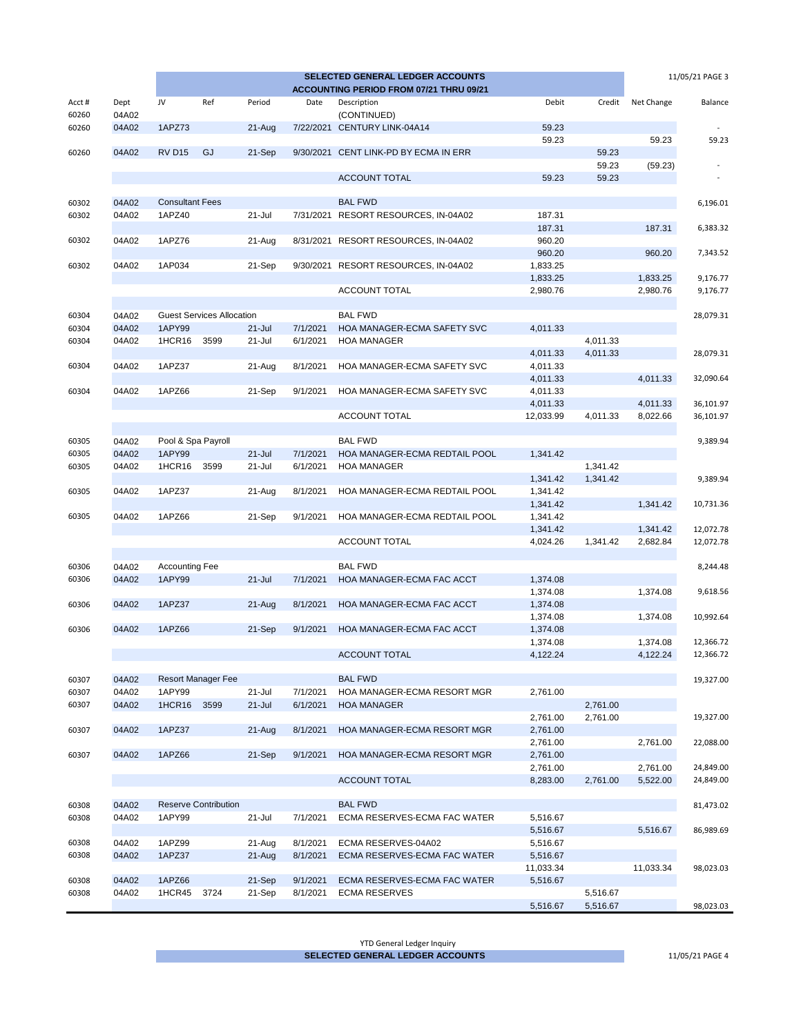| SELECTED GENERAL LEDGER ACCOUNTS<br>11/05/21 PAGE 3 |                |                        |                                  |                  |           |                                         |                      |                      |            |           |
|-----------------------------------------------------|----------------|------------------------|----------------------------------|------------------|-----------|-----------------------------------------|----------------------|----------------------|------------|-----------|
|                                                     |                |                        |                                  |                  |           | ACCOUNTING PERIOD FROM 07/21 THRU 09/21 |                      |                      |            |           |
| Acct#<br>60260                                      | Dept<br>04A02  | JV                     | Ref                              | Period           | Date      | Description<br>(CONTINUED)              | Debit                | Credit               | Net Change | Balance   |
| 60260                                               | 04A02          | 1APZ73                 |                                  | 21-Aug           |           | 7/22/2021 CENTURY LINK-04A14            | 59.23                |                      |            |           |
|                                                     |                |                        |                                  |                  |           |                                         | 59.23                |                      | 59.23      | 59.23     |
| 60260                                               | 04A02          | <b>RV D15</b>          | GJ                               | 21-Sep           | 9/30/2021 | CENT LINK-PD BY ECMA IN ERR             |                      | 59.23<br>59.23       |            |           |
|                                                     |                |                        |                                  |                  |           | <b>ACCOUNT TOTAL</b>                    | 59.23                | 59.23                | (59.23)    |           |
|                                                     |                |                        |                                  |                  |           |                                         |                      |                      |            |           |
| 60302                                               | 04A02          | <b>Consultant Fees</b> |                                  |                  |           | <b>BAL FWD</b>                          |                      |                      |            | 6,196.01  |
| 60302                                               | 04A02          | 1APZ40                 |                                  | 21-Jul           |           | 7/31/2021 RESORT RESOURCES, IN-04A02    | 187.31               |                      |            |           |
|                                                     |                |                        |                                  |                  |           |                                         | 187.31               |                      | 187.31     | 6,383.32  |
| 60302                                               | 04A02          | 1APZ76                 |                                  | 21-Aug           |           | 8/31/2021 RESORT RESOURCES, IN-04A02    | 960.20               |                      |            |           |
|                                                     |                |                        |                                  |                  |           |                                         | 960.20               |                      | 960.20     | 7,343.52  |
| 60302                                               | 04A02          | 1AP034                 |                                  | 21-Sep           | 9/30/2021 | RESORT RESOURCES, IN-04A02              | 1,833.25             |                      |            |           |
|                                                     |                |                        |                                  |                  |           |                                         | 1,833.25             |                      | 1,833.25   | 9,176.77  |
|                                                     |                |                        |                                  |                  |           | ACCOUNT TOTAL                           | 2,980.76             |                      | 2,980.76   | 9,176.77  |
| 60304                                               | 04A02          |                        | <b>Guest Services Allocation</b> |                  |           | <b>BAL FWD</b>                          |                      |                      |            | 28,079.31 |
| 60304                                               | 04A02          | 1APY99                 |                                  | $21 -$ Jul       | 7/1/2021  | <b>HOA MANAGER-ECMA SAFETY SVC</b>      | 4,011.33             |                      |            |           |
| 60304                                               | 04A02          | 1HCR16                 | 3599                             | 21-Jul           | 6/1/2021  | <b>HOA MANAGER</b>                      |                      | 4,011.33             |            |           |
|                                                     |                |                        |                                  |                  |           |                                         | 4,011.33             | 4,011.33             |            | 28,079.31 |
| 60304                                               | 04A02          | 1APZ37                 |                                  | 21-Aug           | 8/1/2021  | HOA MANAGER-ECMA SAFETY SVC             | 4,011.33             |                      |            |           |
|                                                     |                |                        |                                  |                  |           |                                         | 4,011.33             |                      | 4,011.33   | 32,090.64 |
| 60304                                               | 04A02          | 1APZ66                 |                                  | 21-Sep           | 9/1/2021  | HOA MANAGER-ECMA SAFETY SVC             | 4,011.33             |                      |            |           |
|                                                     |                |                        |                                  |                  |           |                                         | 4,011.33             |                      | 4,011.33   | 36,101.97 |
|                                                     |                |                        |                                  |                  |           | ACCOUNT TOTAL                           | 12,033.99            | 4,011.33             | 8,022.66   | 36,101.97 |
|                                                     |                |                        |                                  |                  |           |                                         |                      |                      |            |           |
| 60305                                               | 04A02          | Pool & Spa Payroll     |                                  |                  |           | <b>BAL FWD</b>                          |                      |                      |            | 9,389.94  |
| 60305                                               | 04A02          | 1APY99                 |                                  | $21 -$ Jul       | 7/1/2021  | HOA MANAGER-ECMA REDTAIL POOL           | 1,341.42             |                      |            |           |
| 60305                                               | 04A02          | 1HCR16 3599            |                                  | 21-Jul           | 6/1/2021  | <b>HOA MANAGER</b>                      |                      | 1,341.42             |            |           |
| 60305                                               | 04A02          | 1APZ37                 |                                  | 21-Aug           | 8/1/2021  | HOA MANAGER-ECMA REDTAIL POOL           | 1,341.42<br>1,341.42 | 1,341.42             |            | 9,389.94  |
|                                                     |                |                        |                                  |                  |           |                                         | 1,341.42             |                      | 1,341.42   | 10,731.36 |
| 60305                                               | 04A02          | 1APZ66                 |                                  | 21-Sep           | 9/1/2021  | HOA MANAGER-ECMA REDTAIL POOL           | 1,341.42             |                      |            |           |
|                                                     |                |                        |                                  |                  |           |                                         | 1,341.42             |                      | 1,341.42   | 12,072.78 |
|                                                     |                |                        |                                  |                  |           | ACCOUNT TOTAL                           | 4,024.26             | 1,341.42             | 2,682.84   | 12,072.78 |
|                                                     |                |                        |                                  |                  |           |                                         |                      |                      |            |           |
| 60306                                               | 04A02          | <b>Accounting Fee</b>  |                                  |                  |           | <b>BAL FWD</b>                          |                      |                      |            | 8,244.48  |
| 60306                                               | 04A02          | 1APY99                 |                                  | $21 -$ Jul       | 7/1/2021  | HOA MANAGER-ECMA FAC ACCT               | 1,374.08             |                      |            |           |
|                                                     |                |                        |                                  |                  |           |                                         | 1,374.08             |                      | 1,374.08   | 9,618.56  |
| 60306                                               | 04A02          | 1APZ37                 |                                  | 21-Aug           | 8/1/2021  | HOA MANAGER-ECMA FAC ACCT               | 1,374.08             |                      |            |           |
| 60306                                               | 04A02          | 1APZ66                 |                                  | 21-Sep           | 9/1/2021  | HOA MANAGER-ECMA FAC ACCT               | 1,374.08<br>1,374.08 |                      | 1,374.08   | 10,992.64 |
|                                                     |                |                        |                                  |                  |           |                                         | 1,374.08             |                      | 1,374.08   | 12,366.72 |
|                                                     |                |                        |                                  |                  |           | <b>ACCOUNT TOTAL</b>                    | 4,122.24             |                      | 4,122.24   | 12,366.72 |
|                                                     |                |                        |                                  |                  |           |                                         |                      |                      |            |           |
| 60307                                               | 04A02          |                        | <b>Resort Manager Fee</b>        |                  |           | <b>BAL FWD</b>                          |                      |                      |            | 19,327.00 |
| 60307                                               | 04A02          | 1APY99                 |                                  | 21-Jul           | 7/1/2021  | HOA MANAGER-ECMA RESORT MGR             | 2,761.00             |                      |            |           |
| 60307                                               | 04A02          | 1HCR16                 | 3599                             | $21 -$ Jul       | 6/1/2021  | <b>HOA MANAGER</b>                      |                      | 2,761.00             |            |           |
|                                                     |                |                        |                                  |                  |           |                                         | 2,761.00             | 2,761.00             |            | 19,327.00 |
| 60307                                               | 04A02          | 1APZ37                 |                                  | 21-Aug           | 8/1/2021  | HOA MANAGER-ECMA RESORT MGR             | 2,761.00             |                      |            |           |
|                                                     |                |                        |                                  |                  |           |                                         | 2,761.00             |                      | 2,761.00   | 22,088.00 |
| 60307                                               | 04A02          | 1APZ66                 |                                  | 21-Sep           | 9/1/2021  | HOA MANAGER-ECMA RESORT MGR             | 2,761.00<br>2,761.00 |                      | 2,761.00   | 24,849.00 |
|                                                     |                |                        |                                  |                  |           | <b>ACCOUNT TOTAL</b>                    | 8,283.00             | 2,761.00             | 5,522.00   | 24,849.00 |
|                                                     |                |                        |                                  |                  |           |                                         |                      |                      |            |           |
| 60308                                               | 04A02          |                        | <b>Reserve Contribution</b>      |                  |           | <b>BAL FWD</b>                          |                      |                      |            | 81,473.02 |
| 60308                                               | 04A02          | 1APY99                 |                                  | 21-Jul           | 7/1/2021  | ECMA RESERVES-ECMA FAC WATER            | 5,516.67             |                      |            |           |
|                                                     |                |                        |                                  |                  |           |                                         | 5,516.67             |                      | 5,516.67   | 86,989.69 |
| 60308                                               | 04A02          | 1APZ99                 |                                  | 21-Aug           | 8/1/2021  | ECMA RESERVES-04A02                     | 5,516.67             |                      |            |           |
| 60308                                               | 04A02          | 1APZ37                 |                                  | 21-Aug           | 8/1/2021  | ECMA RESERVES-ECMA FAC WATER            | 5,516.67             |                      |            |           |
|                                                     |                |                        |                                  |                  |           |                                         | 11,033.34            |                      | 11,033.34  | 98,023.03 |
| 60308<br>60308                                      | 04A02<br>04A02 | 1APZ66                 | 3724                             | 21-Sep<br>21-Sep | 9/1/2021  | ECMA RESERVES-ECMA FAC WATER            | 5,516.67             |                      |            |           |
|                                                     |                | 1HCR45                 |                                  |                  | 8/1/2021  | <b>ECMA RESERVES</b>                    | 5,516.67             | 5,516.67<br>5,516.67 |            | 98,023.03 |
|                                                     |                |                        |                                  |                  |           |                                         |                      |                      |            |           |

YTD General Ledger Inquiry **SELECTED GENERAL LEDGER ACCOUNTS** 11/05/21 PAGE 4

**Contract Contract Contract Contract**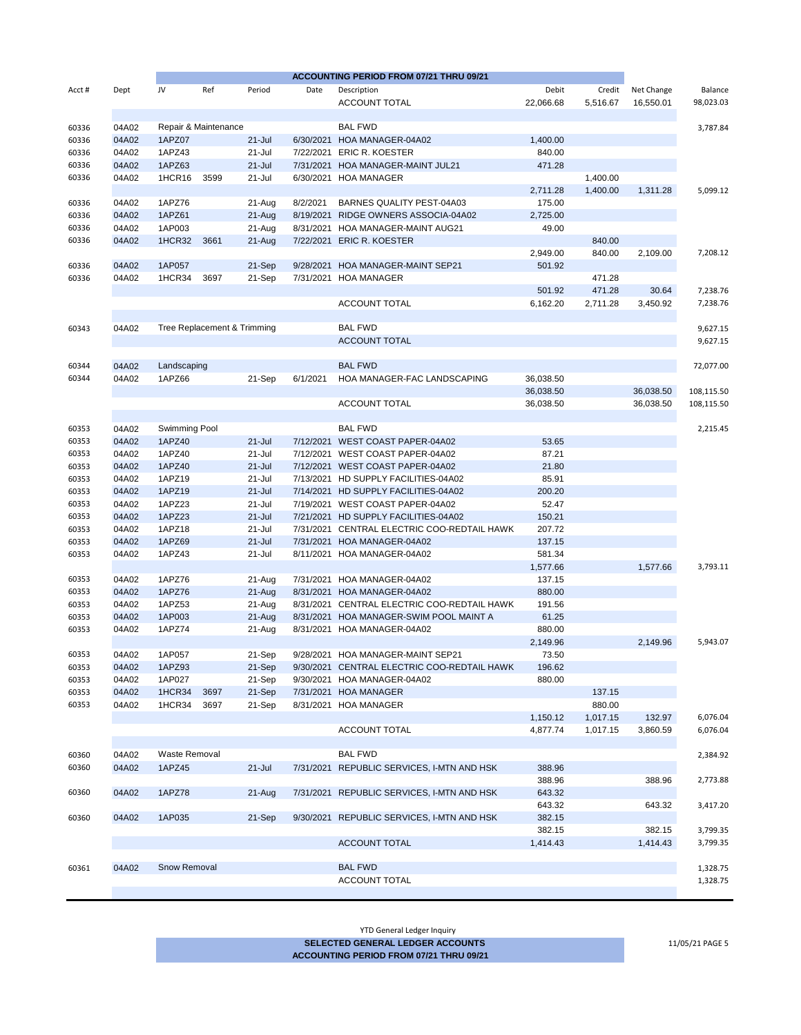|        |       |               |                             |            |           | ACCOUNTING PERIOD FROM 07/21 THRU 09/21     |           |          |            |            |
|--------|-------|---------------|-----------------------------|------------|-----------|---------------------------------------------|-----------|----------|------------|------------|
| Acct # | Dept  | JV            | Ref                         | Period     | Date      | Description                                 | Debit     | Credit   | Net Change | Balance    |
|        |       |               |                             |            |           | <b>ACCOUNT TOTAL</b>                        | 22,066.68 | 5,516.67 | 16,550.01  | 98,023.03  |
| 60336  | 04A02 |               | Repair & Maintenance        |            |           | <b>BAL FWD</b>                              |           |          |            | 3,787.84   |
| 60336  | 04A02 | 1APZ07        |                             | $21 -$ Jul |           | 6/30/2021 HOA MANAGER-04A02                 | 1,400.00  |          |            |            |
| 60336  | 04A02 | 1APZ43        |                             | 21-Jul     | 7/22/2021 | <b>ERIC R. KOESTER</b>                      | 840.00    |          |            |            |
| 60336  | 04A02 | 1APZ63        |                             | $21 -$ Jul | 7/31/2021 | HOA MANAGER-MAINT JUL21                     | 471.28    |          |            |            |
|        | 04A02 | 1HCR16        | 3599                        | 21-Jul     |           |                                             |           | 1,400.00 |            |            |
| 60336  |       |               |                             |            |           | 6/30/2021 HOA MANAGER                       |           |          |            |            |
|        |       |               |                             |            |           |                                             | 2,711.28  | 1,400.00 | 1,311.28   | 5,099.12   |
| 60336  | 04A02 | 1APZ76        |                             | 21-Aug     | 8/2/2021  | BARNES QUALITY PEST-04A03                   | 175.00    |          |            |            |
| 60336  | 04A02 | 1APZ61        |                             | $21-Aug$   | 8/19/2021 | RIDGE OWNERS ASSOCIA-04A02                  | 2,725.00  |          |            |            |
| 60336  | 04A02 | 1AP003        |                             | 21-Aug     |           | 8/31/2021 HOA MANAGER-MAINT AUG21           | 49.00     |          |            |            |
| 60336  | 04A02 | 1HCR32        | 3661                        | $21-Aug$   |           | 7/22/2021 ERIC R. KOESTER                   |           | 840.00   |            |            |
|        |       |               |                             |            |           |                                             | 2,949.00  | 840.00   | 2,109.00   | 7,208.12   |
| 60336  | 04A02 | 1AP057        |                             | 21-Sep     | 9/28/2021 | HOA MANAGER-MAINT SEP21                     | 501.92    |          |            |            |
| 60336  | 04A02 | 1HCR34        | 3697                        | 21-Sep     | 7/31/2021 | <b>HOA MANAGER</b>                          |           | 471.28   |            |            |
|        |       |               |                             |            |           |                                             | 501.92    | 471.28   | 30.64      | 7,238.76   |
|        |       |               |                             |            |           | <b>ACCOUNT TOTAL</b>                        | 6,162.20  | 2,711.28 | 3,450.92   | 7,238.76   |
|        |       |               |                             |            |           |                                             |           |          |            |            |
| 60343  | 04A02 |               | Tree Replacement & Trimming |            |           | <b>BAL FWD</b>                              |           |          |            | 9,627.15   |
|        |       |               |                             |            |           | <b>ACCOUNT TOTAL</b>                        |           |          |            | 9,627.15   |
|        |       |               |                             |            |           |                                             |           |          |            |            |
| 60344  | 04A02 | Landscaping   |                             |            |           | <b>BAL FWD</b>                              |           |          |            | 72,077.00  |
|        |       | 1APZ66        |                             |            |           |                                             |           |          |            |            |
| 60344  | 04A02 |               |                             | 21-Sep     | 6/1/2021  | HOA MANAGER-FAC LANDSCAPING                 | 36,038.50 |          |            |            |
|        |       |               |                             |            |           |                                             | 36,038.50 |          | 36,038.50  | 108,115.50 |
|        |       |               |                             |            |           | <b>ACCOUNT TOTAL</b>                        | 36,038.50 |          | 36,038.50  | 108,115.50 |
|        |       |               |                             |            |           |                                             |           |          |            |            |
| 60353  | 04A02 | Swimming Pool |                             |            |           | <b>BAL FWD</b>                              |           |          |            | 2,215.45   |
| 60353  | 04A02 | 1APZ40        |                             | $21 -$ Jul |           | 7/12/2021 WEST COAST PAPER-04A02            | 53.65     |          |            |            |
| 60353  | 04A02 | 1APZ40        |                             | 21-Jul     |           | 7/12/2021 WEST COAST PAPER-04A02            | 87.21     |          |            |            |
| 60353  | 04A02 | 1APZ40        |                             | $21 -$ Jul |           | 7/12/2021 WEST COAST PAPER-04A02            | 21.80     |          |            |            |
| 60353  | 04A02 | 1APZ19        |                             | 21-Jul     |           | 7/13/2021 HD SUPPLY FACILITIES-04A02        | 85.91     |          |            |            |
| 60353  | 04A02 | 1APZ19        |                             | $21 -$ Jul |           | 7/14/2021 HD SUPPLY FACILITIES-04A02        | 200.20    |          |            |            |
| 60353  | 04A02 | 1APZ23        |                             | 21-Jul     |           | 7/19/2021 WEST COAST PAPER-04A02            | 52.47     |          |            |            |
| 60353  | 04A02 | 1APZ23        |                             | $21 -$ Jul |           | 7/21/2021 HD SUPPLY FACILITIES-04A02        | 150.21    |          |            |            |
| 60353  | 04A02 | 1APZ18        |                             | 21-Jul     |           | 7/31/2021 CENTRAL ELECTRIC COO-REDTAIL HAWK | 207.72    |          |            |            |
| 60353  | 04A02 | 1APZ69        |                             | $21 -$ Jul |           | 7/31/2021 HOA MANAGER-04A02                 | 137.15    |          |            |            |
| 60353  | 04A02 | 1APZ43        |                             | 21-Jul     |           | 8/11/2021 HOA MANAGER-04A02                 | 581.34    |          |            |            |
|        |       |               |                             |            |           |                                             | 1,577.66  |          | 1,577.66   | 3,793.11   |
| 60353  | 04A02 | 1APZ76        |                             | 21-Aug     |           | 7/31/2021 HOA MANAGER-04A02                 | 137.15    |          |            |            |
|        |       |               |                             |            |           |                                             |           |          |            |            |
| 60353  | 04A02 | 1APZ76        |                             | 21-Aug     |           | 8/31/2021 HOA MANAGER-04A02                 | 880.00    |          |            |            |
| 60353  | 04A02 | 1APZ53        |                             | 21-Aug     |           | 8/31/2021 CENTRAL ELECTRIC COO-REDTAIL HAWK | 191.56    |          |            |            |
| 60353  | 04A02 | 1AP003        |                             | $21-Aug$   | 8/31/2021 | HOA MANAGER-SWIM POOL MAINT A               | 61.25     |          |            |            |
| 60353  | 04A02 | 1APZ74        |                             | 21-Aug     |           | 8/31/2021 HOA MANAGER-04A02                 | 880.00    |          |            |            |
|        |       |               |                             |            |           |                                             | 2,149.96  |          | 2,149.96   | 5,943.07   |
| 60353  | 04A02 | 1AP057        |                             | 21-Sep     |           | 9/28/2021 HOA MANAGER-MAINT SEP21           | 73.50     |          |            |            |
| 60353  | 04A02 | 1APZ93        |                             | 21-Sep     |           | 9/30/2021 CENTRAL ELECTRIC COO-REDTAIL HAWK | 196.62    |          |            |            |
| 60353  | 04A02 | 1AP027        |                             | 21-Sep     |           | 9/30/2021 HOA MANAGER-04A02                 | 880.00    |          |            |            |
| 60353  | 04A02 | 1HCR34        | 3697                        | 21-Sep     |           | 7/31/2021 HOA MANAGER                       |           | 137.15   |            |            |
| 60353  | 04A02 | 1HCR34        | 3697                        | 21-Sep     |           | 8/31/2021 HOA MANAGER                       |           | 880.00   |            |            |
|        |       |               |                             |            |           |                                             | 1,150.12  | 1,017.15 | 132.97     | 6,076.04   |
|        |       |               |                             |            |           | ACCOUNT TOTAL                               | 4,877.74  | 1,017.15 | 3,860.59   | 6,076.04   |
|        |       |               |                             |            |           |                                             |           |          |            |            |
| 60360  | 04A02 | Waste Removal |                             |            |           | <b>BAL FWD</b>                              |           |          |            | 2,384.92   |
| 60360  | 04A02 | 1APZ45        |                             | $21 -$ Jul |           | 7/31/2021 REPUBLIC SERVICES, I-MTN AND HSK  | 388.96    |          |            |            |
|        |       |               |                             |            |           |                                             | 388.96    |          | 388.96     | 2,773.88   |
| 60360  | 04A02 | <b>1APZ78</b> |                             | $21 - Aug$ |           | 7/31/2021 REPUBLIC SERVICES, I-MTN AND HSK  | 643.32    |          |            |            |
|        |       |               |                             |            |           |                                             |           |          |            |            |
|        |       |               |                             |            |           |                                             | 643.32    |          | 643.32     | 3,417.20   |
| 60360  | 04A02 | 1AP035        |                             | 21-Sep     |           | 9/30/2021 REPUBLIC SERVICES, I-MTN AND HSK  | 382.15    |          |            |            |
|        |       |               |                             |            |           |                                             | 382.15    |          | 382.15     | 3,799.35   |
|        |       |               |                             |            |           | <b>ACCOUNT TOTAL</b>                        | 1,414.43  |          | 1,414.43   | 3,799.35   |
|        |       |               |                             |            |           |                                             |           |          |            |            |
| 60361  | 04A02 | Snow Removal  |                             |            |           | <b>BAL FWD</b>                              |           |          |            | 1,328.75   |
|        |       |               |                             |            |           | ACCOUNT TOTAL                               |           |          |            | 1,328.75   |
|        |       |               |                             |            |           |                                             |           |          |            |            |
|        |       |               |                             |            |           |                                             |           |          |            |            |

YTD General Ledger Inquiry

**SELECTED GENERAL LEDGER ACCOUNTS** 11/05/21 PAGE 5 **ACCOUNTING PERIOD FROM 07/21 THRU 09/21**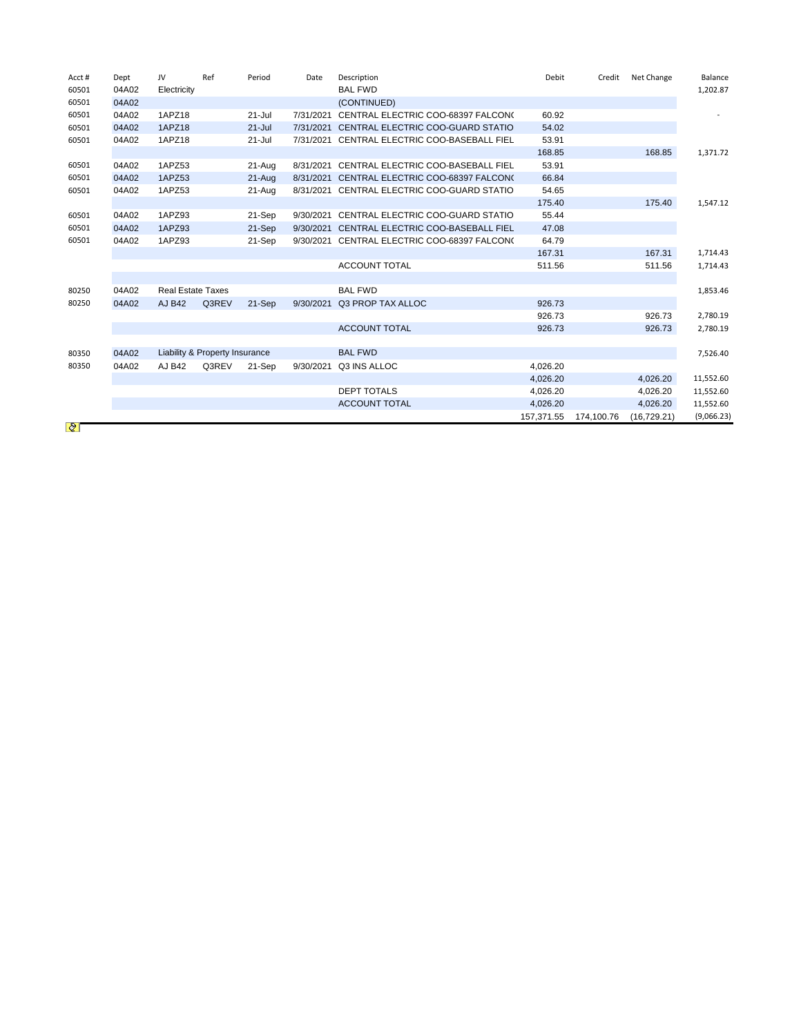| Acct# | Dept  | JV                       | Ref                            | Period     | Date      | Description                        | Debit      | Credit     | Net Change  | Balance    |
|-------|-------|--------------------------|--------------------------------|------------|-----------|------------------------------------|------------|------------|-------------|------------|
| 60501 | 04A02 | Electricity              |                                |            |           | <b>BAL FWD</b>                     |            |            |             | 1,202.87   |
| 60501 | 04A02 |                          |                                |            |           | (CONTINUED)                        |            |            |             |            |
| 60501 | 04A02 | 1APZ18                   |                                | $21 -$ Jul | 7/31/2021 | CENTRAL ELECTRIC COO-68397 FALCON( | 60.92      |            |             |            |
| 60501 | 04A02 | 1APZ18                   |                                | $21 -$ Jul | 7/31/2021 | CENTRAL ELECTRIC COO-GUARD STATIO  | 54.02      |            |             |            |
| 60501 | 04A02 | 1APZ18                   |                                | $21 -$ Jul | 7/31/2021 | CENTRAL ELECTRIC COO-BASEBALL FIEL | 53.91      |            |             |            |
|       |       |                          |                                |            |           |                                    | 168.85     |            | 168.85      | 1,371.72   |
| 60501 | 04A02 | 1APZ53                   |                                | 21-Aug     | 8/31/2021 | CENTRAL ELECTRIC COO-BASEBALL FIEL | 53.91      |            |             |            |
| 60501 | 04A02 | 1APZ53                   |                                | 21-Aug     | 8/31/2021 | CENTRAL ELECTRIC COO-68397 FALCON( | 66.84      |            |             |            |
| 60501 | 04A02 | 1APZ53                   |                                | 21-Aug     | 8/31/2021 | CENTRAL ELECTRIC COO-GUARD STATIO  | 54.65      |            |             |            |
|       |       |                          |                                |            |           |                                    | 175.40     |            | 175.40      | 1,547.12   |
| 60501 | 04A02 | 1APZ93                   |                                | 21-Sep     | 9/30/2021 | CENTRAL ELECTRIC COO-GUARD STATIO  | 55.44      |            |             |            |
| 60501 | 04A02 | 1APZ93                   |                                | 21-Sep     | 9/30/2021 | CENTRAL ELECTRIC COO-BASEBALL FIEL | 47.08      |            |             |            |
| 60501 | 04A02 | 1APZ93                   |                                | 21-Sep     | 9/30/2021 | CENTRAL ELECTRIC COO-68397 FALCON( | 64.79      |            |             |            |
|       |       |                          |                                |            |           |                                    | 167.31     |            | 167.31      | 1,714.43   |
|       |       |                          |                                |            |           | <b>ACCOUNT TOTAL</b>               | 511.56     |            | 511.56      | 1,714.43   |
|       |       |                          |                                |            |           |                                    |            |            |             |            |
| 80250 | 04A02 | <b>Real Estate Taxes</b> |                                |            |           | <b>BAL FWD</b>                     |            |            |             | 1,853.46   |
| 80250 | 04A02 | <b>AJ B42</b>            | Q3REV                          | 21-Sep     | 9/30/2021 | Q3 PROP TAX ALLOC                  | 926.73     |            |             |            |
|       |       |                          |                                |            |           |                                    | 926.73     |            | 926.73      | 2,780.19   |
|       |       |                          |                                |            |           | <b>ACCOUNT TOTAL</b>               | 926.73     |            | 926.73      | 2,780.19   |
|       |       |                          |                                |            |           |                                    |            |            |             |            |
| 80350 | 04A02 |                          | Liability & Property Insurance |            |           | <b>BAL FWD</b>                     |            |            |             | 7,526.40   |
| 80350 | 04A02 | AJ B42                   | Q3REV                          | 21-Sep     | 9/30/2021 | Q3 INS ALLOC                       | 4.026.20   |            |             |            |
|       |       |                          |                                |            |           |                                    | 4,026.20   |            | 4,026.20    | 11,552.60  |
|       |       |                          |                                |            |           | <b>DEPT TOTALS</b>                 | 4,026.20   |            | 4,026.20    | 11,552.60  |
|       |       |                          |                                |            |           | <b>ACCOUNT TOTAL</b>               | 4,026.20   |            | 4,026.20    | 11,552.60  |
|       |       |                          |                                |            |           |                                    | 157.371.55 | 174.100.76 | (16.729.21) | (9,066.23) |
| Q     |       |                          |                                |            |           |                                    |            |            |             |            |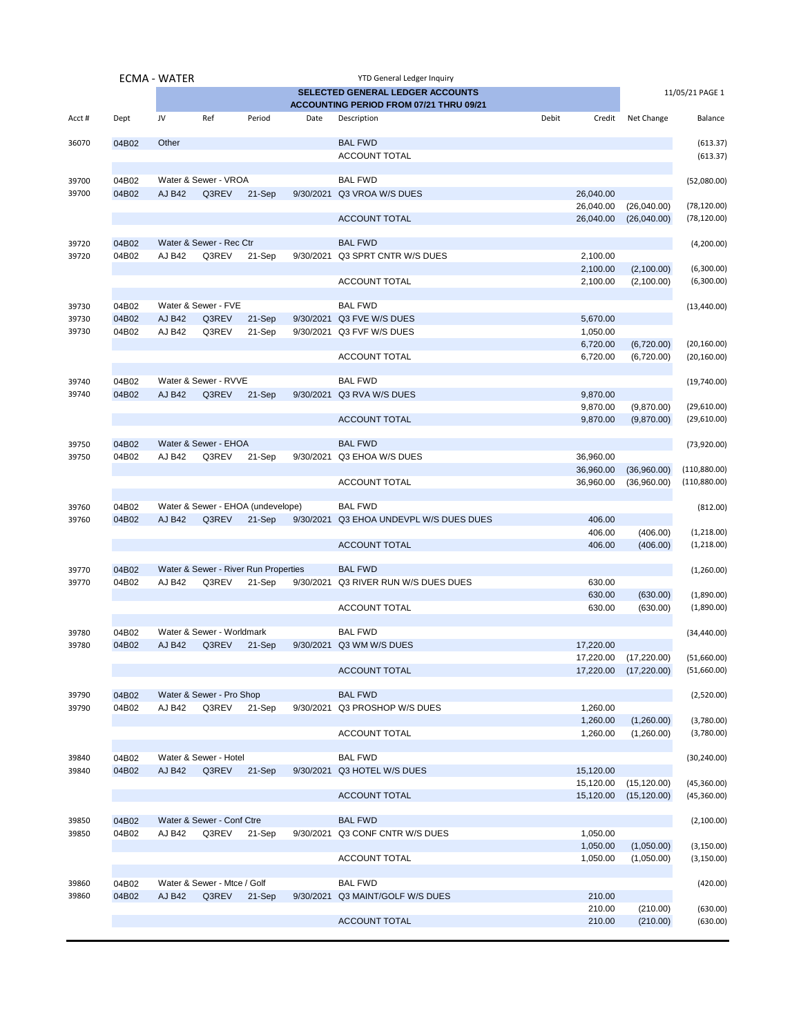|                |                | ECMA - WATER  |                                      |        |           | <b>YTD General Ledger Inquiry</b>                 |       |                      |                       |                      |
|----------------|----------------|---------------|--------------------------------------|--------|-----------|---------------------------------------------------|-------|----------------------|-----------------------|----------------------|
|                |                |               |                                      |        |           | SELECTED GENERAL LEDGER ACCOUNTS                  |       |                      |                       | 11/05/21 PAGE 1      |
|                |                |               |                                      |        |           | ACCOUNTING PERIOD FROM 07/21 THRU 09/21           |       |                      |                       |                      |
| Acct#          | Dept           | JV            | Ref                                  | Period | Date      | Description                                       | Debit | Credit               | Net Change            | Balance              |
| 36070          | 04B02          | Other         |                                      |        |           | <b>BAL FWD</b><br><b>ACCOUNT TOTAL</b>            |       |                      |                       | (613.37)<br>(613.37) |
|                |                |               |                                      |        |           |                                                   |       |                      |                       |                      |
| 39700          | 04B02          |               | Water & Sewer - VROA                 |        |           | <b>BAL FWD</b>                                    |       |                      |                       | (52,080.00)          |
| 39700          | 04B02          | <b>AJ B42</b> | Q3REV                                | 21-Sep |           | 9/30/2021 Q3 VROA W/S DUES                        |       | 26,040.00            |                       |                      |
|                |                |               |                                      |        |           |                                                   |       | 26,040.00            | (26,040.00)           | (78, 120.00)         |
|                |                |               |                                      |        |           | <b>ACCOUNT TOTAL</b>                              |       | 26,040.00            | (26,040.00)           | (78, 120.00)         |
| 39720          | 04B02          |               | Water & Sewer - Rec Ctr              |        |           | <b>BAL FWD</b><br>9/30/2021 Q3 SPRT CNTR W/S DUES |       |                      |                       | (4,200.00)           |
| 39720          | 04B02          | AJ B42        | Q3REV                                | 21-Sep |           |                                                   |       | 2,100.00<br>2,100.00 | (2,100.00)            | (6,300.00)           |
|                |                |               |                                      |        |           | <b>ACCOUNT TOTAL</b>                              |       | 2,100.00             | (2,100.00)            | (6,300.00)           |
|                |                |               |                                      |        |           |                                                   |       |                      |                       |                      |
| 39730          | 04B02          |               | Water & Sewer - FVE                  |        |           | <b>BAL FWD</b>                                    |       |                      |                       | (13, 440.00)         |
| 39730          | 04B02          | <b>AJ B42</b> | Q3REV                                | 21-Sep | 9/30/2021 | Q3 FVE W/S DUES                                   |       | 5,670.00             |                       |                      |
| 39730          | 04B02          | <b>AJ B42</b> | Q3REV                                | 21-Sep |           | 9/30/2021 Q3 FVF W/S DUES                         |       | 1,050.00             |                       |                      |
|                |                |               |                                      |        |           |                                                   |       | 6,720.00             | (6,720.00)            | (20, 160.00)         |
|                |                |               |                                      |        |           | <b>ACCOUNT TOTAL</b>                              |       | 6,720.00             | (6,720.00)            | (20, 160.00)         |
|                |                |               |                                      |        |           |                                                   |       |                      |                       |                      |
| 39740          | 04B02          |               | Water & Sewer - RVVE                 |        |           | <b>BAL FWD</b>                                    |       |                      |                       | (19,740.00)          |
| 39740          | 04B02          | <b>AJ B42</b> | Q3REV                                | 21-Sep |           | 9/30/2021 Q3 RVA W/S DUES                         |       | 9,870.00             |                       |                      |
|                |                |               |                                      |        |           |                                                   |       | 9,870.00             | (9,870.00)            | (29,610.00)          |
|                |                |               |                                      |        |           | <b>ACCOUNT TOTAL</b>                              |       | 9,870.00             | (9,870.00)            | (29,610.00)          |
|                |                |               |                                      |        |           |                                                   |       |                      |                       |                      |
| 39750          | 04B02          |               | Water & Sewer - EHOA                 |        |           | <b>BAL FWD</b>                                    |       |                      |                       | (73,920.00)          |
| 39750          | 04B02          | AJ B42        | Q3REV                                | 21-Sep |           | 9/30/2021 Q3 EHOA W/S DUES                        |       | 36,960.00            |                       |                      |
|                |                |               |                                      |        |           |                                                   |       | 36,960.00            | (36,960.00)           | (110,880.00)         |
|                |                |               |                                      |        |           | <b>ACCOUNT TOTAL</b>                              |       | 36,960.00            | (36,960.00)           | (110, 880.00)        |
|                | 04B02          |               | Water & Sewer - EHOA (undevelope)    |        |           | <b>BAL FWD</b>                                    |       |                      |                       |                      |
| 39760<br>39760 | 04B02          | <b>AJ B42</b> | Q3REV                                | 21-Sep | 9/30/2021 | Q3 EHOA UNDEVPL W/S DUES DUES                     |       | 406.00               |                       | (812.00)             |
|                |                |               |                                      |        |           |                                                   |       | 406.00               | (406.00)              | (1,218.00)           |
|                |                |               |                                      |        |           | <b>ACCOUNT TOTAL</b>                              |       | 406.00               | (406.00)              | (1,218.00)           |
|                |                |               |                                      |        |           |                                                   |       |                      |                       |                      |
| 39770          | 04B02          |               | Water & Sewer - River Run Properties |        |           | <b>BAL FWD</b>                                    |       |                      |                       | (1,260.00)           |
| 39770          | 04B02          | <b>AJ B42</b> | Q3REV                                | 21-Sep |           | 9/30/2021 Q3 RIVER RUN W/S DUES DUES              |       | 630.00               |                       |                      |
|                |                |               |                                      |        |           |                                                   |       | 630.00               | (630.00)              | (1,890.00)           |
|                |                |               |                                      |        |           | <b>ACCOUNT TOTAL</b>                              |       | 630.00               | (630.00)              | (1,890.00)           |
|                |                |               |                                      |        |           |                                                   |       |                      |                       |                      |
| 39780          | 04B02          |               | Water & Sewer - Worldmark            |        |           | <b>BAL FWD</b>                                    |       |                      |                       | (34, 440.00)         |
| 39780          | 04B02          | <b>AJ B42</b> | Q3REV                                | 21-Sep |           | 9/30/2021 Q3 WM W/S DUES                          |       | 17,220.00            |                       |                      |
|                |                |               |                                      |        |           |                                                   |       |                      | 17,220.00 (17,220.00) | (51,660.00)          |
|                |                |               |                                      |        |           | <b>ACCOUNT TOTAL</b>                              |       | 17,220.00            | (17, 220.00)          | (51,660.00)          |
| 39790          | 04B02          |               | Water & Sewer - Pro Shop             |        |           | <b>BAL FWD</b>                                    |       |                      |                       | (2,520.00)           |
| 39790          | 04B02          | AJ B42        | Q3REV                                | 21-Sep |           | 9/30/2021 Q3 PROSHOP W/S DUES                     |       | 1,260.00             |                       |                      |
|                |                |               |                                      |        |           |                                                   |       | 1,260.00             | (1,260.00)            | (3,780.00)           |
|                |                |               |                                      |        |           | <b>ACCOUNT TOTAL</b>                              |       | 1,260.00             | (1,260.00)            | (3,780.00)           |
|                |                |               |                                      |        |           |                                                   |       |                      |                       |                      |
| 39840          | 04B02          |               | Water & Sewer - Hotel                |        |           | <b>BAL FWD</b>                                    |       |                      |                       | (30, 240.00)         |
| 39840          | 04B02          | <b>AJ B42</b> | Q3REV                                | 21-Sep |           | 9/30/2021 Q3 HOTEL W/S DUES                       |       | 15,120.00            |                       |                      |
|                |                |               |                                      |        |           |                                                   |       | 15,120.00            | (15, 120.00)          | (45, 360.00)         |
|                |                |               |                                      |        |           | <b>ACCOUNT TOTAL</b>                              |       | 15,120.00            | (15, 120.00)          | (45,360.00)          |
|                |                |               |                                      |        |           |                                                   |       |                      |                       |                      |
| 39850          | 04B02          |               | Water & Sewer - Conf Ctre            |        |           | <b>BAL FWD</b>                                    |       |                      |                       | (2,100.00)           |
| 39850          | 04B02          | AJ B42        | Q3REV                                | 21-Sep |           | 9/30/2021 Q3 CONF CNTR W/S DUES                   |       | 1,050.00             |                       |                      |
|                |                |               |                                      |        |           |                                                   |       | 1,050.00             | (1,050.00)            | (3, 150.00)          |
|                |                |               |                                      |        |           | <b>ACCOUNT TOTAL</b>                              |       | 1,050.00             | (1,050.00)            | (3, 150.00)          |
|                |                |               | Water & Sewer - Mtce / Golf          |        |           | <b>BAL FWD</b>                                    |       |                      |                       |                      |
| 39860<br>39860 | 04B02<br>04B02 | <b>AJ B42</b> | Q3REV                                | 21-Sep |           | 9/30/2021 Q3 MAINT/GOLF W/S DUES                  |       | 210.00               |                       | (420.00)             |
|                |                |               |                                      |        |           |                                                   |       | 210.00               | (210.00)              | (630.00)             |
|                |                |               |                                      |        |           | <b>ACCOUNT TOTAL</b>                              |       | 210.00               | (210.00)              | (630.00)             |
|                |                |               |                                      |        |           |                                                   |       |                      |                       |                      |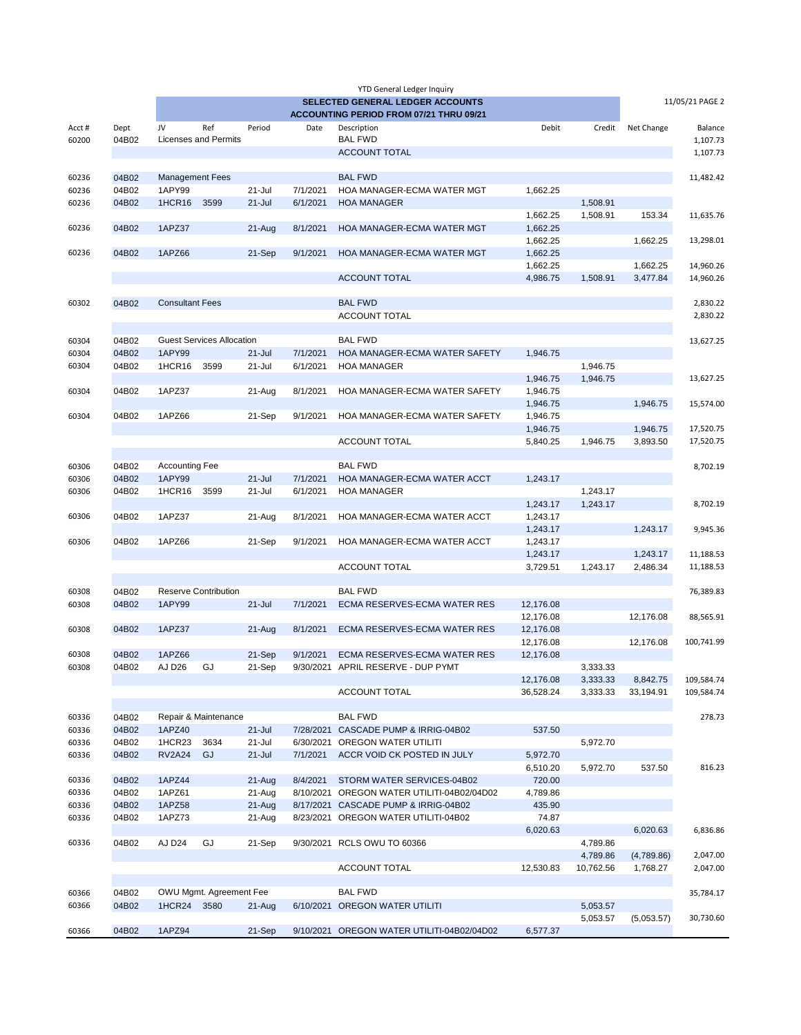|       |       |                        |                                  |            |           | <b>YTD General Ledger Inquiry</b>       |           |           |            |                 |
|-------|-------|------------------------|----------------------------------|------------|-----------|-----------------------------------------|-----------|-----------|------------|-----------------|
|       |       |                        |                                  |            |           | <b>SELECTED GENERAL LEDGER ACCOUNTS</b> |           |           |            | 11/05/21 PAGE 2 |
|       |       |                        |                                  |            |           | ACCOUNTING PERIOD FROM 07/21 THRU 09/21 |           |           |            |                 |
| Acct# | Dept  | JV                     | Ref                              | Period     | Date      | Description                             | Debit     | Credit    | Net Change | Balance         |
| 60200 | 04B02 |                        | <b>Licenses and Permits</b>      |            |           | <b>BAL FWD</b>                          |           |           |            | 1,107.73        |
|       |       |                        |                                  |            |           | <b>ACCOUNT TOTAL</b>                    |           |           |            | 1,107.73        |
|       |       |                        |                                  |            |           |                                         |           |           |            |                 |
| 60236 | 04B02 | <b>Management Fees</b> |                                  |            |           | <b>BAL FWD</b>                          |           |           |            | 11,482.42       |
| 60236 | 04B02 | 1APY99                 |                                  | $21 -$ Jul | 7/1/2021  | HOA MANAGER-ECMA WATER MGT              | 1,662.25  |           |            |                 |
| 60236 | 04B02 | <b>1HCR16</b>          | 3599                             | $21 -$ Jul | 6/1/2021  | <b>HOA MANAGER</b>                      |           | 1,508.91  |            |                 |
|       |       |                        |                                  |            |           |                                         | 1,662.25  | 1,508.91  | 153.34     | 11,635.76       |
| 60236 | 04B02 | 1APZ37                 |                                  | $21-Aug$   | 8/1/2021  | HOA MANAGER-ECMA WATER MGT              | 1,662.25  |           |            |                 |
|       |       |                        |                                  |            |           |                                         | 1,662.25  |           | 1,662.25   | 13,298.01       |
| 60236 | 04B02 | 1APZ66                 |                                  | 21-Sep     | 9/1/2021  | HOA MANAGER-ECMA WATER MGT              | 1,662.25  |           |            |                 |
|       |       |                        |                                  |            |           |                                         | 1,662.25  |           | 1,662.25   | 14,960.26       |
|       |       |                        |                                  |            |           | <b>ACCOUNT TOTAL</b>                    | 4,986.75  | 1,508.91  | 3,477.84   | 14,960.26       |
|       |       |                        |                                  |            |           |                                         |           |           |            |                 |
| 60302 | 04B02 | <b>Consultant Fees</b> |                                  |            |           | <b>BAL FWD</b>                          |           |           |            | 2,830.22        |
|       |       |                        |                                  |            |           | <b>ACCOUNT TOTAL</b>                    |           |           |            | 2,830.22        |
|       |       |                        |                                  |            |           |                                         |           |           |            |                 |
| 60304 | 04B02 |                        | <b>Guest Services Allocation</b> |            |           | <b>BAL FWD</b>                          |           |           |            | 13,627.25       |
| 60304 | 04B02 | 1APY99                 |                                  | $21 -$ Jul | 7/1/2021  | HOA MANAGER-ECMA WATER SAFETY           | 1,946.75  |           |            |                 |
| 60304 | 04B02 | 1HCR16                 | 3599                             | $21 -$ Jul | 6/1/2021  | <b>HOA MANAGER</b>                      |           | 1,946.75  |            |                 |
|       |       |                        |                                  |            |           |                                         | 1,946.75  | 1,946.75  |            | 13,627.25       |
| 60304 | 04B02 | 1APZ37                 |                                  | 21-Aug     | 8/1/2021  | HOA MANAGER-ECMA WATER SAFETY           | 1,946.75  |           |            |                 |
|       |       |                        |                                  |            |           |                                         | 1,946.75  |           | 1,946.75   | 15,574.00       |
| 60304 | 04B02 | 1APZ66                 |                                  | 21-Sep     | 9/1/2021  | HOA MANAGER-ECMA WATER SAFETY           | 1,946.75  |           |            |                 |
|       |       |                        |                                  |            |           |                                         | 1,946.75  |           | 1,946.75   | 17,520.75       |
|       |       |                        |                                  |            |           | <b>ACCOUNT TOTAL</b>                    | 5,840.25  | 1,946.75  | 3,893.50   | 17,520.75       |
|       |       |                        |                                  |            |           |                                         |           |           |            |                 |
| 60306 | 04B02 | <b>Accounting Fee</b>  |                                  |            |           | <b>BAL FWD</b>                          |           |           |            | 8,702.19        |
| 60306 | 04B02 | 1APY99                 |                                  | $21 -$ Jul | 7/1/2021  | HOA MANAGER-ECMA WATER ACCT             | 1,243.17  |           |            |                 |
| 60306 | 04B02 | <b>1HCR16</b>          | 3599                             | $21 -$ Jul | 6/1/2021  | <b>HOA MANAGER</b>                      |           | 1,243.17  |            |                 |
|       |       |                        |                                  |            |           |                                         | 1,243.17  | 1,243.17  |            | 8,702.19        |
| 60306 | 04B02 | 1APZ37                 |                                  | 21-Aug     | 8/1/2021  | HOA MANAGER-ECMA WATER ACCT             | 1,243.17  |           |            |                 |
|       |       |                        |                                  |            |           |                                         | 1,243.17  |           | 1,243.17   | 9,945.36        |
| 60306 | 04B02 | 1APZ66                 |                                  | 21-Sep     | 9/1/2021  | HOA MANAGER-ECMA WATER ACCT             | 1,243.17  |           |            |                 |
|       |       |                        |                                  |            |           |                                         | 1,243.17  |           | 1,243.17   | 11,188.53       |
|       |       |                        |                                  |            |           | <b>ACCOUNT TOTAL</b>                    | 3,729.51  | 1,243.17  | 2,486.34   | 11,188.53       |
|       |       |                        |                                  |            |           |                                         |           |           |            |                 |
| 60308 | 04B02 |                        | Reserve Contribution             |            |           | <b>BAL FWD</b>                          |           |           |            | 76,389.83       |
| 60308 | 04B02 | 1APY99                 |                                  | $21 -$ Jul | 7/1/2021  | <b>ECMA RESERVES-ECMA WATER RES</b>     | 12,176.08 |           |            |                 |
|       |       |                        |                                  |            |           |                                         | 12,176.08 |           | 12,176.08  | 88,565.91       |
| 60308 | 04B02 | 1APZ37                 |                                  | $21-Aug$   | 8/1/2021  | ECMA RESERVES-ECMA WATER RES            | 12,176.08 |           |            |                 |
|       |       |                        |                                  |            |           |                                         | 12,176.08 |           | 12,176.08  | 100,741.99      |
| 60308 | 04B02 | 1APZ66                 |                                  | 21-Sep     | 9/1/2021  | ECMA RESERVES-ECMA WATER RES            | 12,176.08 |           |            |                 |
| 60308 | 04B02 | AJ D <sub>26</sub>     | GJ                               | 21-Sep     | 9/30/2021 | APRIL RESERVE - DUP PYMT                |           | 3,333.33  |            |                 |
|       |       |                        |                                  |            |           |                                         | 12,176.08 | 3,333.33  | 8,842.75   | 109,584.74      |
|       |       |                        |                                  |            |           | <b>ACCOUNT TOTAL</b>                    | 36,528.24 | 3,333.33  | 33,194.91  | 109,584.74      |
|       |       |                        |                                  |            |           |                                         |           |           |            |                 |
| 60336 | 04B02 |                        | Repair & Maintenance             |            |           | <b>BAL FWD</b>                          |           |           |            | 278.73          |
| 60336 | 04B02 | 1APZ40                 |                                  | $21 -$ Jul | 7/28/2021 | CASCADE PUMP & IRRIG-04B02              | 537.50    |           |            |                 |
| 60336 | 04B02 | 1HCR23                 | 3634                             | $21 -$ Jul | 6/30/2021 | OREGON WATER UTILITI                    |           | 5,972.70  |            |                 |
|       | 04B02 | <b>RV2A24</b>          | GJ                               | $21 -$ Jul | 7/1/2021  | ACCR VOID CK POSTED IN JULY             |           |           |            |                 |
| 60336 |       |                        |                                  |            |           |                                         | 5,972.70  | 5,972.70  |            |                 |
|       |       |                        |                                  |            |           | STORM WATER SERVICES-04B02              | 6,510.20  |           | 537.50     | 816.23          |
| 60336 | 04B02 | 1APZ44                 |                                  | 21-Aug     | 8/4/2021  |                                         | 720.00    |           |            |                 |
| 60336 | 04B02 | 1APZ61                 |                                  | 21-Aug     | 8/10/2021 | OREGON WATER UTILITI-04B02/04D02        | 4,789.86  |           |            |                 |
| 60336 | 04B02 | 1APZ58                 |                                  | $21-Aug$   |           | 8/17/2021 CASCADE PUMP & IRRIG-04B02    | 435.90    |           |            |                 |
| 60336 | 04B02 | 1APZ73                 |                                  | 21-Aug     |           | 8/23/2021 OREGON WATER UTILITI-04B02    | 74.87     |           |            |                 |
|       |       |                        |                                  |            |           |                                         | 6,020.63  |           | 6,020.63   | 6,836.86        |
| 60336 | 04B02 | AJ D <sub>24</sub>     | GJ                               | 21-Sep     |           | 9/30/2021 RCLS OWU TO 60366             |           | 4,789.86  |            |                 |
|       |       |                        |                                  |            |           |                                         |           | 4,789.86  | (4,789.86) | 2,047.00        |
|       |       |                        |                                  |            |           | <b>ACCOUNT TOTAL</b>                    | 12,530.83 | 10,762.56 | 1,768.27   | 2,047.00        |
|       |       |                        |                                  |            |           |                                         |           |           |            |                 |
| 60366 | 04B02 |                        | OWU Mgmt. Agreement Fee          |            |           | <b>BAL FWD</b>                          |           |           |            | 35,784.17       |
| 60366 | 04B02 | 1HCR24 3580            |                                  | $21 - Aug$ |           | 6/10/2021 OREGON WATER UTILITI          |           | 5,053.57  |            |                 |
|       |       |                        |                                  |            |           |                                         |           | 5,053.57  |            | 30,730.60       |
| 60366 | 04B02 | 1APZ94                 |                                  | 21-Sep     | 9/10/2021 | OREGON WATER UTILITI-04B02/04D02        | 6,577.37  |           | (5,053.57) |                 |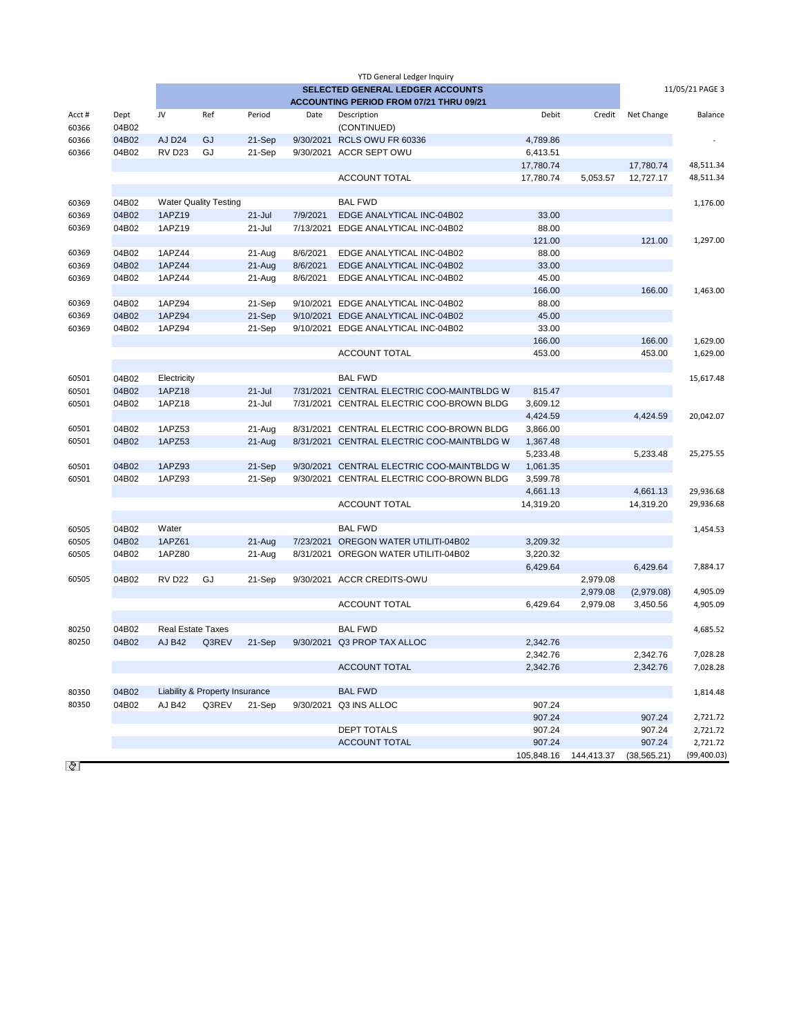| <b>YTD General Ledger Inquiry</b>       |                |                          |                                |                      |                      |                                  |                  |            |              |              |  |
|-----------------------------------------|----------------|--------------------------|--------------------------------|----------------------|----------------------|----------------------------------|------------------|------------|--------------|--------------|--|
|                                         |                |                          | 11/05/21 PAGE 3                |                      |                      |                                  |                  |            |              |              |  |
| ACCOUNTING PERIOD FROM 07/21 THRU 09/21 |                |                          |                                |                      |                      |                                  |                  |            |              |              |  |
| Acct#                                   | Dept           | JV                       | Ref                            | Period               | Date                 | Description                      | Debit            | Credit     | Net Change   | Balance      |  |
| 60366                                   | 04B02          |                          |                                |                      |                      | (CONTINUED)                      |                  |            |              |              |  |
| 60366                                   | 04B02          | AJ D <sub>24</sub>       | GJ                             | 21-Sep               | 9/30/2021            | RCLS OWU FR 60336                | 4,789.86         |            |              |              |  |
| 60366                                   | 04B02          | <b>RV D23</b>            | GJ                             | 21-Sep               | 9/30/2021            | <b>ACCR SEPT OWU</b>             | 6,413.51         |            |              |              |  |
|                                         |                |                          |                                |                      |                      |                                  | 17,780.74        |            | 17,780.74    | 48,511.34    |  |
|                                         |                |                          |                                |                      |                      | <b>ACCOUNT TOTAL</b>             | 17,780.74        | 5,053.57   | 12,727.17    | 48,511.34    |  |
|                                         |                |                          | <b>Water Quality Testing</b>   |                      |                      | <b>BAL FWD</b>                   |                  |            |              |              |  |
| 60369<br>60369                          | 04B02<br>04B02 | 1APZ19                   |                                |                      | 7/9/2021             | EDGE ANALYTICAL INC-04B02        | 33.00            |            |              | 1,176.00     |  |
|                                         | 04B02          | 1APZ19                   |                                | $21 -$ Jul<br>21-Jul | 7/13/2021            |                                  | 88.00            |            |              |              |  |
| 60369                                   |                |                          |                                |                      |                      | EDGE ANALYTICAL INC-04B02        | 121.00           |            | 121.00       |              |  |
| 60369                                   | 04B02          | 1APZ44                   |                                |                      | 8/6/2021             | EDGE ANALYTICAL INC-04B02        | 88.00            |            |              | 1,297.00     |  |
|                                         | 04B02          | 1APZ44                   |                                | 21-Aug               |                      | EDGE ANALYTICAL INC-04B02        |                  |            |              |              |  |
| 60369<br>60369                          | 04B02          | 1APZ44                   |                                | $21-Aug$             | 8/6/2021<br>8/6/2021 |                                  | 33.00<br>45.00   |            |              |              |  |
|                                         |                |                          |                                | 21-Aug               |                      | EDGE ANALYTICAL INC-04B02        | 166.00           |            | 166.00       | 1,463.00     |  |
| 60369                                   | 04B02          | 1APZ94                   |                                | 21-Sep               | 9/10/2021            | EDGE ANALYTICAL INC-04B02        | 88.00            |            |              |              |  |
| 60369                                   | 04B02          | 1APZ94                   |                                | 21-Sep               | 9/10/2021            | EDGE ANALYTICAL INC-04B02        | 45.00            |            |              |              |  |
| 60369                                   | 04B02          |                          |                                |                      | 9/10/2021            | EDGE ANALYTICAL INC-04B02        | 33.00            |            |              |              |  |
|                                         |                | 1APZ94                   |                                | 21-Sep               |                      |                                  | 166.00           |            | 166.00       | 1,629.00     |  |
|                                         |                |                          |                                |                      |                      | <b>ACCOUNT TOTAL</b>             | 453.00           |            |              |              |  |
|                                         |                |                          |                                |                      |                      |                                  |                  |            | 453.00       | 1,629.00     |  |
| 60501                                   | 04B02          | Electricity              |                                |                      |                      | <b>BAL FWD</b>                   |                  |            |              | 15,617.48    |  |
| 60501                                   | 04B02          | 1APZ18                   |                                | $21 -$ Jul           | 7/31/2021            | CENTRAL ELECTRIC COO-MAINTBLDG W | 815.47           |            |              |              |  |
| 60501                                   | 04B02          | 1APZ18                   |                                | 21-Jul               | 7/31/2021            | CENTRAL ELECTRIC COO-BROWN BLDG  | 3,609.12         |            |              |              |  |
|                                         |                |                          |                                |                      |                      |                                  | 4,424.59         |            | 4,424.59     | 20,042.07    |  |
| 60501                                   | 04B02          | 1APZ53                   |                                | 21-Aug               | 8/31/2021            | CENTRAL ELECTRIC COO-BROWN BLDG  | 3,866.00         |            |              |              |  |
| 60501                                   | 04B02          | 1APZ53                   |                                | $21-Auq$             | 8/31/2021            | CENTRAL ELECTRIC COO-MAINTBLDG W | 1,367.48         |            |              |              |  |
|                                         |                |                          |                                |                      |                      |                                  | 5,233.48         |            | 5,233.48     | 25,275.55    |  |
| 60501                                   | 04B02          | 1APZ93                   |                                | 21-Sep               | 9/30/2021            | CENTRAL ELECTRIC COO-MAINTBLDG W | 1,061.35         |            |              |              |  |
| 60501                                   | 04B02          | 1APZ93                   |                                | 21-Sep               | 9/30/2021            | CENTRAL ELECTRIC COO-BROWN BLDG  | 3,599.78         |            |              |              |  |
|                                         |                |                          |                                |                      |                      |                                  | 4,661.13         |            | 4,661.13     | 29,936.68    |  |
|                                         |                |                          |                                |                      |                      | <b>ACCOUNT TOTAL</b>             | 14,319.20        |            | 14,319.20    | 29,936.68    |  |
|                                         |                |                          |                                |                      |                      |                                  |                  |            |              |              |  |
| 60505                                   | 04B02          | Water                    |                                |                      |                      | <b>BAL FWD</b>                   |                  |            |              | 1,454.53     |  |
| 60505                                   | 04B02          | 1APZ61                   |                                | $21-Auq$             | 7/23/2021            | OREGON WATER UTILITI-04B02       | 3,209.32         |            |              |              |  |
| 60505                                   | 04B02          | 1APZ80                   |                                | 21-Aug               | 8/31/2021            | OREGON WATER UTILITI-04B02       | 3,220.32         |            |              |              |  |
|                                         |                |                          |                                |                      |                      |                                  | 6,429.64         |            | 6,429.64     | 7,884.17     |  |
| 60505                                   | 04B02          | <b>RV D22</b>            | GJ                             | 21-Sep               |                      | 9/30/2021 ACCR CREDITS-OWU       |                  | 2,979.08   |              |              |  |
|                                         |                |                          |                                |                      |                      |                                  |                  | 2,979.08   | (2,979.08)   | 4,905.09     |  |
|                                         |                |                          |                                |                      |                      | <b>ACCOUNT TOTAL</b>             | 6,429.64         | 2,979.08   | 3,450.56     | 4,905.09     |  |
|                                         |                |                          |                                |                      |                      |                                  |                  |            |              |              |  |
| 80250                                   | 04B02          | <b>Real Estate Taxes</b> |                                |                      |                      | <b>BAL FWD</b>                   |                  |            |              | 4,685.52     |  |
| 80250                                   | 04B02          | <b>AJ B42</b>            | Q3REV                          | 21-Sep               |                      | 9/30/2021 Q3 PROP TAX ALLOC      | 2.342.76         |            |              |              |  |
|                                         |                |                          |                                |                      |                      |                                  | 2,342.76         |            | 2.342.76     | 7,028.28     |  |
|                                         |                |                          |                                |                      |                      | <b>ACCOUNT TOTAL</b>             | 2,342.76         |            | 2,342.76     | 7,028.28     |  |
|                                         |                |                          |                                |                      |                      |                                  |                  |            |              |              |  |
| 80350                                   | 04B02          |                          | Liability & Property Insurance |                      |                      | <b>BAL FWD</b>                   |                  |            |              | 1,814.48     |  |
| 80350                                   | 04B02          | <b>AJ B42</b>            | Q3REV                          | 21-Sep               |                      | 9/30/2021 Q3 INS ALLOC           | 907.24<br>907.24 |            | 907.24       | 2,721.72     |  |
|                                         |                |                          |                                |                      |                      | DEPT TOTALS                      | 907.24           |            | 907.24       | 2,721.72     |  |
|                                         |                |                          |                                |                      |                      | <b>ACCOUNT TOTAL</b>             | 907.24           |            | 907.24       | 2,721.72     |  |
|                                         |                |                          |                                |                      |                      |                                  |                  |            |              | (99, 400.03) |  |
|                                         |                |                          |                                |                      |                      |                                  | 105,848.16       | 144,413.37 | (38, 565.21) |              |  |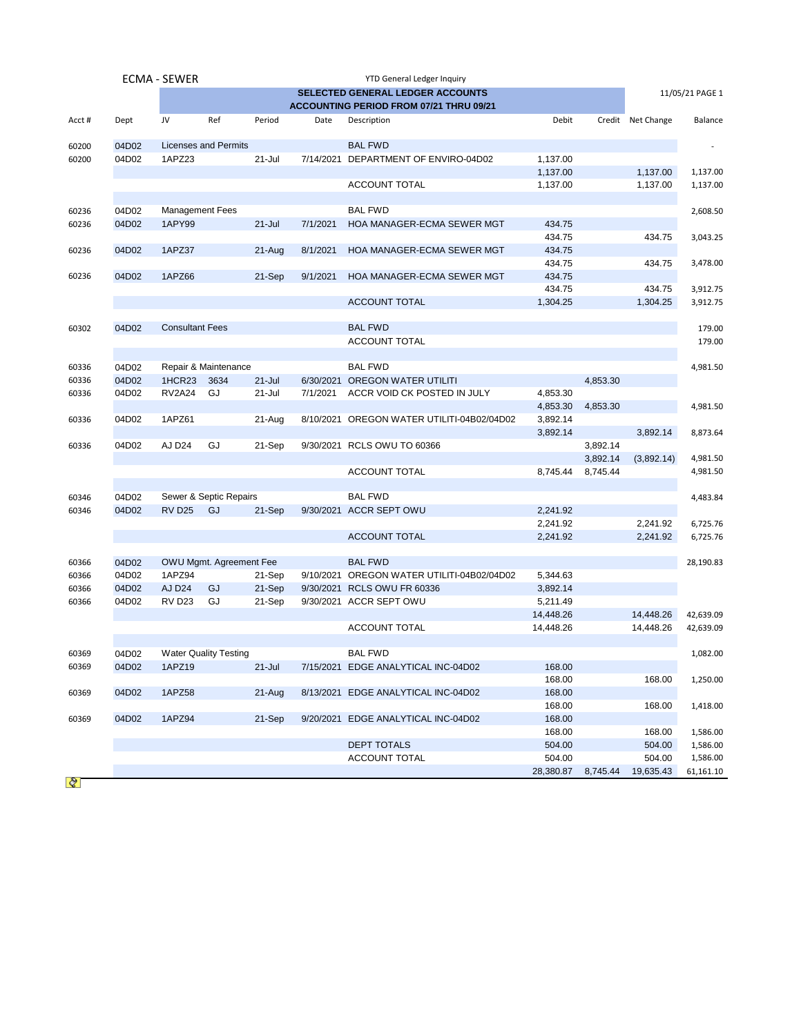|       |                                                            | <b>ECMA - SEWER</b>    |                              |            |           | <b>YTD General Ledger Inquiry</b>          |           |          |                   |           |  |  |
|-------|------------------------------------------------------------|------------------------|------------------------------|------------|-----------|--------------------------------------------|-----------|----------|-------------------|-----------|--|--|
|       | <b>SELECTED GENERAL LEDGER ACCOUNTS</b><br>11/05/21 PAGE 1 |                        |                              |            |           |                                            |           |          |                   |           |  |  |
|       |                                                            |                        |                              |            |           | ACCOUNTING PERIOD FROM 07/21 THRU 09/21    |           |          |                   |           |  |  |
| Acct# | Dept                                                       | JV                     | Ref                          | Period     | Date      | Description                                | Debit     |          | Credit Net Change | Balance   |  |  |
| 60200 | 04D02                                                      |                        | <b>Licenses and Permits</b>  |            |           | <b>BAL FWD</b>                             |           |          |                   |           |  |  |
| 60200 | 04D02                                                      | 1APZ23                 |                              | $21 -$ Jul | 7/14/2021 | DEPARTMENT OF ENVIRO-04D02                 | 1,137.00  |          |                   |           |  |  |
|       |                                                            |                        |                              |            |           |                                            | 1,137.00  |          | 1,137.00          | 1,137.00  |  |  |
|       |                                                            |                        |                              |            |           | <b>ACCOUNT TOTAL</b>                       | 1,137.00  |          | 1,137.00          | 1,137.00  |  |  |
| 60236 | 04D02                                                      | Management Fees        |                              |            |           | <b>BAL FWD</b>                             |           |          |                   | 2,608.50  |  |  |
| 60236 | 04D02                                                      | 1APY99                 |                              | $21 -$ Jul | 7/1/2021  | HOA MANAGER-ECMA SEWER MGT                 | 434.75    |          |                   |           |  |  |
|       |                                                            |                        |                              |            |           |                                            | 434.75    |          | 434.75            | 3,043.25  |  |  |
| 60236 | 04D02                                                      | 1APZ37                 |                              | $21 - Aug$ | 8/1/2021  | HOA MANAGER-ECMA SEWER MGT                 | 434.75    |          |                   |           |  |  |
|       |                                                            |                        |                              |            |           |                                            | 434.75    |          | 434.75            | 3,478.00  |  |  |
| 60236 | 04D02                                                      | 1APZ66                 |                              | 21-Sep     | 9/1/2021  | HOA MANAGER-ECMA SEWER MGT                 | 434.75    |          |                   |           |  |  |
|       |                                                            |                        |                              |            |           |                                            | 434.75    |          | 434.75            | 3,912.75  |  |  |
|       |                                                            |                        |                              |            |           | <b>ACCOUNT TOTAL</b>                       | 1,304.25  |          | 1,304.25          | 3,912.75  |  |  |
| 60302 | 04D02                                                      | <b>Consultant Fees</b> |                              |            |           | <b>BAL FWD</b>                             |           |          |                   | 179.00    |  |  |
|       |                                                            |                        |                              |            |           | ACCOUNT TOTAL                              |           |          |                   | 179.00    |  |  |
|       |                                                            |                        |                              |            |           |                                            |           |          |                   |           |  |  |
| 60336 | 04D02                                                      |                        | Repair & Maintenance         |            |           | <b>BAL FWD</b>                             |           |          |                   | 4,981.50  |  |  |
| 60336 | 04D02                                                      | 1HCR23                 | 3634                         | $21 -$ Jul | 6/30/2021 | <b>OREGON WATER UTILITI</b>                |           | 4,853.30 |                   |           |  |  |
| 60336 | 04D02                                                      | <b>RV2A24</b>          | GJ                           | 21-Jul     | 7/1/2021  | ACCR VOID CK POSTED IN JULY                | 4,853.30  |          |                   |           |  |  |
|       |                                                            |                        |                              |            |           |                                            | 4,853.30  | 4,853.30 |                   | 4,981.50  |  |  |
| 60336 | 04D02                                                      | 1APZ61                 |                              | 21-Aug     |           | 8/10/2021 OREGON WATER UTILITI-04B02/04D02 | 3,892.14  |          |                   |           |  |  |
|       |                                                            |                        |                              |            |           |                                            | 3,892.14  |          | 3,892.14          | 8,873.64  |  |  |
| 60336 | 04D02                                                      | AJ D24                 | GJ                           | 21-Sep     |           | 9/30/2021 RCLS OWU TO 60366                |           | 3,892.14 |                   |           |  |  |
|       |                                                            |                        |                              |            |           |                                            |           | 3,892.14 | (3,892.14)        | 4,981.50  |  |  |
|       |                                                            |                        |                              |            |           | ACCOUNT TOTAL                              | 8,745.44  | 8,745.44 |                   | 4,981.50  |  |  |
|       |                                                            |                        |                              |            |           |                                            |           |          |                   |           |  |  |
| 60346 | 04D02                                                      |                        | Sewer & Septic Repairs       |            |           | <b>BAL FWD</b>                             |           |          |                   | 4,483.84  |  |  |
| 60346 | 04D02                                                      | <b>RV D25</b>          | GJ                           | 21-Sep     |           | 9/30/2021 ACCR SEPT OWU                    | 2,241.92  |          |                   |           |  |  |
|       |                                                            |                        |                              |            |           |                                            | 2,241.92  |          | 2,241.92          | 6,725.76  |  |  |
|       |                                                            |                        |                              |            |           | <b>ACCOUNT TOTAL</b>                       | 2,241.92  |          | 2,241.92          | 6,725.76  |  |  |
| 60366 | 04D02                                                      |                        | OWU Mgmt. Agreement Fee      |            |           | <b>BAL FWD</b>                             |           |          |                   | 28,190.83 |  |  |
| 60366 | 04D02                                                      | 1APZ94                 |                              | 21-Sep     | 9/10/2021 | OREGON WATER UTILITI-04B02/04D02           | 5,344.63  |          |                   |           |  |  |
| 60366 | 04D02                                                      | AJ D <sub>24</sub>     | GJ                           | 21-Sep     | 9/30/2021 | RCLS OWU FR 60336                          | 3,892.14  |          |                   |           |  |  |
| 60366 | 04D02                                                      | <b>RV D23</b>          | GJ                           | 21-Sep     |           | 9/30/2021 ACCR SEPT OWU                    | 5,211.49  |          |                   |           |  |  |
|       |                                                            |                        |                              |            |           |                                            | 14,448.26 |          | 14,448.26         | 42,639.09 |  |  |
|       |                                                            |                        |                              |            |           | <b>ACCOUNT TOTAL</b>                       | 14,448.26 |          | 14,448.26         | 42,639.09 |  |  |
| 60369 | 04D02                                                      |                        | <b>Water Quality Testing</b> |            |           | <b>BAL FWD</b>                             |           |          |                   | 1,082.00  |  |  |
| 60369 | 04D02                                                      | 1APZ19                 |                              | $21 -$ Jul |           | 7/15/2021 EDGE ANALYTICAL INC-04D02        | 168.00    |          |                   |           |  |  |
|       |                                                            |                        |                              |            |           |                                            | 168.00    |          | 168.00            | 1,250.00  |  |  |
| 60369 | 04D02                                                      | 1APZ58                 |                              | 21-Aug     |           | 8/13/2021 EDGE ANALYTICAL INC-04D02        | 168.00    |          |                   |           |  |  |
|       |                                                            |                        |                              |            |           |                                            | 168.00    |          | 168.00            | 1,418.00  |  |  |
| 60369 | 04D02                                                      | 1APZ94                 |                              | 21-Sep     |           | 9/20/2021 EDGE ANALYTICAL INC-04D02        | 168.00    |          |                   |           |  |  |
|       |                                                            |                        |                              |            |           |                                            | 168.00    |          | 168.00            | 1,586.00  |  |  |
|       |                                                            |                        |                              |            |           | <b>DEPT TOTALS</b>                         | 504.00    |          | 504.00            | 1,586.00  |  |  |
|       |                                                            |                        |                              |            |           | ACCOUNT TOTAL                              | 504.00    |          | 504.00            | 1,586.00  |  |  |
|       |                                                            |                        |                              |            |           |                                            | 28,380.87 | 8,745.44 | 19,635.43         | 61,161.10 |  |  |

 $\mathcal{Q}$